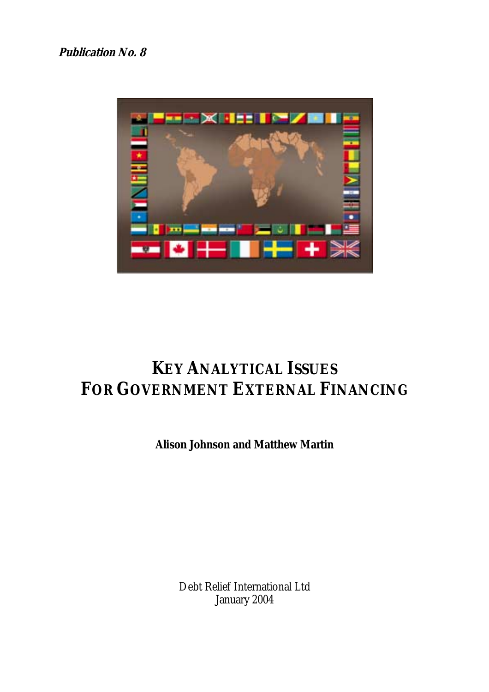

# **KEY ANALYTICAL ISSUES FOR GOVERNMENT EXTERNAL FINANCING**

**Alison Johnson and Matthew Martin** 

Debt Relief International Ltd January 2004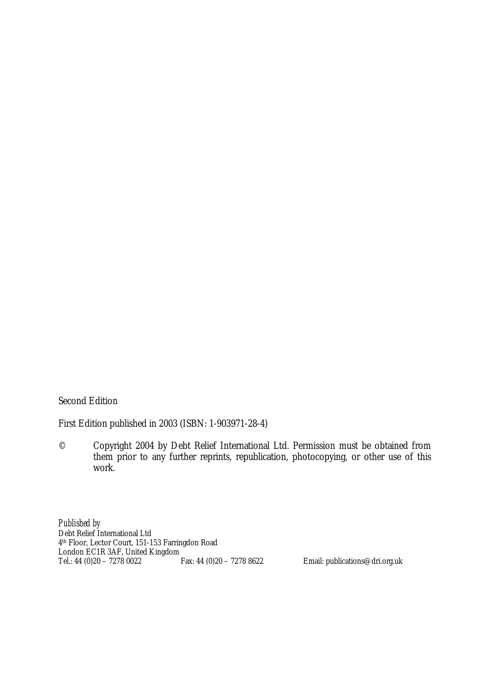Second Edition

First Edition published in 2003 (ISBN: 1-903971-28-4)

© Copyright 2004 by Debt Relief International Ltd. Permission must be obtained from them prior to any further reprints, republication, photocopying, or other use of this work.

*Published by*  Debt Relief International Ltd 4th Floor, Lector Court, 151-153 Farringdon Road London EC1R 3AF, United Kingdom<br>Tel.: 44 (0)20 - 7278 0022<br>Fax: 44 (0)20 - 7278 8622

Email: publications@dri.org.uk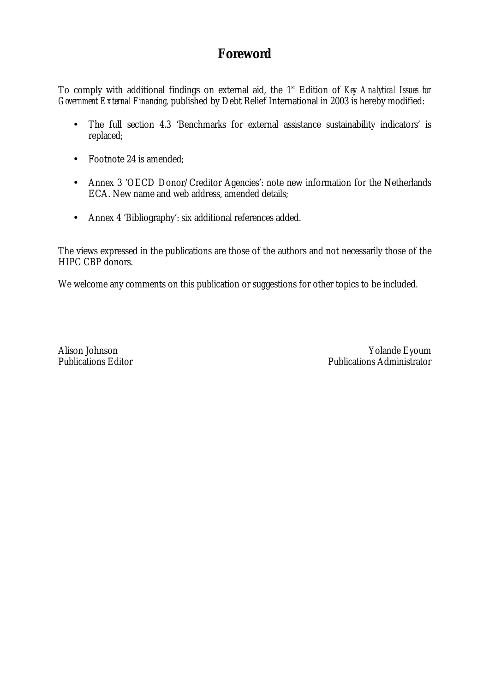# **Foreword**

To comply with additional findings on external aid, the 1<sup>st</sup> Edition of *Key Analytical Issues for Government External Financing*, published by Debt Relief International in 2003 is hereby modified:

- The full section 4.3 'Benchmarks for external assistance sustainability indicators' is replaced;
- Footnote 24 is amended;
- Annex 3 'OECD Donor/Creditor Agencies': note new information for the Netherlands ECA. New name and web address, amended details;
- Annex 4 'Bibliography': six additional references added.

The views expressed in the publications are those of the authors and not necessarily those of the HIPC CBP donors.

We welcome any comments on this publication or suggestions for other topics to be included.

Alison Johnson Yolande Eyoum<br>Publications Editor Publications Administrator Publications Administrator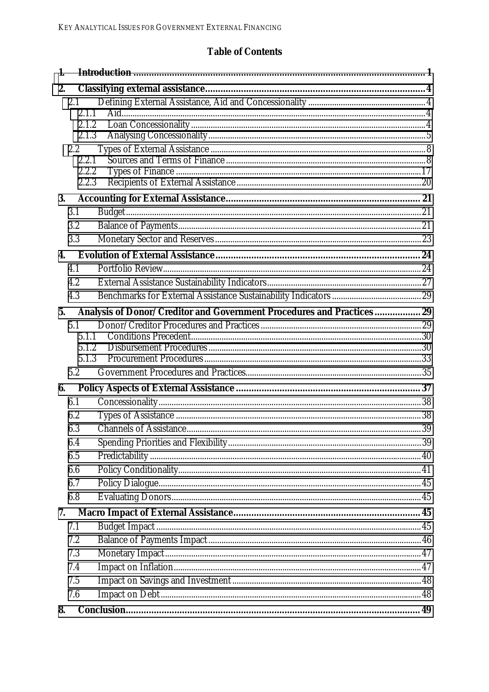# **Table of Contents**

| 1.           |                |                                                                       |  |
|--------------|----------------|-----------------------------------------------------------------------|--|
| 2.           |                |                                                                       |  |
|              | 2.1            |                                                                       |  |
|              | 2.1.1          |                                                                       |  |
|              | 2.1.2<br>2.1.3 |                                                                       |  |
|              | $2.2\,$        |                                                                       |  |
|              | 2.2.1          |                                                                       |  |
|              | 2.2.2          |                                                                       |  |
|              | 2.2.3          |                                                                       |  |
| <b>3.</b>    |                |                                                                       |  |
|              | 3.1            |                                                                       |  |
|              | 3.2            |                                                                       |  |
|              | 3.3            |                                                                       |  |
| $\mathbf{4}$ |                |                                                                       |  |
|              | 4.1            |                                                                       |  |
|              | 4.2            |                                                                       |  |
|              | 4.3            |                                                                       |  |
| 5.           |                | Analysis of Donor/Creditor and Government Procedures and Practices 29 |  |
|              | 5.1            |                                                                       |  |
|              | 5.1.1          |                                                                       |  |
|              | 5.1.2          |                                                                       |  |
|              | 5.1.3<br>5.2   |                                                                       |  |
|              |                |                                                                       |  |
| 6.           |                |                                                                       |  |
|              | 6.1            |                                                                       |  |
|              | 6.2            |                                                                       |  |
|              | 6.3            |                                                                       |  |
|              | 6.4            |                                                                       |  |
|              | 6.5            |                                                                       |  |
|              | 6.6            |                                                                       |  |
|              | 6.7            |                                                                       |  |
|              | 6.8            |                                                                       |  |
| 7.           |                |                                                                       |  |
|              | 7.1            |                                                                       |  |
|              | 7.2            |                                                                       |  |
|              | 7.3            |                                                                       |  |
|              | 7.4            |                                                                       |  |
|              | 7.5            |                                                                       |  |
|              | 7.6            |                                                                       |  |
| 8.           |                |                                                                       |  |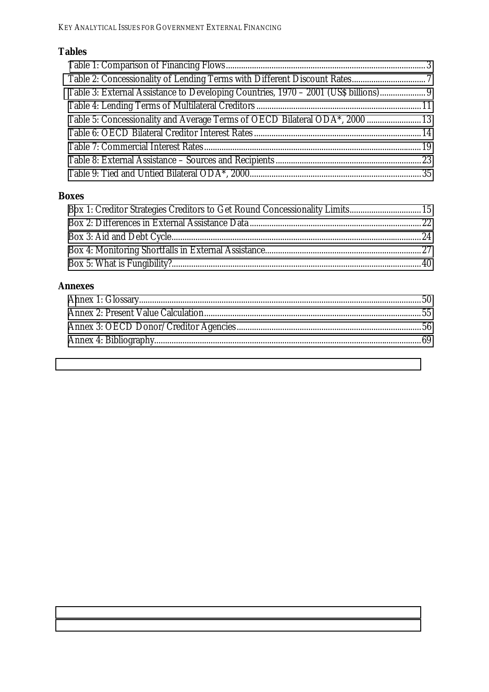# **Tables**

| Table 3: External Assistance to Developing Countries, 1970 - 2001 (US\$ billions) |  |
|-----------------------------------------------------------------------------------|--|
|                                                                                   |  |
| Table 5: Concessionality and Average Terms of OECD Bilateral ODA*, 2000  13       |  |
|                                                                                   |  |
|                                                                                   |  |
|                                                                                   |  |
|                                                                                   |  |

# **Boxes**

# **Annexes**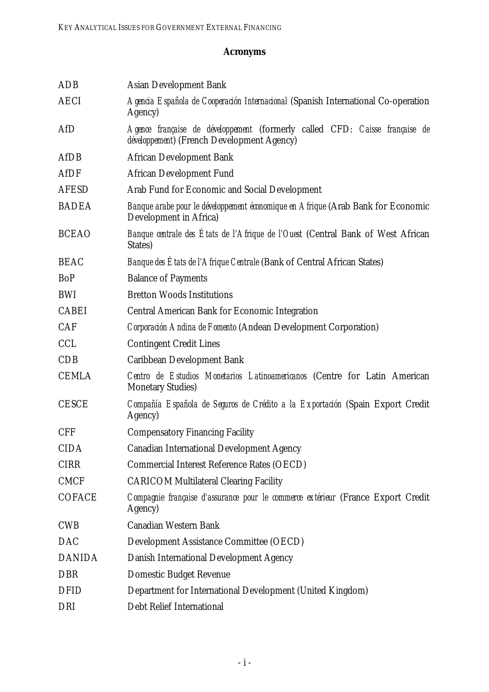# **Acronyms**

| <b>ADB</b>    | <b>Asian Development Bank</b>                                                                                                     |  |  |  |  |  |  |
|---------------|-----------------------------------------------------------------------------------------------------------------------------------|--|--|--|--|--|--|
| <b>AECI</b>   | Agencia Española de Cooperación Internacional (Spanish International Co-operation<br>Agency)                                      |  |  |  |  |  |  |
| AfD           | Agence française de développement (formerly called CFD: Caisse française de<br><i>développement</i> ) (French Development Agency) |  |  |  |  |  |  |
| <b>AfDB</b>   | <b>African Development Bank</b>                                                                                                   |  |  |  |  |  |  |
| <b>AfDF</b>   | <b>African Development Fund</b>                                                                                                   |  |  |  |  |  |  |
| <b>AFESD</b>  | Arab Fund for Economic and Social Development                                                                                     |  |  |  |  |  |  |
| <b>BADEA</b>  | Banque arabe pour le développement économique en Afrique (Arab Bank for Economic<br>Development in Africa)                        |  |  |  |  |  |  |
| <b>BCEAO</b>  | Banque centrale des États de l'Afrique de l'Ouest (Central Bank of West African<br>States)                                        |  |  |  |  |  |  |
| <b>BEAC</b>   | <i>Banque des États de l'Afrique Centrale</i> (Bank of Central African States)                                                    |  |  |  |  |  |  |
| BoP           | <b>Balance of Payments</b>                                                                                                        |  |  |  |  |  |  |
| <b>BWI</b>    | <b>Bretton Woods Institutions</b>                                                                                                 |  |  |  |  |  |  |
| <b>CABEI</b>  | <b>Central American Bank for Economic Integration</b>                                                                             |  |  |  |  |  |  |
| <b>CAF</b>    | Corporación Andina de Fomento (Andean Development Corporation)                                                                    |  |  |  |  |  |  |
| <b>CCL</b>    | <b>Contingent Credit Lines</b>                                                                                                    |  |  |  |  |  |  |
| <b>CDB</b>    | <b>Caribbean Development Bank</b>                                                                                                 |  |  |  |  |  |  |
| <b>CEMLA</b>  | Centro de Estudios Monetarios Latinoamericanos (Centre for Latin American<br><b>Monetary Studies)</b>                             |  |  |  |  |  |  |
| <b>CESCE</b>  | Compañía Española de Seguros de Crédito a la Exportación (Spain Export Credit<br>Agency)                                          |  |  |  |  |  |  |
| <b>CFF</b>    | <b>Compensatory Financing Facility</b>                                                                                            |  |  |  |  |  |  |
| <b>CIDA</b>   | <b>Canadian International Development Agency</b>                                                                                  |  |  |  |  |  |  |
| <b>CIRR</b>   | <b>Commercial Interest Reference Rates (OECD)</b>                                                                                 |  |  |  |  |  |  |
| <b>CMCF</b>   | <b>CARICOM Multilateral Clearing Facility</b>                                                                                     |  |  |  |  |  |  |
| <b>COFACE</b> | Compagnie française d'assurance pour le commerce extérieur (France Export Credit<br>Agency)                                       |  |  |  |  |  |  |
| <b>CWB</b>    | <b>Canadian Western Bank</b>                                                                                                      |  |  |  |  |  |  |
| <b>DAC</b>    | <b>Development Assistance Committee (OECD)</b>                                                                                    |  |  |  |  |  |  |
| <b>DANIDA</b> | Danish International Development Agency                                                                                           |  |  |  |  |  |  |
| <b>DBR</b>    | <b>Domestic Budget Revenue</b>                                                                                                    |  |  |  |  |  |  |
| <b>DFID</b>   | Department for International Development (United Kingdom)                                                                         |  |  |  |  |  |  |
| DRI           | <b>Debt Relief International</b>                                                                                                  |  |  |  |  |  |  |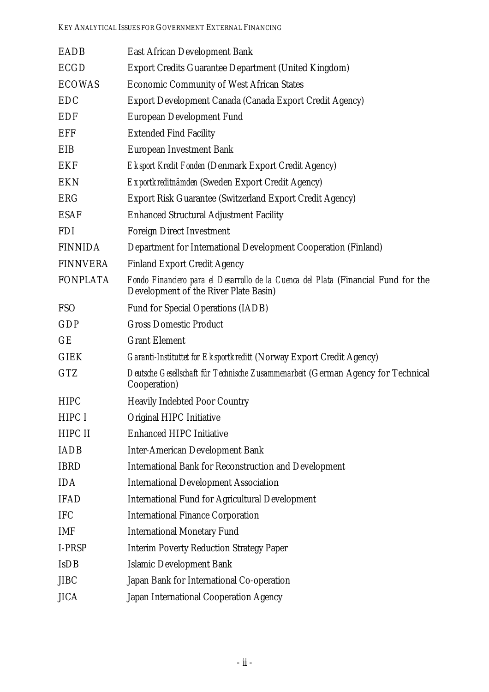| <b>EADB</b>     | <b>East African Development Bank</b>                                                                                        |
|-----------------|-----------------------------------------------------------------------------------------------------------------------------|
| <b>ECGD</b>     | <b>Export Credits Guarantee Department (United Kingdom)</b>                                                                 |
| <b>ECOWAS</b>   | <b>Economic Community of West African States</b>                                                                            |
| <b>EDC</b>      | Export Development Canada (Canada Export Credit Agency)                                                                     |
| <b>EDF</b>      | <b>European Development Fund</b>                                                                                            |
| <b>EFF</b>      | <b>Extended Find Facility</b>                                                                                               |
| EIB             | <b>European Investment Bank</b>                                                                                             |
| <b>EKF</b>      | <b>Eksport Kredit Fonden (Denmark Export Credit Agency)</b>                                                                 |
| <b>EKN</b>      | Exportkreditnämden (Sweden Export Credit Agency)                                                                            |
| <b>ERG</b>      | <b>Export Risk Guarantee (Switzerland Export Credit Agency)</b>                                                             |
| <b>ESAF</b>     | <b>Enhanced Structural Adjustment Facility</b>                                                                              |
| <b>FDI</b>      | <b>Foreign Direct Investment</b>                                                                                            |
| <b>FINNIDA</b>  | Department for International Development Cooperation (Finland)                                                              |
| <b>FINNVERA</b> | <b>Finland Export Credit Agency</b>                                                                                         |
| <b>FONPLATA</b> | Fondo Financiero para el Desarrollo de la Cuenca del Plata (Financial Fund for the<br>Development of the River Plate Basin) |
| <b>FSO</b>      | <b>Fund for Special Operations (IADB)</b>                                                                                   |
| <b>GDP</b>      | <b>Gross Domestic Product</b>                                                                                               |
| GE              | <b>Grant Element</b>                                                                                                        |
| <b>GIEK</b>     | <b>Garanti-Instituttet for Eksportkreditt (Norway Export Credit Agency)</b>                                                 |
| <b>GTZ</b>      | Deutsche Gesellschaft für Technische Zusammenarbeit (German Agency for Technical<br>Cooperation)                            |
| <b>HIPC</b>     | <b>Heavily Indebted Poor Country</b>                                                                                        |
| HIPC I          | Original HIPC Initiative                                                                                                    |
| HIPC II         | <b>Enhanced HIPC Initiative</b>                                                                                             |
| <b>IADB</b>     | <b>Inter-American Development Bank</b>                                                                                      |
| <b>IBRD</b>     | <b>International Bank for Reconstruction and Development</b>                                                                |
| <b>IDA</b>      | <b>International Development Association</b>                                                                                |
| <b>IFAD</b>     | <b>International Fund for Agricultural Development</b>                                                                      |
| <b>IFC</b>      | <b>International Finance Corporation</b>                                                                                    |
| <b>IMF</b>      | <b>International Monetary Fund</b>                                                                                          |
| I-PRSP          | <b>Interim Poverty Reduction Strategy Paper</b>                                                                             |
| <b>IsDB</b>     | <b>Islamic Development Bank</b>                                                                                             |
| <b>JIBC</b>     | Japan Bank for International Co-operation                                                                                   |
| <b>JICA</b>     | Japan International Cooperation Agency                                                                                      |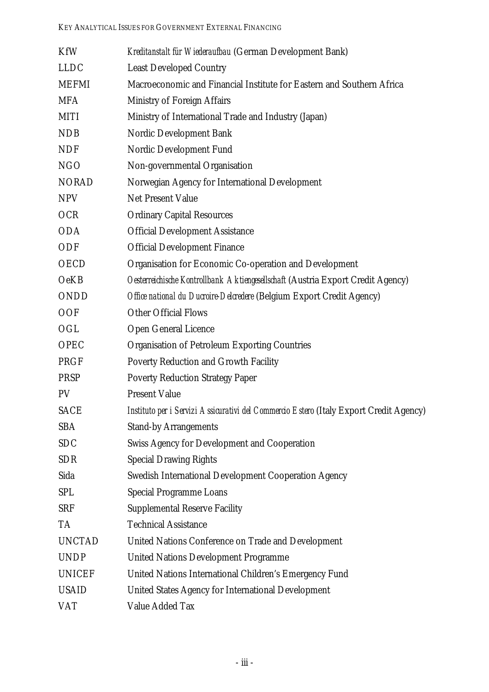| <b>KfW</b>    | Kreditanstalt für Wiederaufbau (German Development Bank)                               |
|---------------|----------------------------------------------------------------------------------------|
| <b>LLDC</b>   | <b>Least Developed Country</b>                                                         |
| <b>MEFMI</b>  | Macroeconomic and Financial Institute for Eastern and Southern Africa                  |
| <b>MFA</b>    | <b>Ministry of Foreign Affairs</b>                                                     |
| <b>MITI</b>   | Ministry of International Trade and Industry (Japan)                                   |
| <b>NDB</b>    | Nordic Development Bank                                                                |
| <b>NDF</b>    | <b>Nordic Development Fund</b>                                                         |
| <b>NGO</b>    | Non-governmental Organisation                                                          |
| <b>NORAD</b>  | Norwegian Agency for International Development                                         |
| <b>NPV</b>    | <b>Net Present Value</b>                                                               |
| <b>OCR</b>    | <b>Ordinary Capital Resources</b>                                                      |
| <b>ODA</b>    | <b>Official Development Assistance</b>                                                 |
| ODF           | <b>Official Development Finance</b>                                                    |
| <b>OECD</b>   | <b>Organisation for Economic Co-operation and Development</b>                          |
| <b>OeKB</b>   | Oesterreichische Kontrollbank Aktiengesellschaft (Austria Export Credit Agency)        |
| <b>ONDD</b>   | Office national du Ducroire-Delcredere (Belgium Export Credit Agency)                  |
| <b>OOF</b>    | <b>Other Official Flows</b>                                                            |
| OGL           | <b>Open General Licence</b>                                                            |
| <b>OPEC</b>   | <b>Organisation of Petroleum Exporting Countries</b>                                   |
| <b>PRGF</b>   | <b>Poverty Reduction and Growth Facility</b>                                           |
| <b>PRSP</b>   | <b>Poverty Reduction Strategy Paper</b>                                                |
| <b>PV</b>     | <b>Present Value</b>                                                                   |
| <b>SACE</b>   | Instituto per i Servizi Assicurativi del Commercio Estero (Italy Export Credit Agency) |
| <b>SBA</b>    | <b>Stand-by Arrangements</b>                                                           |
| <b>SDC</b>    | <b>Swiss Agency for Development and Cooperation</b>                                    |
| <b>SDR</b>    | <b>Special Drawing Rights</b>                                                          |
| Sida          | <b>Swedish International Development Cooperation Agency</b>                            |
| <b>SPL</b>    | <b>Special Programme Loans</b>                                                         |
| <b>SRF</b>    | <b>Supplemental Reserve Facility</b>                                                   |
| <b>TA</b>     | <b>Technical Assistance</b>                                                            |
| <b>UNCTAD</b> | United Nations Conference on Trade and Development                                     |
| <b>UNDP</b>   | <b>United Nations Development Programme</b>                                            |
| <b>UNICEF</b> | United Nations International Children's Emergency Fund                                 |
| <b>USAID</b>  | <b>United States Agency for International Development</b>                              |
| <b>VAT</b>    | <b>Value Added Tax</b>                                                                 |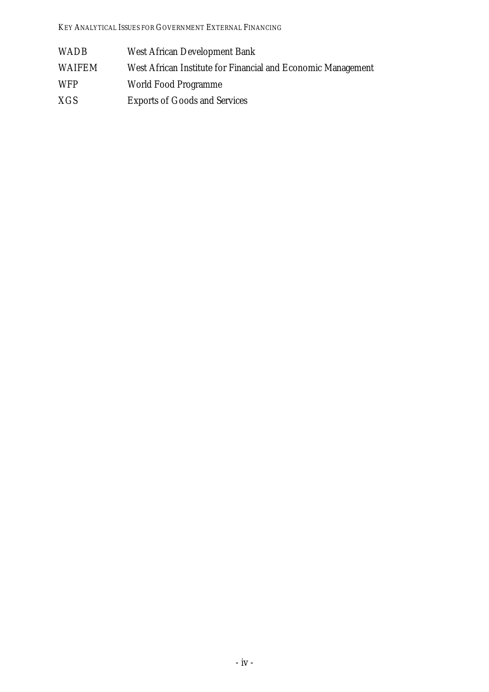| <b>WADB</b> | <b>West African Development Bank</b>                         |
|-------------|--------------------------------------------------------------|
| WAIFEM      | West African Institute for Financial and Economic Management |
| <b>WFP</b>  | <b>World Food Programme</b>                                  |
| XGS         | <b>Exports of Goods and Services</b>                         |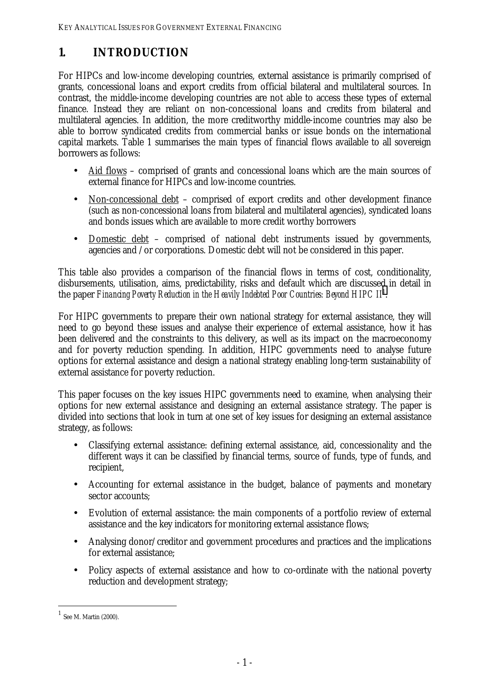# <span id="page-10-0"></span>**1. INTRODUCTION**

For HIPCs and low-income developing countries, external assistance is primarily comprised of grants, concessional loans and export credits from official bilateral and multilateral sources. In contrast, the middle-income developing countries are not able to access these types of external finance. Instead they are reliant on non-concessional loans and credits from bilateral and multilateral agencies. In addition, the more creditworthy middle-income countries may also be able to borrow syndicated credits from commercial banks or issue bonds on the international capital markets. Table 1 summarises the main types of financial flows available to all sovereign borrowers as follows:

- Aid flows comprised of grants and concessional loans which are the main sources of external finance for HIPCs and low-income countries.
- Non-concessional debt comprised of export credits and other development finance (such as non-concessional loans from bilateral and multilateral agencies), syndicated loans and bonds issues which are available to more credit worthy borrowers
- Domestic debt comprised of national debt instruments issued by governments, agencies and /or corporations. Domestic debt will not be considered in this paper.

This table also provides a comparison of the financial flows in terms of cost, conditionality, disbursements, utilisation, aims, predictability, risks and default which are discussed in detail in the paper *Financing Poverty Reduction in the Heavily Indebted Poor Countries: Beyond HIPC II*<sup>1</sup> .

For HIPC governments to prepare their own national strategy for external assistance, they will need to go beyond these issues and analyse their experience of external assistance, how it has been delivered and the constraints to this delivery, as well as its impact on the macroeconomy and for poverty reduction spending. In addition, HIPC governments need to analyse future options for external assistance and design a national strategy enabling long-term sustainability of external assistance for poverty reduction.

This paper focuses on the key issues HIPC governments need to examine, when analysing their options for new external assistance and designing an external assistance strategy. The paper is divided into sections that look in turn at one set of key issues for designing an external assistance strategy, as follows:

- Classifying external assistance: defining external assistance, aid, concessionality and the different ways it can be classified by financial terms, source of funds, type of funds, and recipient,
- Accounting for external assistance in the budget, balance of payments and monetary sector accounts:
- Evolution of external assistance: the main components of a portfolio review of external assistance and the key indicators for monitoring external assistance flows;
- Analysing donor/creditor and government procedures and practices and the implications for external assistance;
- Policy aspects of external assistance and how to co-ordinate with the national poverty reduction and development strategy;

 $^{\rm 1}$  See M. Martin (2000).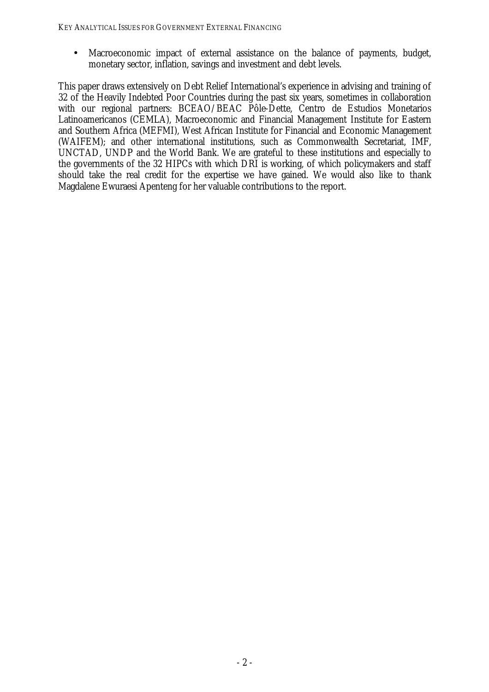• Macroeconomic impact of external assistance on the balance of payments, budget, monetary sector, inflation, savings and investment and debt levels.

This paper draws extensively on Debt Relief International's experience in advising and training of 32 of the Heavily Indebted Poor Countries during the past six years, sometimes in collaboration with our regional partners: BCEAO/BEAC Pôle-Dette, Centro de Estudios Monetarios Latinoamericanos (CEMLA), Macroeconomic and Financial Management Institute for Eastern and Southern Africa (MEFMI), West African Institute for Financial and Economic Management (WAIFEM); and other international institutions, such as Commonwealth Secretariat, IMF, UNCTAD, UNDP and the World Bank. We are grateful to these institutions and especially to the governments of the 32 HIPCs with which DRI is working, of which policymakers and staff should take the real credit for the expertise we have gained. We would also like to thank Magdalene Ewuraesi Apenteng for her valuable contributions to the report.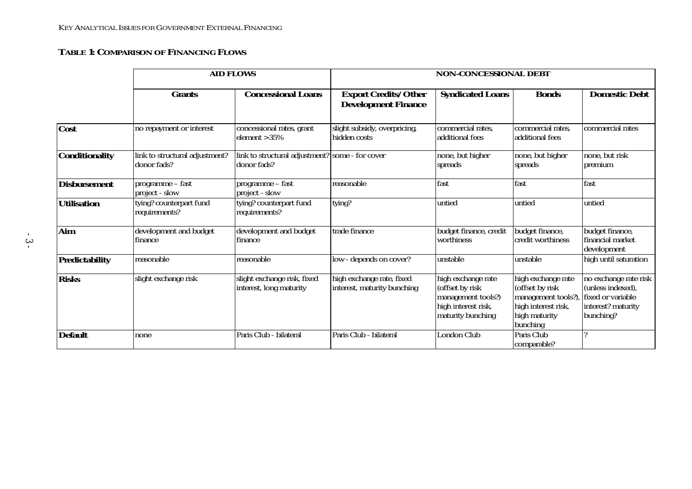#### <span id="page-12-0"></span>**TABLE 1: COMPARISON OF FINANCING FLOWS**

|                       |                                               | <b>AID FLOWS</b>                                               | <b>NON-CONCESSIONAL DEBT</b>                              |                                                                                                         |                                                                                                                  |                                                                                                    |  |  |
|-----------------------|-----------------------------------------------|----------------------------------------------------------------|-----------------------------------------------------------|---------------------------------------------------------------------------------------------------------|------------------------------------------------------------------------------------------------------------------|----------------------------------------------------------------------------------------------------|--|--|
|                       | <b>Grants</b>                                 | <b>Concessional Loans</b>                                      | <b>Export Credits/Other</b><br><b>Development Finance</b> | <b>Syndicated Loans</b>                                                                                 | <b>Bonds</b>                                                                                                     | <b>Domestic Debt</b>                                                                               |  |  |
| <b>Cost</b>           | no repayment or interest                      | concessional rates, grant<br>element $>35\%$                   | slight subsidy, overpricing,<br>hidden costs              | commercial rates.<br>additional fees                                                                    | commercial rates,<br>additional fees                                                                             | commercial rates                                                                                   |  |  |
| <b>Conditionality</b> | link to structural adjustment?<br>donor fads? | link to structural adjustment? some - for cover<br>donor fads? |                                                           | none, but higher<br>spreads                                                                             | none, but higher<br>spreads                                                                                      | none, but risk<br>premium                                                                          |  |  |
| <b>Disbursement</b>   | programme - fast<br>project - slow            | programme - fast<br>project - slow                             | reasonable                                                | fast                                                                                                    | fast                                                                                                             | fast                                                                                               |  |  |
| <b>Utilisation</b>    | tying? counterpart fund<br>requirements?      | tying? counterpart fund<br>requirements?                       | tying?                                                    | untied                                                                                                  | untied                                                                                                           | untied                                                                                             |  |  |
| Aim                   | development and budget<br>finance             | development and budget<br>finance                              | trade finance                                             | budget finance, credit<br>worthiness                                                                    | budget finance,<br>credit worthiness                                                                             | budget finance,<br>financial market<br>development                                                 |  |  |
| <b>Predictability</b> | reasonable                                    | reasonable                                                     | low - depends on cover?                                   | unstable                                                                                                | unstable                                                                                                         | high until saturation                                                                              |  |  |
| <b>Risks</b>          | slight exchange risk                          | slight exchange risk, fixed<br>interest, long maturity         | high exchange rate, fixed<br>interest, maturity bunching  | high exchange rate<br>(offset by risk<br>management tools?)<br>high interest risk,<br>maturity bunching | high exchange rate<br>(offset by risk<br>management tools?),<br>high interest risk,<br>high maturity<br>bunching | no exchange rate risk<br>(unless indexed),<br>fixed or variable<br>interest? maturity<br>bunching? |  |  |
| <b>Default</b>        | none                                          | Paris Club - bilateral                                         | Paris Club - bilateral                                    | <b>London Club</b>                                                                                      | Paris Club<br>comparable?                                                                                        |                                                                                                    |  |  |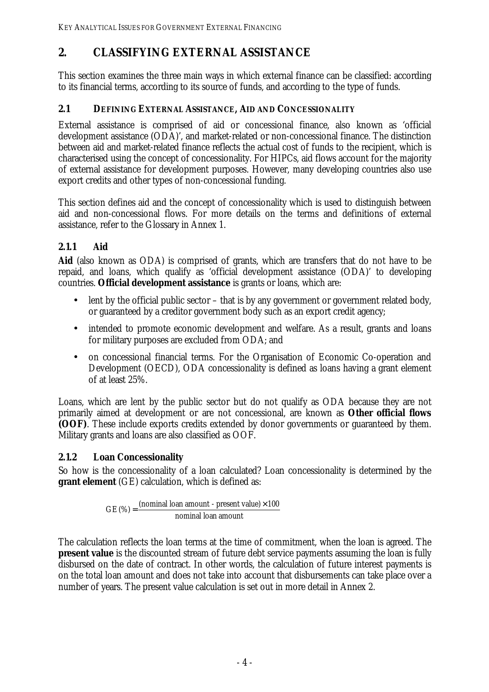# <span id="page-13-0"></span>**2. CLASSIFYING EXTERNAL ASSISTANCE**

This section examines the three main ways in which external finance can be classified: according to its financial terms, according to its source of funds, and according to the type of funds.

# **2.1 DEFINING EXTERNAL ASSISTANCE, AID AND CONCESSIONALITY**

External assistance is comprised of aid or concessional finance, also known as 'official development assistance (ODA)', and market-related or non-concessional finance. The distinction between aid and market-related finance reflects the actual cost of funds to the recipient, which is characterised using the concept of concessionality. For HIPCs, aid flows account for the majority of external assistance for development purposes. However, many developing countries also use export credits and other types of non-concessional funding.

This section defines aid and the concept of concessionality which is used to distinguish between aid and non-concessional flows. For more details on the terms and definitions of external assistance, refer to the Glossary in Annex 1.

# **2.1.1 Aid**

**Aid** (also known as ODA) is comprised of grants, which are transfers that do not have to be repaid, and loans, which qualify as 'official development assistance (ODA)' to developing countries. **Official development assistance** is grants or loans, which are:

- lent by the official public sector that is by any government or government related body, or guaranteed by a creditor government body such as an export credit agency;
- intended to promote economic development and welfare. As a result, grants and loans for military purposes are excluded from ODA; and
- on concessional financial terms. For the Organisation of Economic Co-operation and Development (OECD), ODA concessionality is defined as loans having a grant element of at least 25%.

Loans, which are lent by the public sector but do not qualify as ODA because they are not primarily aimed at development or are not concessional, are known as **Other official flows (OOF)**. These include exports credits extended by donor governments or guaranteed by them. Military grants and loans are also classified as OOF.

# **2.1.2 Loan Concessionality**

So how is the concessionality of a loan calculated? Loan concessionality is determined by the **grant element** (GE) calculation, which is defined as:

> nominal loan amount  $GE(%) = \frac{(nominal loan amount - present value) \times 100}{?}$

The calculation reflects the loan terms at the time of commitment, when the loan is agreed. The **present value** is the discounted stream of future debt service payments assuming the loan is fully disbursed on the date of contract. In other words, the calculation of future interest payments is on the total loan amount and does not take into account that disbursements can take place over a number of years. The present value calculation is set out in more detail in Annex 2.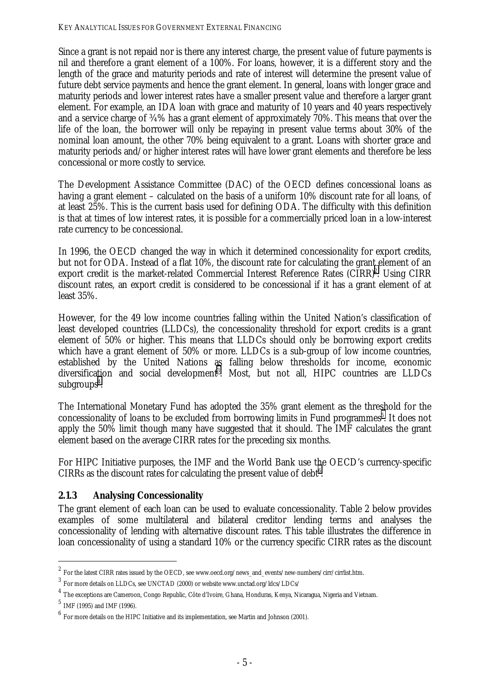<span id="page-14-0"></span>Since a grant is not repaid nor is there any interest charge, the present value of future payments is nil and therefore a grant element of a 100%. For loans, however, it is a different story and the length of the grace and maturity periods and rate of interest will determine the present value of future debt service payments and hence the grant element. In general, loans with longer grace and maturity periods and lower interest rates have a smaller present value and therefore a larger grant element. For example, an IDA loan with grace and maturity of 10 years and 40 years respectively and a service charge of ¾% has a grant element of approximately 70%. This means that over the life of the loan, the borrower will only be repaying in present value terms about 30% of the nominal loan amount, the other 70% being equivalent to a grant. Loans with shorter grace and maturity periods and/or higher interest rates will have lower grant elements and therefore be less concessional or more costly to service.

The Development Assistance Committee (DAC) of the OECD defines concessional loans as having a grant element – calculated on the basis of a uniform 10% discount rate for all loans, of at least 25%. This is the current basis used for defining ODA. The difficulty with this definition is that at times of low interest rates, it is possible for a commercially priced loan in a low-interest rate currency to be concessional.

In 1996, the OECD changed the way in which it determined concessionality for export credits, but not for ODA. Instead of a flat 10%, the discount rate for calculating the grant element of an export credit is the market-related Commercial Interest Reference Rates  $(CIRR)^2$ . Using  $CIRR$ discount rates, an export credit is considered to be concessional if it has a grant element of at least 35%.

However, for the 49 low income countries falling within the United Nation's classification of least developed countries (LLDCs), the concessionality threshold for export credits is a grant element of 50% or higher. This means that LLDCs should only be borrowing export credits which have a grant element of 50% or more. LLDCs is a sub-group of low income countries, established by the United Nations as falling below thresholds for income, economic diversification and social development<sup>3</sup>. Most, but not all, HIPC countries are LLDCs subgroups<sup>4</sup>.

The International Monetary Fund has adopted the 35% grant element as the threshold for the concessionality of loans to be excluded from borrowing limits in Fund programmes<sup>5</sup>. It does not apply the 50% limit though many have suggested that it should. The IMF calculates the grant element based on the average CIRR rates for the preceding six months.

For HIPC Initiative purposes, the IMF and the World Bank use the OECD's currency-specific CIRRs as the discount rates for calculating the present value of  $debt<sup>6</sup>$ .

# **2.1.3 Analysing Concessionality**

The grant element of each loan can be used to evaluate concessionality. Table 2 below provides examples of some multilateral and bilateral creditor lending terms and analyses the concessionality of lending with alternative discount rates. This table illustrates the difference in loan concessionality of using a standard 10% or the currency specific CIRR rates as the discount

 $^2$  For the latest CIRR rates issued by the OECD, see www.oecd.org/news\_and\_events/new-numbers/cirr/cirrlist.htm.  $^3$  For more details on LLDCs, see UNCTAD (2000) or website www.unctad.org/ldcs/LDCs/

 $<sup>4</sup>$  The exceptions are Cameroon, Congo Republic, Côte d'Ivoire, Ghana, Honduras, Kenya, Nicaragua, Nigeria and Vietnam.</sup>

 $^{5}$  IMF (1995) and IMF (1996).

 $^6\,$  For more details on the HIPC Initiative and its implementation, see Martin and Johnson (2001).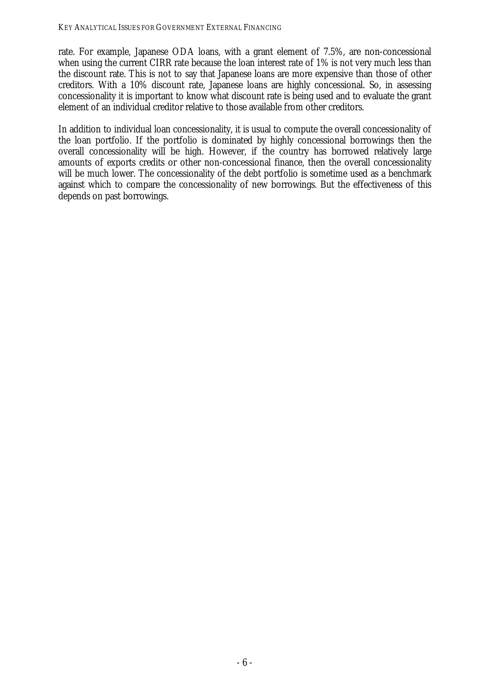rate. For example, Japanese ODA loans, with a grant element of 7.5%, are non-concessional when using the current CIRR rate because the loan interest rate of 1% is not very much less than the discount rate. This is not to say that Japanese loans are more expensive than those of other creditors. With a 10% discount rate, Japanese loans are highly concessional. So, in assessing concessionality it is important to know what discount rate is being used and to evaluate the grant element of an individual creditor relative to those available from other creditors.

In addition to individual loan concessionality, it is usual to compute the overall concessionality of the loan portfolio. If the portfolio is dominated by highly concessional borrowings then the overall concessionality will be high. However, if the country has borrowed relatively large amounts of exports credits or other non-concessional finance, then the overall concessionality will be much lower. The concessionality of the debt portfolio is sometime used as a benchmark against which to compare the concessionality of new borrowings. But the effectiveness of this depends on past borrowings.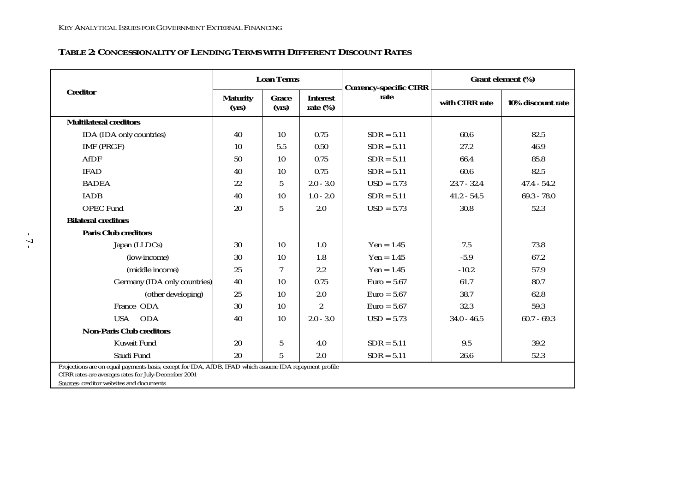#### <span id="page-16-0"></span>**TABLE 2: CONCESSIONALITY OF LENDING TERMS WITH DIFFERENT DISCOUNT RATES**

|                                                                                                                                                                                                            | <b>Loan Terms</b>        |                |                                | <b>Currency-specific CIRR</b> | Grant element (%) |                   |  |
|------------------------------------------------------------------------------------------------------------------------------------------------------------------------------------------------------------|--------------------------|----------------|--------------------------------|-------------------------------|-------------------|-------------------|--|
| <b>Creditor</b>                                                                                                                                                                                            | <b>Maturity</b><br>(yrs) | Grace<br>(yrs) | <b>Interest</b><br>rate $(\%)$ | rate                          | with CIRR rate    | 10% discount rate |  |
| <b>Multilateral creditors</b>                                                                                                                                                                              |                          |                |                                |                               |                   |                   |  |
| IDA (IDA only countries)                                                                                                                                                                                   | 40                       | 10             | 0.75                           | $SDR = 5.11$                  | 60.6              | 82.5              |  |
| IMF (PRGF)                                                                                                                                                                                                 | 10                       | 5.5            | 0.50                           | $SDR = 5.11$                  | 27.2              | 46.9              |  |
| <b>AfDF</b>                                                                                                                                                                                                | 50                       | 10             | 0.75                           | $SDR = 5.11$                  | 66.4              | 85.8              |  |
| <b>IFAD</b>                                                                                                                                                                                                | 40                       | 10             | 0.75                           | $SDR = 5.11$                  | 60.6              | 82.5              |  |
| <b>BADEA</b>                                                                                                                                                                                               | 22                       | 5              | $2.0 - 3.0$                    | $USD = 5.73$                  | $23.7 - 32.4$     | $47.4 - 54.2$     |  |
| <b>IADB</b>                                                                                                                                                                                                | 40                       | 10             | $1.0 - 2.0$                    | $SDR = 5.11$                  | $41.2 - 54.5$     | $69.3 - 78.0$     |  |
| <b>OPEC Fund</b>                                                                                                                                                                                           | 20                       | $\overline{5}$ | 2.0                            | $USD = 5.73$                  | 30.8              | 52.3              |  |
| <b>Bilateral creditors</b>                                                                                                                                                                                 |                          |                |                                |                               |                   |                   |  |
| <b>Paris Club creditors</b>                                                                                                                                                                                |                          |                |                                |                               |                   |                   |  |
| Japan (LLDCs)                                                                                                                                                                                              | 30                       | 10             | 1.0                            | $Yen = 1.45$                  | 7.5               | 73.8              |  |
| (low-income)                                                                                                                                                                                               | 30                       | 10             | 1.8                            | $Yen = 1.45$                  | $-5.9$            | 67.2              |  |
| (middle income)                                                                                                                                                                                            | 25                       | 7              | 2.2                            | $Yen = 1.45$                  | $-10.2$           | 57.9              |  |
| Germany (IDA only countries)                                                                                                                                                                               | 40                       | 10             | 0.75                           | $Euro = 5.67$                 | 61.7              | 80.7              |  |
| (other developing)                                                                                                                                                                                         | 25                       | 10             | 2.0                            | $Euro = 5.67$                 | 38.7              | 62.8              |  |
| France ODA                                                                                                                                                                                                 | 30                       | 10             | $\boldsymbol{2}$               | $Euro = 5.67$                 | 32.3              | 59.3              |  |
| <b>USA</b><br><b>ODA</b>                                                                                                                                                                                   | 40                       | 10             | $2.0 - 3.0$                    | $USD = 5.73$                  | $34.0 - 46.5$     | $60.7 - 69.3$     |  |
| <b>Non-Paris Club creditors</b>                                                                                                                                                                            |                          |                |                                |                               |                   |                   |  |
| <b>Kuwait Fund</b>                                                                                                                                                                                         | 20                       | $\bf 5$        | 4.0                            | $SDR = 5.11$                  | 9.5               | 39.2              |  |
| Saudi Fund                                                                                                                                                                                                 | 20                       | $\overline{5}$ | 2.0                            | $SDR = 5.11$                  | 26.6              | 52.3              |  |
| Projections are on equal payments basis, except for IDA, AfDB, IFAD which assume IDA repayment profile<br>CIRR rates are averages rates for July-December 2001<br>Sources: creditor websites and documents |                          |                |                                |                               |                   |                   |  |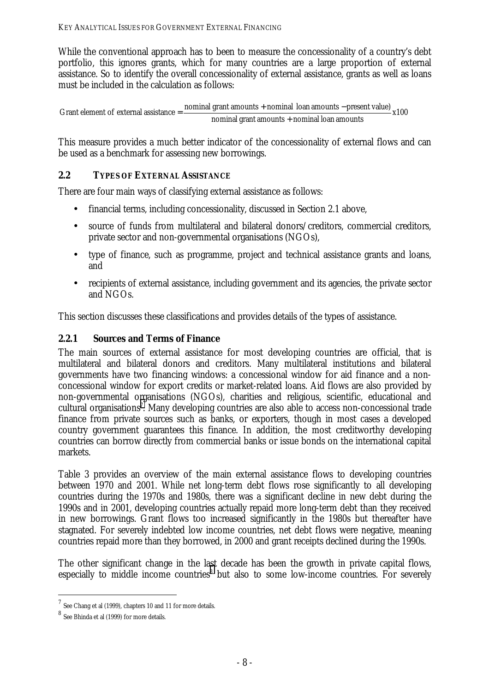<span id="page-17-0"></span>While the conventional approach has to been to measure the concessionality of a country's debt portfolio, this ignores grants, which for many countries are a large proportion of external assistance. So to identify the overall concessionality of external assistance, grants as well as loans must be included in the calculation as follows:

Grant element of external assistance  $=$   $\frac{nominal \, grant \, amounts - present \, value)}{x100}$   $x100$ nominal grant amounts + nominal loan amounts

This measure provides a much better indicator of the concessionality of external flows and can be used as a benchmark for assessing new borrowings.

### **2.2 TYPES OF EXTERNAL ASSISTANCE**

There are four main ways of classifying external assistance as follows:

- financial terms, including concessionality, discussed in Section 2.1 above,
- source of funds from multilateral and bilateral donors/creditors, commercial creditors, private sector and non-governmental organisations (NGOs),
- type of finance, such as programme, project and technical assistance grants and loans, and
- recipients of external assistance, including government and its agencies, the private sector and NGOs.

This section discusses these classifications and provides details of the types of assistance.

# **2.2.1 Sources and Terms of Finance**

The main sources of external assistance for most developing countries are official, that is multilateral and bilateral donors and creditors. Many multilateral institutions and bilateral governments have two financing windows: a concessional window for aid finance and a nonconcessional window for export credits or market-related loans. Aid flows are also provided by non-governmental organisations (NGOs), charities and religious, scientific, educational and cultural organisations<sup>7</sup>. Many developing countries are also able to access non-concessional trade finance from private sources such as banks, or exporters, though in most cases a developed country government guarantees this finance. In addition, the most creditworthy developing countries can borrow directly from commercial banks or issue bonds on the international capital markets.

Table 3 provides an overview of the main external assistance flows to developing countries between 1970 and 2001. While net long-term debt flows rose significantly to all developing countries during the 1970s and 1980s, there was a significant decline in new debt during the 1990s and in 2001, developing countries actually repaid more long-term debt than they received in new borrowings. Grant flows too increased significantly in the 1980s but thereafter have stagnated. For severely indebted low income countries, net debt flows were negative, meaning countries repaid more than they borrowed, in 2000 and grant receipts declined during the 1990s.

The other significant change in the last decade has been the growth in private capital flows, especially to middle income countries<sup>8</sup> but also to some low-income countries. For severely

 $7$  See Chang et al (1999), chapters 10 and 11 for more details.

<sup>8</sup> See Bhinda et al (1999) for more details.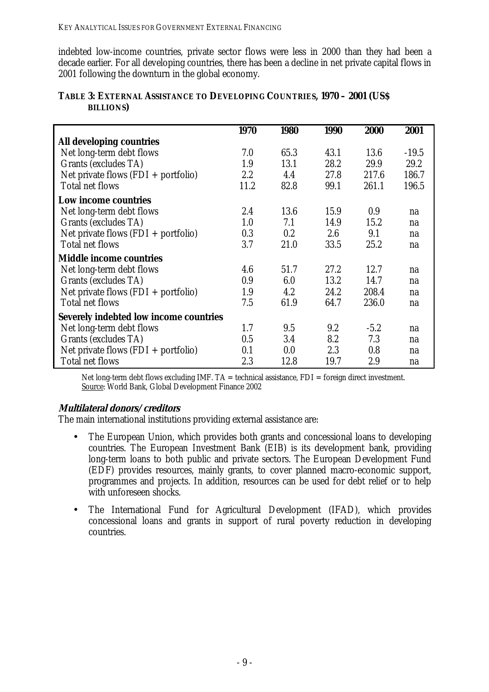<span id="page-18-0"></span>indebted low-income countries, private sector flows were less in 2000 than they had been a decade earlier. For all developing countries, there has been a decline in net private capital flows in 2001 following the downturn in the global economy.

|                                               | 1970    | 1980 | <b>1990</b> | 2000   | 2001    |
|-----------------------------------------------|---------|------|-------------|--------|---------|
| All developing countries                      |         |      |             |        |         |
| Net long-term debt flows                      | 7.0     | 65.3 | 43.1        | 13.6   | $-19.5$ |
| Grants (excludes TA)                          | 1.9     | 13.1 | 28.2        | 29.9   | 29.2    |
| Net private flows $(FDI + portfolio)$         | $2.2\,$ | 4.4  | 27.8        | 217.6  | 186.7   |
| <b>Total net flows</b>                        | 11.2    | 82.8 | 99.1        | 261.1  | 196.5   |
| Low income countries                          |         |      |             |        |         |
| Net long-term debt flows                      | 2.4     | 13.6 | 15.9        | 0.9    | na      |
| Grants (excludes TA)                          | 1.0     | 7.1  | 14.9        | 15.2   | na      |
| Net private flows $(FDI + portfolio)$         | 0.3     | 0.2  | 2.6         | 9.1    | na      |
| <b>Total net flows</b>                        | 3.7     | 21.0 | 33.5        | 25.2   | na      |
| <b>Middle income countries</b>                |         |      |             |        |         |
| Net long-term debt flows                      | 4.6     | 51.7 | 27.2        | 12.7   | na      |
| Grants (excludes TA)                          | 0.9     | 6.0  | 13.2        | 14.7   | na      |
| Net private flows $(FDI + portfolio)$         | 1.9     | 4.2  | 24.2        | 208.4  | na      |
| <b>Total net flows</b>                        | 7.5     | 61.9 | 64.7        | 236.0  | na      |
| <b>Severely indebted low income countries</b> |         |      |             |        |         |
| Net long-term debt flows                      | 1.7     | 9.5  | 9.2         | $-5.2$ | na      |
| <b>Grants (excludes TA)</b>                   | 0.5     | 3.4  | 8.2         | 7.3    | na      |
| Net private flows $(FDI + portfolio)$         | 0.1     | 0.0  | 2.3         | 0.8    | na      |
| <b>Total net flows</b>                        | 2.3     | 12.8 | 19.7        | 2.9    | na      |

#### **TABLE 3: EXTERNAL ASSISTANCE TO DEVELOPING COUNTRIES, 1970 – 2001 (US\$ BILLIONS)**

Net long-term debt flows excluding IMF.  $TA =$  technical assistance,  $FDI =$  foreign direct investment. Source: World Bank, Global Development Finance 2002

#### **Multilateral donors/creditors**

The main international institutions providing external assistance are:

- The European Union, which provides both grants and concessional loans to developing countries. The European Investment Bank (EIB) is its development bank, providing long-term loans to both public and private sectors. The European Development Fund (EDF) provides resources, mainly grants, to cover planned macro-economic support, programmes and projects. In addition, resources can be used for debt relief or to help with unforeseen shocks.
- The International Fund for Agricultural Development (IFAD), which provides concessional loans and grants in support of rural poverty reduction in developing countries.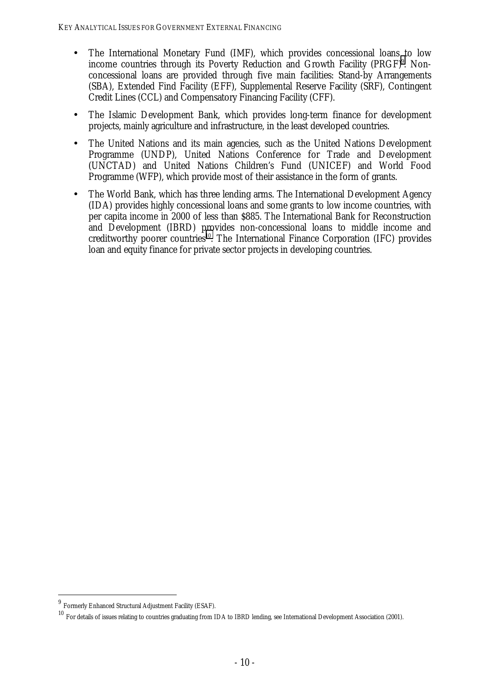- The International Monetary Fund (IMF), which provides concessional loans to low income countries through its Poverty Reduction and Growth Facility (PRGF)<sup>9</sup>. Nonconcessional loans are provided through five main facilities: Stand-by Arrangements (SBA), Extended Find Facility (EFF), Supplemental Reserve Facility (SRF), Contingent Credit Lines (CCL) and Compensatory Financing Facility (CFF).
- The Islamic Development Bank, which provides long-term finance for development projects, mainly agriculture and infrastructure, in the least developed countries.
- The United Nations and its main agencies, such as the United Nations Development Programme (UNDP), United Nations Conference for Trade and Development (UNCTAD) and United Nations Children's Fund (UNICEF) and World Food Programme (WFP), which provide most of their assistance in the form of grants.
- The World Bank, which has three lending arms. The International Development Agency (IDA) provides highly concessional loans and some grants to low income countries, with per capita income in 2000 of less than \$885. The International Bank for Reconstruction and Development (IBRD) provides non-concessional loans to middle income and creditworthy poorer countries<sup>10</sup>. The International Finance Corporation (IFC) provides loan and equity finance for private sector projects in developing countries.

<sup>9</sup> Formerly Enhanced Structural Adjustment Facility (ESAF).

<sup>10</sup> For details of issues relating to countries graduating from IDA to IBRD lending, see International Development Association (2001).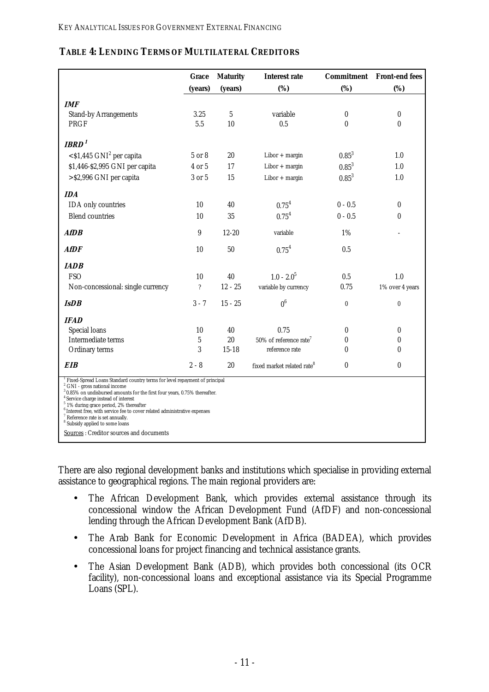|                                                                                                                                                                                                                                                                                                                                                                                                                                                                                                                                | Grace                      | <b>Maturity</b> | <b>Interest rate</b>                   |                  | <b>Commitment</b> Front-end fees |
|--------------------------------------------------------------------------------------------------------------------------------------------------------------------------------------------------------------------------------------------------------------------------------------------------------------------------------------------------------------------------------------------------------------------------------------------------------------------------------------------------------------------------------|----------------------------|-----------------|----------------------------------------|------------------|----------------------------------|
|                                                                                                                                                                                                                                                                                                                                                                                                                                                                                                                                | (years)                    | (years)         | (%)                                    | (%)              | (%)                              |
| <b>IMF</b>                                                                                                                                                                                                                                                                                                                                                                                                                                                                                                                     |                            |                 |                                        |                  |                                  |
| <b>Stand-by Arrangements</b>                                                                                                                                                                                                                                                                                                                                                                                                                                                                                                   | 3.25                       | 5               | variable                               | $\boldsymbol{0}$ | $\bf{0}$                         |
| PRGF                                                                                                                                                                                                                                                                                                                                                                                                                                                                                                                           | 5.5                        | 10              | 0.5                                    | $\boldsymbol{0}$ | $\mathbf{0}$                     |
| <b>IBRD</b> <sup>1</sup>                                                                                                                                                                                                                                                                                                                                                                                                                                                                                                       |                            |                 |                                        |                  |                                  |
| $<$ \$1,445 GNI <sup>2</sup> per capita                                                                                                                                                                                                                                                                                                                                                                                                                                                                                        | 5 or 8                     | 20              | $Libor + margin$                       | $0.85^{3}$       | 1.0                              |
| \$1,446-\$2,995 GNI per capita                                                                                                                                                                                                                                                                                                                                                                                                                                                                                                 | 4 or 5                     | 17              | Libor + margin                         | $0.85^{3}$       | 1.0                              |
| >\$2,996 GNI per capita                                                                                                                                                                                                                                                                                                                                                                                                                                                                                                        | 3 or 5                     | 15              | $Libor + margin$                       | $0.85^{3}$       | 1.0                              |
| <b>IDA</b>                                                                                                                                                                                                                                                                                                                                                                                                                                                                                                                     |                            |                 |                                        |                  |                                  |
| IDA only countries                                                                                                                                                                                                                                                                                                                                                                                                                                                                                                             | 10                         | 40              | $0.75^{4}$                             | $0 - 0.5$        | $\bf{0}$                         |
| <b>Blend countries</b>                                                                                                                                                                                                                                                                                                                                                                                                                                                                                                         | 10                         | 35              | $0.75^{4}$                             | $0 - 0.5$        | 0                                |
| <b>AfDB</b>                                                                                                                                                                                                                                                                                                                                                                                                                                                                                                                    | 9                          | $12 - 20$       | variable                               | 1%               |                                  |
| <b>AfDF</b>                                                                                                                                                                                                                                                                                                                                                                                                                                                                                                                    | 10                         | 50              | $0.75^{4}$                             | 0.5              |                                  |
| <b>IADB</b>                                                                                                                                                                                                                                                                                                                                                                                                                                                                                                                    |                            |                 |                                        |                  |                                  |
| <b>FSO</b>                                                                                                                                                                                                                                                                                                                                                                                                                                                                                                                     | 10                         | 40              | $1.0 - 2.05$                           | 0.5              | 1.0                              |
| Non-concessional: single currency                                                                                                                                                                                                                                                                                                                                                                                                                                                                                              | $\boldsymbol{\mathcal{P}}$ | $12 - 25$       | variable by currency                   | 0.75             | 1% over 4 years                  |
| <b>IsDB</b>                                                                                                                                                                                                                                                                                                                                                                                                                                                                                                                    | $3 - 7$                    | $15 - 25$       | 0 <sup>6</sup>                         | $\bf{0}$         | $\bf{0}$                         |
| <b>IFAD</b>                                                                                                                                                                                                                                                                                                                                                                                                                                                                                                                    |                            |                 |                                        |                  |                                  |
| Special loans                                                                                                                                                                                                                                                                                                                                                                                                                                                                                                                  | 10                         | 40              | 0.75                                   | 0                | $\bf{0}$                         |
| Intermediate terms                                                                                                                                                                                                                                                                                                                                                                                                                                                                                                             | 5                          | 20              | $50\%$ of reference rate <sup>7</sup>  | 0                | 0                                |
| Ordinary terms                                                                                                                                                                                                                                                                                                                                                                                                                                                                                                                 | 3                          | $15 - 18$       | reference rate                         | $\bf{0}$         | 0                                |
| <b>EIB</b>                                                                                                                                                                                                                                                                                                                                                                                                                                                                                                                     | $2 - 8$                    | 20              | fixed market related rate <sup>8</sup> | $\bf{0}$         | 0                                |
| Fixed-Spread Loans Standard country terms for level repayment of principal<br>$^2$ GNI - gross national income<br>$30.85\%$ on undisbursed amounts for the first four years, 0.75% thereafter.<br><sup>4</sup> Service charge instead of interest<br>$5$ 1% during grace period, 2% thereafter<br>$^{\rm 6}$ Interest free, with service fee to cover related administrative expenses<br><sup>7</sup> Reference rate is set annually.<br><sup>8</sup> Subsidy applied to some loans<br>Sources: Creditor sources and documents |                            |                 |                                        |                  |                                  |

#### <span id="page-20-0"></span>**TABLE 4: LENDING TERMS OF MULTILATERAL CREDITORS**

There are also regional development banks and institutions which specialise in providing external assistance to geographical regions. The main regional providers are:

- The African Development Bank, which provides external assistance through its concessional window the African Development Fund (AfDF) and non-concessional lending through the African Development Bank (AfDB).
- The Arab Bank for Economic Development in Africa (BADEA), which provides concessional loans for project financing and technical assistance grants.
- The Asian Development Bank (ADB), which provides both concessional (its OCR facility), non-concessional loans and exceptional assistance via its Special Programme Loans (SPL).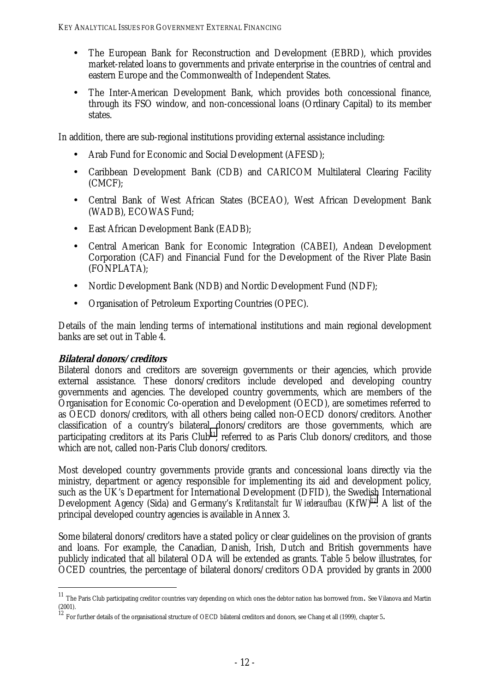- The European Bank for Reconstruction and Development (EBRD), which provides market-related loans to governments and private enterprise in the countries of central and eastern Europe and the Commonwealth of Independent States.
- The Inter-American Development Bank, which provides both concessional finance, through its FSO window, and non-concessional loans (Ordinary Capital) to its member states.

In addition, there are sub-regional institutions providing external assistance including:

- Arab Fund for Economic and Social Development (AFESD);
- Caribbean Development Bank (CDB) and CARICOM Multilateral Clearing Facility (CMCF);
- Central Bank of West African States (BCEAO), West African Development Bank (WADB), ECOWAS Fund;
- East African Development Bank (EADB);
- Central American Bank for Economic Integration (CABEI), Andean Development Corporation (CAF) and Financial Fund for the Development of the River Plate Basin (FONPLATA);
- Nordic Development Bank (NDB) and Nordic Development Fund (NDF);
- Organisation of Petroleum Exporting Countries (OPEC).

Details of the main lending terms of international institutions and main regional development banks are set out in Table 4.

#### **Bilateral donors/creditors**

 $\overline{a}$ 

Bilateral donors and creditors are sovereign governments or their agencies, which provide external assistance. These donors/creditors include developed and developing country governments and agencies. The developed country governments, which are members of the Organisation for Economic Co-operation and Development (OECD), are sometimes referred to as OECD donors/creditors, with all others being called non-OECD donors/creditors. Another classification of a country's bilateral donors/creditors are those governments, which are participating creditors at its Paris Club<sup>11</sup>, referred to as Paris Club donors/creditors, and those which are not, called non-Paris Club donors/creditors.

Most developed country governments provide grants and concessional loans directly via the ministry, department or agency responsible for implementing its aid and development policy, such as the UK's Department for International Development (DFID), the Swedish International Development Agency (Sida) and Germany's *Kreditanstalt fur Wiederaufbau* (KfW)<sup>12</sup>. A list of the principal developed country agencies is available in Annex 3.

Some bilateral donors/creditors have a stated policy or clear guidelines on the provision of grants and loans. For example, the Canadian, Danish, Irish, Dutch and British governments have publicly indicated that all bilateral ODA will be extended as grants. Table 5 below illustrates, for OCED countries, the percentage of bilateral donors/creditors ODA provided by grants in 2000

 $^\mathrm{11}$  The Paris Club participating creditor countries vary depending on which ones the debtor nation has borrowed from. See Vilanova and Martin (2001).

 $12$  For further details of the organisational structure of OECD bilateral creditors and donors, see Chang et all (1999), chapter 5.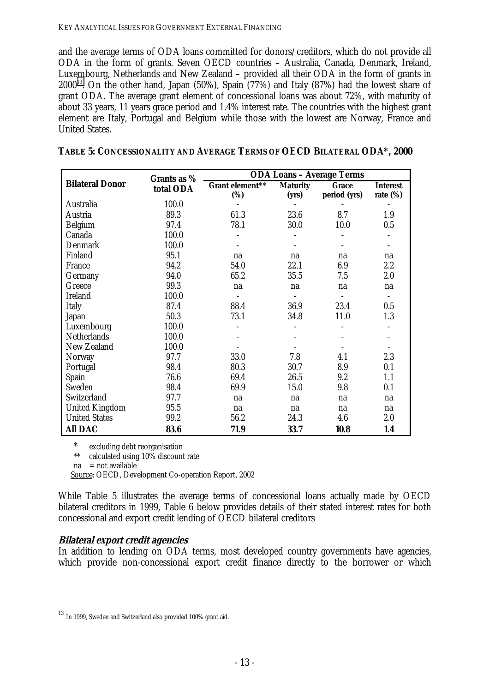<span id="page-22-0"></span>and the average terms of ODA loans committed for donors/creditors, which do not provide all ODA in the form of grants. Seven OECD countries – Australia, Canada, Denmark, Ireland, Luxembourg, Netherlands and New Zealand – provided all their ODA in the form of grants in  $2000^{13}$ . On the other hand, Japan (50%), Spain (77%) and Italy (87%) had the lowest share of grant ODA. The average grant element of concessional loans was about 72%, with maturity of about 33 years, 11 years grace period and 1.4% interest rate. The countries with the highest grant element are Italy, Portugal and Belgium while those with the lowest are Norway, France and United States.

| TABLE 5: CONCESSIONALITY AND AVERAGE TERMS OF OECD BILATERAL ODA*, 2000 |
|-------------------------------------------------------------------------|
|-------------------------------------------------------------------------|

|                        | Grants as %<br>total ODA | <b>ODA Loans - Average Terms</b> |                          |                       |                                |  |  |
|------------------------|--------------------------|----------------------------------|--------------------------|-----------------------|--------------------------------|--|--|
| <b>Bilateral Donor</b> |                          | Grant element**<br>(%)           | <b>Maturity</b><br>(yrs) | Grace<br>period (yrs) | <b>Interest</b><br>rate $(\%)$ |  |  |
| Australia              | 100.0                    |                                  |                          |                       |                                |  |  |
| Austria                | 89.3                     | 61.3                             | 23.6                     | 8.7                   | 1.9                            |  |  |
| <b>Belgium</b>         | 97.4                     | 78.1                             | 30.0                     | 10.0                  | 0.5                            |  |  |
| Canada                 | 100.0                    |                                  |                          |                       |                                |  |  |
| Denmark                | 100.0                    |                                  |                          |                       |                                |  |  |
| Finland                | 95.1                     | na                               | na                       | na                    | na                             |  |  |
| France                 | 94.2                     | 54.0                             | 22.1                     | 6.9                   | 2.2                            |  |  |
| Germany                | 94.0                     | 65.2                             | 35.5                     | 7.5                   | 2.0                            |  |  |
| Greece                 | 99.3                     | na                               | na                       | na                    | na                             |  |  |
| <b>Ireland</b>         | 100.0                    |                                  |                          |                       | $\overline{\phantom{a}}$       |  |  |
| <b>Italy</b>           | 87.4                     | 88.4                             | 36.9                     | 23.4                  | 0.5                            |  |  |
| Japan                  | 50.3                     | 73.1                             | 34.8                     | 11.0                  | 1.3                            |  |  |
| Luxembourg             | 100.0                    |                                  |                          |                       |                                |  |  |
| <b>Netherlands</b>     | 100.0                    |                                  |                          |                       |                                |  |  |
| <b>New Zealand</b>     | 100.0                    |                                  |                          |                       |                                |  |  |
| Norway                 | 97.7                     | 33.0                             | 7.8                      | 4.1                   | 2.3                            |  |  |
| Portugal               | 98.4                     | 80.3                             | 30.7                     | 8.9                   | 0.1                            |  |  |
| Spain                  | 76.6                     | 69.4                             | 26.5                     | 9.2                   | 1.1                            |  |  |
| Sweden                 | 98.4                     | 69.9                             | 15.0                     | 9.8                   | 0.1                            |  |  |
| Switzerland            | 97.7                     | na                               | na                       | na                    | na                             |  |  |
| <b>United Kingdom</b>  | 95.5                     | na                               | na                       | na                    | na                             |  |  |
| <b>United States</b>   | 99.2                     | 56.2                             | 24.3                     | 4.6                   | 2.0                            |  |  |
| <b>All DAC</b>         | 83.6                     | 71.9                             | 33.7                     | 10.8                  | 1.4                            |  |  |

\* excluding debt reorganisation<br>\*\* calculated using 10% discount

 $cal$  calculated using  $10\%$  discount rate

 $na = not available$ 

 $\overline{a}$ 

Source: OECD, Development Co-operation Report, 2002

While Table 5 illustrates the average terms of concessional loans actually made by OECD bilateral creditors in 1999, Table 6 below provides details of their stated interest rates for both concessional and export credit lending of OECD bilateral creditors

# **Bilateral export credit agencies**

In addition to lending on ODA terms, most developed country governments have agencies, which provide non-concessional export credit finance directly to the borrower or which

 $^{13}$  In 1999, Sweden and Switzerland also provided 100% grant aid.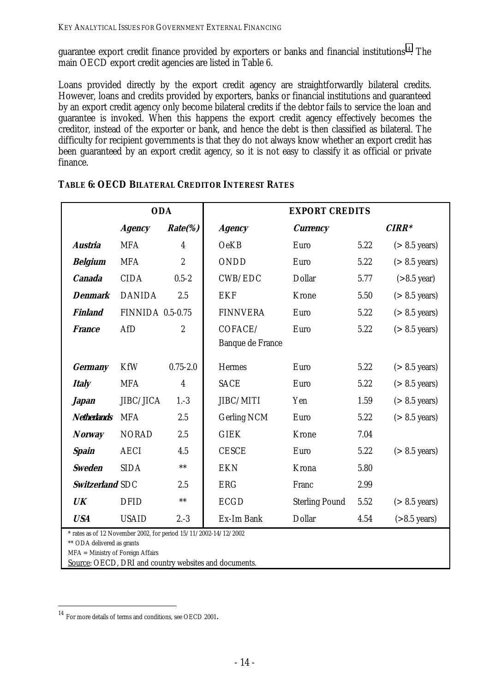<span id="page-23-0"></span>guarantee export credit finance provided by exporters or banks and financial institutions $14$ . The main OECD export credit agencies are listed in Table 6.

Loans provided directly by the export credit agency are straightforwardly bilateral credits. However, loans and credits provided by exporters, banks or financial institutions and guaranteed by an export credit agency only become bilateral credits if the debtor fails to service the loan and guarantee is invoked. When this happens the export credit agency effectively becomes the creditor, instead of the exporter or bank, and hence the debt is then classified as bilateral. The difficulty for recipient governments is that they do not always know whether an export credit has been guaranteed by an export credit agency, so it is not easy to classify it as official or private finance.

|                                                                                                | <b>ODA</b>              |                  | <b>EXPORT CREDITS</b> |                       |         |                          |
|------------------------------------------------------------------------------------------------|-------------------------|------------------|-----------------------|-----------------------|---------|--------------------------|
|                                                                                                | <b>Agency</b>           | $Rate$ %         | <b>Agency</b>         | <b>Currency</b>       | $CIRR*$ |                          |
| <b>Austria</b>                                                                                 | <b>MFA</b>              | $\overline{4}$   | <b>OeKB</b>           | Euro                  | 5.22    | $(> 8.5 \text{ years})$  |
| <b>Belgium</b>                                                                                 | <b>MFA</b>              | $\overline{c}$   | <b>ONDD</b>           | Euro                  | 5.22    | $(> 8.5 \text{ years})$  |
| <b>Canada</b>                                                                                  | <b>CIDA</b>             | $0.5 - 2$        | CWB/EDC               | <b>Dollar</b>         | 5.77    | $(>8.5$ year)            |
| <b>Denmark</b>                                                                                 | <b>DANIDA</b>           | 2.5              | <b>EKF</b>            | Krone                 | 5.50    | $($ > 8.5 years)         |
| <b>Finland</b>                                                                                 | <b>FINNIDA 0.5-0.75</b> |                  | <b>FINNVERA</b>       | Euro                  | 5.22    | $(> 8.5 \text{ years})$  |
| <b>France</b>                                                                                  | AfD                     | $\boldsymbol{2}$ | COFACE/               | Euro                  | 5.22    | $(> 8.5 \text{ years})$  |
|                                                                                                |                         |                  | Banque de France      |                       |         |                          |
| <b>Germany</b>                                                                                 | <b>KfW</b>              | $0.75 - 2.0$     | <b>Hermes</b>         | Euro                  | 5.22    | $(> 8.5 \text{ years})$  |
| <b>Italy</b>                                                                                   | <b>MFA</b>              | $\boldsymbol{4}$ | <b>SACE</b>           | Euro                  | 5.22    | $(> 8.5 \text{ years})$  |
| <b><i>Japan</i></b>                                                                            | JIBC/JICA               | $1.-3$           | JIBC/MITI             | Yen                   | 1.59    | $(> 8.5 \text{ years})$  |
| <b>Netherlands</b>                                                                             | <b>MFA</b>              | 2.5              | <b>Gerling NCM</b>    | Euro                  | 5.22    | $(> 8.5 \text{ years})$  |
| <b>Norway</b>                                                                                  | <b>NORAD</b>            | 2.5              | <b>GIEK</b>           | <b>Krone</b>          | 7.04    |                          |
| Spain                                                                                          | <b>AECI</b>             | 4.5              | <b>CESCE</b>          | Euro                  | 5.22    | $(> 8.5 \text{ years})$  |
| <b>Sweden</b>                                                                                  | <b>SIDA</b>             | $***$            | <b>EKN</b>            | Krona                 | 5.80    |                          |
| Switzerland SDC                                                                                |                         | 2.5              | <b>ERG</b>            | Franc                 | 2.99    |                          |
| UK                                                                                             | <b>DFID</b>             | $***$            | <b>ECGD</b>           | <b>Sterling Pound</b> | 5.52    | $(> 8.5 \text{ years})$  |
| <b>USA</b>                                                                                     | <b>USAID</b>            | $2.-3$           | Ex-Im Bank            | <b>Dollar</b>         | 4.54    | $( > 8.5 \text{ years})$ |
| * rates as of 12 November 2002, for period 15/11/2002-14/12/2002<br>** ODA delivered as grants |                         |                  |                       |                       |         |                          |
| $MFA =$ Ministry of Foreign Affairs                                                            |                         |                  |                       |                       |         |                          |

#### **TABLE 6: OECD BILATERAL CREDITOR INTEREST RATES**

MFA = Ministry of Foreign Affairs

Source: OECD, DRI and country websites and documents.

<sup>14</sup> For more details of terms and conditions, see OECD 2001.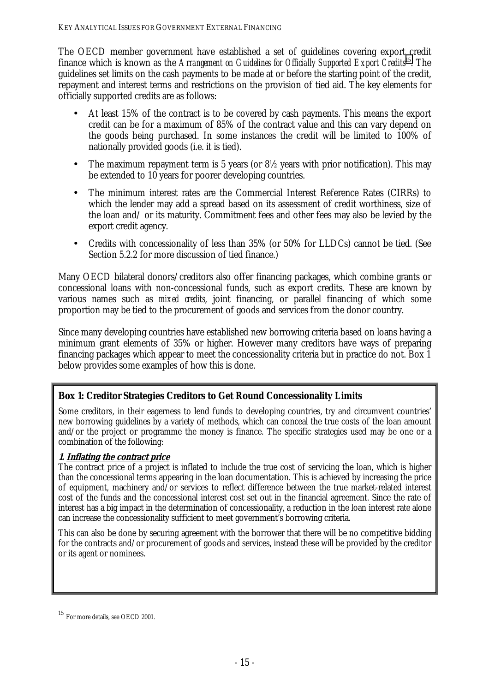<span id="page-24-0"></span>The OECD member government have established a set of guidelines covering export credit finance which is known as the *Arrangement on Guidelines for Officially Supported Export Credits*15. The guidelines set limits on the cash payments to be made at or before the starting point of the credit, repayment and interest terms and restrictions on the provision of tied aid. The key elements for officially supported credits are as follows:

- At least 15% of the contract is to be covered by cash payments. This means the export credit can be for a maximum of 85% of the contract value and this can vary depend on the goods being purchased. In some instances the credit will be limited to 100% of nationally provided goods (i.e. it is tied).
- The maximum repayment term is 5 years (or  $8\frac{1}{2}$  years with prior notification). This may be extended to 10 years for poorer developing countries.
- The minimum interest rates are the Commercial Interest Reference Rates (CIRRs) to which the lender may add a spread based on its assessment of credit worthiness, size of the loan and/ or its maturity. Commitment fees and other fees may also be levied by the export credit agency.
- Credits with concessionality of less than 35% (or 50% for LLDCs) cannot be tied. (See Section 5.2.2 for more discussion of tied finance.)

Many OECD bilateral donors/creditors also offer financing packages, which combine grants or concessional loans with non-concessional funds, such as export credits. These are known by various names such as *mixed credits*, joint financing, or parallel financing of which some proportion may be tied to the procurement of goods and services from the donor country.

Since many developing countries have established new borrowing criteria based on loans having a minimum grant elements of 35% or higher. However many creditors have ways of preparing financing packages which appear to meet the concessionality criteria but in practice do not. Box 1 below provides some examples of how this is done.

# **Box 1: Creditor Strategies Creditors to Get Round Concessionality Limits**

Some creditors, in their eagerness to lend funds to developing countries, try and circumvent countries' new borrowing guidelines by a variety of methods, which can conceal the true costs of the loan amount and/or the project or programme the money is finance. The specific strategies used may be one or a combination of the following:

#### **1. Inflating the contract price**

The contract price of a project is inflated to include the true cost of servicing the loan, which is higher than the concessional terms appearing in the loan documentation. This is achieved by increasing the price of equipment, machinery and/or services to reflect difference between the true market-related interest cost of the funds and the concessional interest cost set out in the financial agreement. Since the rate of interest has a big impact in the determination of concessionality, a reduction in the loan interest rate alone can increase the concessionality sufficient to meet government's borrowing criteria.

This can also be done by securing agreement with the borrower that there will be no competitive bidding for the contracts and/or procurement of goods and services, instead these will be provided by the creditor or its agent or nominees.

<sup>15</sup> For more details, see OECD 2001.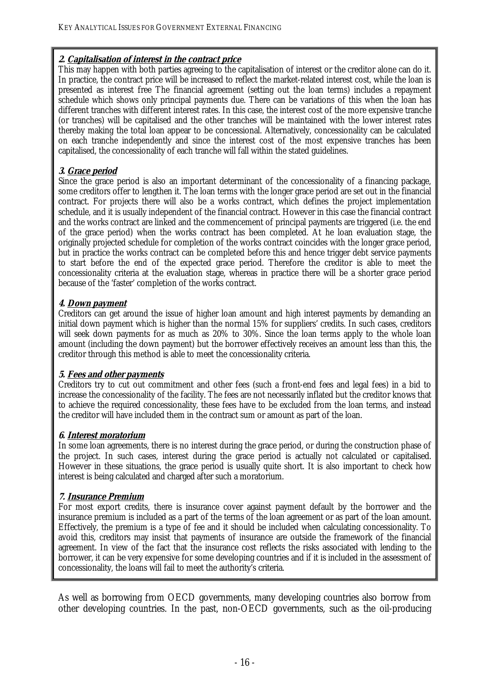#### **2. Capitalisation of interest in the contract price**

This may happen with both parties agreeing to the capitalisation of interest or the creditor alone can do it. In practice, the contract price will be increased to reflect the market-related interest cost, while the loan is presented as interest free The financial agreement (setting out the loan terms) includes a repayment schedule which shows only principal payments due. There can be variations of this when the loan has different tranches with different interest rates. In this case, the interest cost of the more expensive tranche (or tranches) will be capitalised and the other tranches will be maintained with the lower interest rates thereby making the total loan appear to be concessional. Alternatively, concessionality can be calculated on each tranche independently and since the interest cost of the most expensive tranches has been capitalised, the concessionality of each tranche will fall within the stated guidelines.

#### **3. Grace period**

Since the grace period is also an important determinant of the concessionality of a financing package, some creditors offer to lengthen it. The loan terms with the longer grace period are set out in the financial contract. For projects there will also be a works contract, which defines the project implementation schedule, and it is usually independent of the financial contract. However in this case the financial contract and the works contract are linked and the commencement of principal payments are triggered (i.e. the end of the grace period) when the works contract has been completed. At he loan evaluation stage, the originally projected schedule for completion of the works contract coincides with the longer grace period, but in practice the works contract can be completed before this and hence trigger debt service payments to start before the end of the expected grace period. Therefore the creditor is able to meet the concessionality criteria at the evaluation stage, whereas in practice there will be a shorter grace period because of the 'faster' completion of the works contract.

#### **4. Down payment**

Creditors can get around the issue of higher loan amount and high interest payments by demanding an initial down payment which is higher than the normal 15% for suppliers' credits. In such cases, creditors will seek down payments for as much as 20% to 30%. Since the loan terms apply to the whole loan amount (including the down payment) but the borrower effectively receives an amount less than this, the creditor through this method is able to meet the concessionality criteria.

#### **5. Fees and other payments**

Creditors try to cut out commitment and other fees (such a front-end fees and legal fees) in a bid to increase the concessionality of the facility. The fees are not necessarily inflated but the creditor knows that to achieve the required concessionality, these fees have to be excluded from the loan terms, and instead the creditor will have included them in the contract sum or amount as part of the loan.

#### **6. Interest moratorium**

In some loan agreements, there is no interest during the grace period, or during the construction phase of the project. In such cases, interest during the grace period is actually not calculated or capitalised. However in these situations, the grace period is usually quite short. It is also important to check how interest is being calculated and charged after such a moratorium.

#### **7. Insurance Premium**

For most export credits, there is insurance cover against payment default by the borrower and the insurance premium is included as a part of the terms of the loan agreement or as part of the loan amount. Effectively, the premium is a type of fee and it should be included when calculating concessionality. To avoid this, creditors may insist that payments of insurance are outside the framework of the financial agreement. In view of the fact that the insurance cost reflects the risks associated with lending to the borrower, it can be very expensive for some developing countries and if it is included in the assessment of concessionality, the loans will fail to meet the authority's criteria.

As well as borrowing from OECD governments, many developing countries also borrow from other developing countries. In the past, non-OECD governments, such as the oil-producing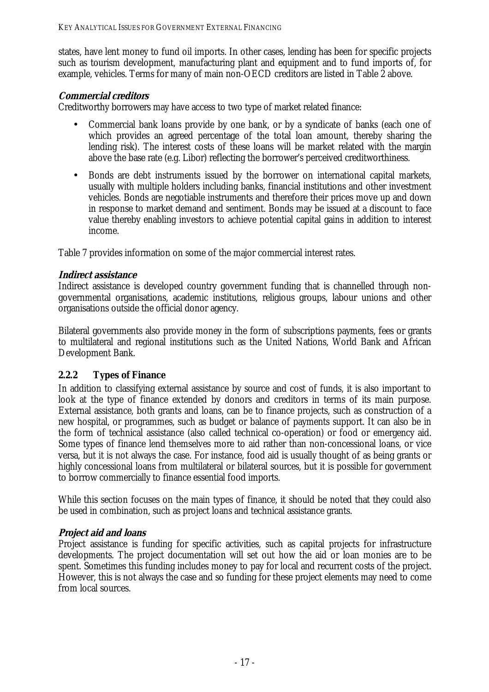<span id="page-26-0"></span>states, have lent money to fund oil imports. In other cases, lending has been for specific projects such as tourism development, manufacturing plant and equipment and to fund imports of, for example, vehicles. Terms for many of main non-OECD creditors are listed in Table 2 above.

### **Commercial creditors**

Creditworthy borrowers may have access to two type of market related finance:

- Commercial bank loans provide by one bank, or by a syndicate of banks (each one of which provides an agreed percentage of the total loan amount, thereby sharing the lending risk). The interest costs of these loans will be market related with the margin above the base rate (e.g. Libor) reflecting the borrower's perceived creditworthiness.
- Bonds are debt instruments issued by the borrower on international capital markets, usually with multiple holders including banks, financial institutions and other investment vehicles. Bonds are negotiable instruments and therefore their prices move up and down in response to market demand and sentiment. Bonds may be issued at a discount to face value thereby enabling investors to achieve potential capital gains in addition to interest income.

Table 7 provides information on some of the major commercial interest rates.

#### **Indirect assistance**

Indirect assistance is developed country government funding that is channelled through nongovernmental organisations, academic institutions, religious groups, labour unions and other organisations outside the official donor agency.

Bilateral governments also provide money in the form of subscriptions payments, fees or grants to multilateral and regional institutions such as the United Nations, World Bank and African Development Bank.

#### **2.2.2 Types of Finance**

In addition to classifying external assistance by source and cost of funds, it is also important to look at the type of finance extended by donors and creditors in terms of its main purpose. External assistance, both grants and loans, can be to finance projects, such as construction of a new hospital, or programmes, such as budget or balance of payments support. It can also be in the form of technical assistance (also called technical co-operation) or food or emergency aid. Some types of finance lend themselves more to aid rather than non-concessional loans, or vice versa, but it is not always the case. For instance, food aid is usually thought of as being grants or highly concessional loans from multilateral or bilateral sources, but it is possible for government to borrow commercially to finance essential food imports.

While this section focuses on the main types of finance, it should be noted that they could also be used in combination, such as project loans and technical assistance grants.

#### **Project aid and loans**

Project assistance is funding for specific activities, such as capital projects for infrastructure developments. The project documentation will set out how the aid or loan monies are to be spent. Sometimes this funding includes money to pay for local and recurrent costs of the project. However, this is not always the case and so funding for these project elements may need to come from local sources.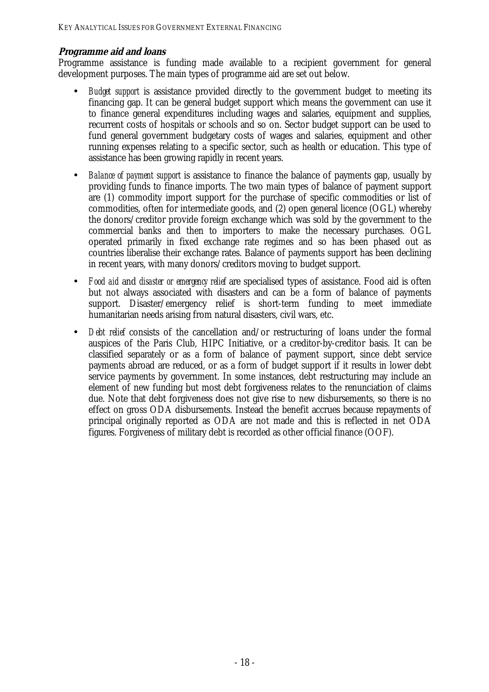### **Programme aid and loans**

Programme assistance is funding made available to a recipient government for general development purposes. The main types of programme aid are set out below.

- *Budget support* is assistance provided directly to the government budget to meeting its financing gap. It can be general budget support which means the government can use it to finance general expenditures including wages and salaries, equipment and supplies, recurrent costs of hospitals or schools and so on. Sector budget support can be used to fund general government budgetary costs of wages and salaries, equipment and other running expenses relating to a specific sector, such as health or education. This type of assistance has been growing rapidly in recent years.
- *Balance of payment support* is assistance to finance the balance of payments gap, usually by providing funds to finance imports. The two main types of balance of payment support are (1) commodity import support for the purchase of specific commodities or list of commodities, often for intermediate goods, and (2) open general licence (OGL) whereby the donors/creditor provide foreign exchange which was sold by the government to the commercial banks and then to importers to make the necessary purchases. OGL operated primarily in fixed exchange rate regimes and so has been phased out as countries liberalise their exchange rates. Balance of payments support has been declining in recent years, with many donors/creditors moving to budget support.
- *Food aid* and *disaster or emergency relief* are specialised types of assistance. Food aid is often but not always associated with disasters and can be a form of balance of payments support. Disaster/emergency relief is short-term funding to meet immediate humanitarian needs arising from natural disasters, civil wars, etc.
- *Debt relief* consists of the cancellation and/or restructuring of loans under the formal auspices of the Paris Club, HIPC Initiative, or a creditor-by-creditor basis. It can be classified separately or as a form of balance of payment support, since debt service payments abroad are reduced, or as a form of budget support if it results in lower debt service payments by government. In some instances, debt restructuring may include an element of new funding but most debt forgiveness relates to the renunciation of claims due. Note that debt forgiveness does not give rise to new disbursements, so there is no effect on gross ODA disbursements. Instead the benefit accrues because repayments of principal originally reported as ODA are not made and this is reflected in net ODA figures. Forgiveness of military debt is recorded as other official finance (OOF).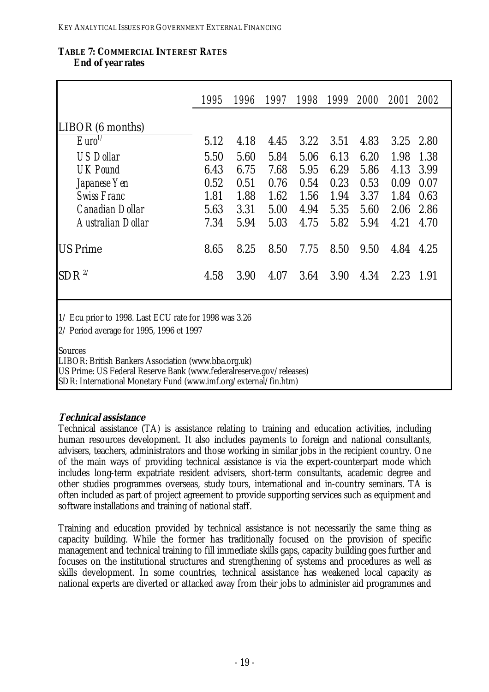#### <span id="page-28-0"></span>**TABLE 7: COMMERCIAL INTEREST RATES End of year rates**

|                                                                                                   | 1995      | 1996 |      | 1997 1998 |      | 1999 2000 2001 2002 |      |      |
|---------------------------------------------------------------------------------------------------|-----------|------|------|-----------|------|---------------------|------|------|
| LIBOR (6 months)                                                                                  |           |      |      |           |      |                     |      |      |
| $E$ uro <sup><math>1/</math></sup>                                                                | 5.12      | 4.18 | 4.45 | 3.22      | 3.51 | 4.83                | 3.25 | 2.80 |
| <b>US Dollar</b>                                                                                  | 5.50      | 5.60 | 5.84 | 5.06      | 6.13 | 6.20                | 1.98 | 1.38 |
| <b>UK Pound</b>                                                                                   | 6.43      | 6.75 | 7.68 | 5.95      | 6.29 | 5.86                | 4.13 | 3.99 |
| Japanese Yen                                                                                      | 0.52      | 0.51 | 0.76 | 0.54      | 0.23 | 0.53                | 0.09 | 0.07 |
| <b>Swiss Franc</b>                                                                                | 1.81      | 1.88 | 1.62 | 1.56      | 1.94 | 3.37                | 1.84 | 0.63 |
| <b>Canadian Dollar</b>                                                                            | 5.63      | 3.31 | 5.00 | 4.94      | 5.35 | 5.60                | 2.06 | 2.86 |
| Australian Dollar                                                                                 | 7.34      | 5.94 | 5.03 | 4.75      | 5.82 | 5.94                | 4.21 | 4.70 |
| <b>US Prime</b>                                                                                   | 8.65      | 8.25 | 8.50 | 7.75      | 8.50 | 9.50                | 4.84 | 4.25 |
| $SDR$ <sup>2/</sup>                                                                               | 4.58      | 3.90 | 4.07 | 3.64      | 3.90 | 4.34                | 2.23 | 1.91 |
| 1/ Ecu prior to 1998. Last ECU rate for 1998 was 3.26<br>2/ Period average for 1995, 1996 et 1997 |           |      |      |           |      |                     |      |      |
| <b>Sources</b>                                                                                    | <b>11</b> |      |      |           |      |                     |      |      |

LIBOR: British Bankers Association (www.bba.org.uk)

US Prime: US Federal Reserve Bank (www.federalreserve.gov/releases)

SDR: International Monetary Fund (www.imf.org/external/fin.htm)

#### **Technical assistance**

Technical assistance (TA) is assistance relating to training and education activities, including human resources development. It also includes payments to foreign and national consultants, advisers, teachers, administrators and those working in similar jobs in the recipient country. One of the main ways of providing technical assistance is via the expert-counterpart mode which includes long-term expatriate resident advisers, short-term consultants, academic degree and other studies programmes overseas, study tours, international and in-country seminars. TA is often included as part of project agreement to provide supporting services such as equipment and software installations and training of national staff.

Training and education provided by technical assistance is not necessarily the same thing as capacity building. While the former has traditionally focused on the provision of specific management and technical training to fill immediate skills gaps, capacity building goes further and focuses on the institutional structures and strengthening of systems and procedures as well as skills development. In some countries, technical assistance has weakened local capacity as national experts are diverted or attacked away from their jobs to administer aid programmes and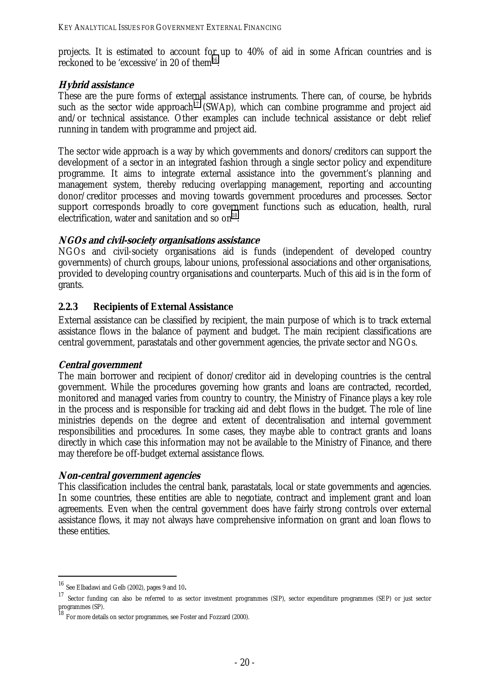<span id="page-29-0"></span>projects. It is estimated to account for up to 40% of aid in some African countries and is reckoned to be 'excessive' in 20 of them $^{16}$ .

#### **Hybrid assistance**

These are the pure forms of external assistance instruments. There can, of course, be hybrids such as the sector wide approach<sup>17</sup> (SWAp), which can combine programme and project aid and/or technical assistance. Other examples can include technical assistance or debt relief running in tandem with programme and project aid.

The sector wide approach is a way by which governments and donors/creditors can support the development of a sector in an integrated fashion through a single sector policy and expenditure programme. It aims to integrate external assistance into the government's planning and management system, thereby reducing overlapping management, reporting and accounting donor/creditor processes and moving towards government procedures and processes. Sector support corresponds broadly to core government functions such as education, health, rural electrification, water and sanitation and so  $\text{on}^{18}$ .

#### **NGOs and civil-society organisations assistance**

NGOs and civil-society organisations aid is funds (independent of developed country governments) of church groups, labour unions, professional associations and other organisations, provided to developing country organisations and counterparts. Much of this aid is in the form of grants.

#### **2.2.3 Recipients of External Assistance**

External assistance can be classified by recipient, the main purpose of which is to track external assistance flows in the balance of payment and budget. The main recipient classifications are central government, parastatals and other government agencies, the private sector and NGOs.

#### **Central government**

The main borrower and recipient of donor/creditor aid in developing countries is the central government. While the procedures governing how grants and loans are contracted, recorded, monitored and managed varies from country to country, the Ministry of Finance plays a key role in the process and is responsible for tracking aid and debt flows in the budget. The role of line ministries depends on the degree and extent of decentralisation and internal government responsibilities and procedures. In some cases, they maybe able to contract grants and loans directly in which case this information may not be available to the Ministry of Finance, and there may therefore be off-budget external assistance flows.

#### **Non-central government agencies**

This classification includes the central bank, parastatals, local or state governments and agencies. In some countries, these entities are able to negotiate, contract and implement grant and loan agreements. Even when the central government does have fairly strong controls over external assistance flows, it may not always have comprehensive information on grant and loan flows to these entities.

 $^{16}$  See Elbadawi and Gelb (2002), pages 9 and 10.<br><sup>17</sup> Sector funding can also be referred to as sector investment programmes (SIP), sector expenditure programmes (SEP) or just sector programmes (SP).

<sup>&</sup>lt;sup>18</sup> For more details on sector programmes, see Foster and Fozzard (2000).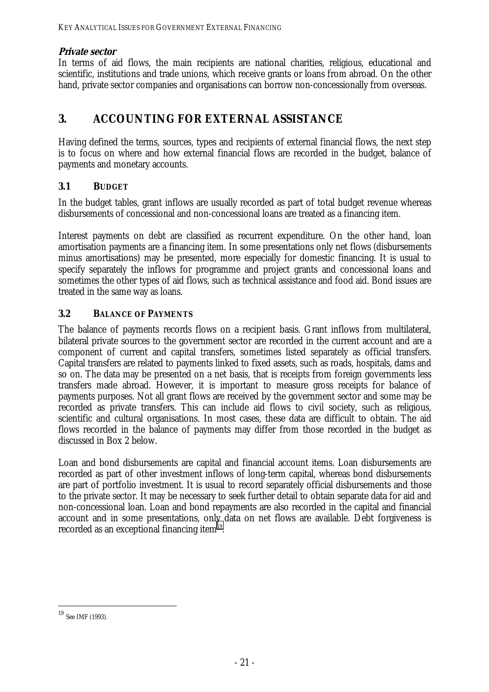# <span id="page-30-0"></span>**Private sector**

In terms of aid flows, the main recipients are national charities, religious, educational and scientific, institutions and trade unions, which receive grants or loans from abroad. On the other hand, private sector companies and organisations can borrow non-concessionally from overseas.

# **3. ACCOUNTING FOR EXTERNAL ASSISTANCE**

Having defined the terms, sources, types and recipients of external financial flows, the next step is to focus on where and how external financial flows are recorded in the budget, balance of payments and monetary accounts.

### **3.1 BUDGET**

In the budget tables, grant inflows are usually recorded as part of total budget revenue whereas disbursements of concessional and non-concessional loans are treated as a financing item.

Interest payments on debt are classified as recurrent expenditure. On the other hand, loan amortisation payments are a financing item. In some presentations only net flows (disbursements minus amortisations) may be presented, more especially for domestic financing. It is usual to specify separately the inflows for programme and project grants and concessional loans and sometimes the other types of aid flows, such as technical assistance and food aid. Bond issues are treated in the same way as loans.

### **3.2 BALANCE OF PAYMENTS**

The balance of payments records flows on a recipient basis. Grant inflows from multilateral, bilateral private sources to the government sector are recorded in the current account and are a component of current and capital transfers, sometimes listed separately as official transfers. Capital transfers are related to payments linked to fixed assets, such as roads, hospitals, dams and so on. The data may be presented on a net basis, that is receipts from foreign governments less transfers made abroad. However, it is important to measure gross receipts for balance of payments purposes. Not all grant flows are received by the government sector and some may be recorded as private transfers. This can include aid flows to civil society, such as religious, scientific and cultural organisations. In most cases, these data are difficult to obtain. The aid flows recorded in the balance of payments may differ from those recorded in the budget as discussed in Box 2 below.

Loan and bond disbursements are capital and financial account items. Loan disbursements are recorded as part of other investment inflows of long-term capital, whereas bond disbursements are part of portfolio investment. It is usual to record separately official disbursements and those to the private sector. It may be necessary to seek further detail to obtain separate data for aid and non-concessional loan. Loan and bond repayments are also recorded in the capital and financial account and in some presentations, only data on net flows are available. Debt forgiveness is recorded as an exceptional financing item<sup>19</sup>.

 $19$  See IMF (1993).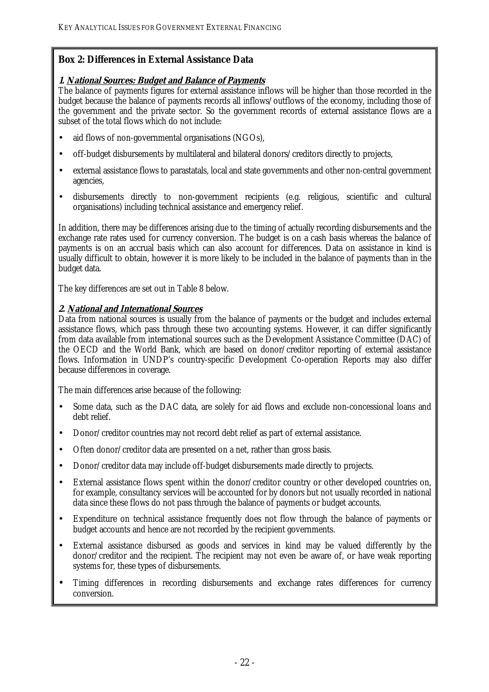### <span id="page-31-0"></span>**Box 2: Differences in External Assistance Data**

#### **1. National Sources: Budget and Balance of Payments**

The balance of payments figures for external assistance inflows will be higher than those recorded in the budget because the balance of payments records all inflows/outflows of the economy, including those of the government and the private sector. So the government records of external assistance flows are a subset of the total flows which do not include:

- aid flows of non-governmental organisations (NGOs),
- off-budget disbursements by multilateral and bilateral donors/creditors directly to projects,
- external assistance flows to parastatals, local and state governments and other non-central government agencies,
- disbursements directly to non-government recipients (e.g. religious, scientific and cultural organisations) including technical assistance and emergency relief.

In addition, there may be differences arising due to the timing of actually recording disbursements and the exchange rate rates used for currency conversion. The budget is on a cash basis whereas the balance of payments is on an accrual basis which can also account for differences. Data on assistance in kind is usually difficult to obtain, however it is more likely to be included in the balance of payments than in the budget data.

The key differences are set out in Table 8 below.

#### **2. National and International Sources**

Data from national sources is usually from the balance of payments or the budget and includes external assistance flows, which pass through these two accounting systems. However, it can differ significantly from data available from international sources such as the Development Assistance Committee (DAC) of the OECD and the World Bank, which are based on donor/creditor reporting of external assistance flows. Information in UNDP's country-specific Development Co-operation Reports may also differ because differences in coverage.

The main differences arise because of the following:

- Some data, such as the DAC data, are solely for aid flows and exclude non-concessional loans and debt relief.
- Donor/creditor countries may not record debt relief as part of external assistance.
- Often donor/creditor data are presented on a net, rather than gross basis.
- Donor/creditor data may include off-budget disbursements made directly to projects.
- External assistance flows spent within the donor/creditor country or other developed countries on, for example, consultancy services will be accounted for by donors but not usually recorded in national data since these flows do not pass through the balance of payments or budget accounts.
- Expenditure on technical assistance frequently does not flow through the balance of payments or budget accounts and hence are not recorded by the recipient governments.
- External assistance disbursed as goods and services in kind may be valued differently by the donor/creditor and the recipient. The recipient may not even be aware of, or have weak reporting systems for, these types of disbursements.
- Timing differences in recording disbursements and exchange rates differences for currency conversion.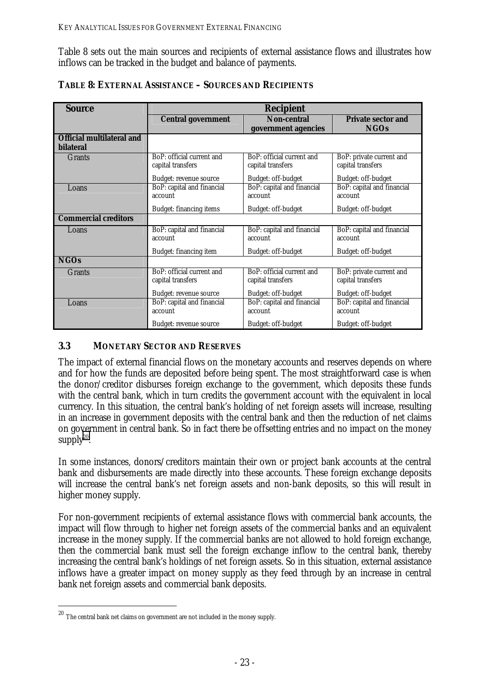<span id="page-32-0"></span>Table 8 sets out the main sources and recipients of external assistance flows and illustrates how inflows can be tracked in the budget and balance of payments.

| <b>Source</b>                    | <b>Recipient</b>                                |                                                |                                               |  |  |  |
|----------------------------------|-------------------------------------------------|------------------------------------------------|-----------------------------------------------|--|--|--|
|                                  | <b>Non-central</b><br><b>Central government</b> |                                                | <b>Private sector and</b>                     |  |  |  |
|                                  |                                                 | government agencies                            | <b>NGOs</b>                                   |  |  |  |
| <b>Official multilateral and</b> |                                                 |                                                |                                               |  |  |  |
| <b>bilateral</b>                 |                                                 |                                                |                                               |  |  |  |
| <b>Grants</b>                    | BoP: official current and<br>capital transfers  | BoP: official current and<br>capital transfers | BoP: private current and<br>capital transfers |  |  |  |
|                                  | Budget: revenue source                          | Budget: off-budget                             | Budget: off-budget                            |  |  |  |
| Loans                            | BoP: capital and financial<br>account           | BoP: capital and financial<br>account          | BoP: capital and financial<br>account         |  |  |  |
|                                  | Budget: financing items                         | Budget: off-budget                             | Budget: off-budget                            |  |  |  |
| <b>Commercial creditors</b>      |                                                 |                                                |                                               |  |  |  |
| Loans                            | BoP: capital and financial<br>account           | BoP: capital and financial<br>account          | BoP: capital and financial<br>account         |  |  |  |
|                                  | Budget: financing item                          | Budget: off-budget                             | Budget: off-budget                            |  |  |  |
| <b>NGOs</b>                      |                                                 |                                                |                                               |  |  |  |
| <b>Grants</b>                    | BoP: official current and<br>capital transfers  | BoP: official current and<br>capital transfers | BoP: private current and<br>capital transfers |  |  |  |
|                                  | Budget: revenue source                          | Budget: off-budget                             | Budget: off-budget                            |  |  |  |
| Loans                            | BoP: capital and financial<br>account           | BoP: capital and financial<br>account          | BoP: capital and financial<br>account         |  |  |  |
|                                  | Budget: revenue source                          | <b>Budget: off-budget</b>                      | Budget: off-budget                            |  |  |  |

# **3.3 MONETARY SECTOR AND RESERVES**

The impact of external financial flows on the monetary accounts and reserves depends on where and for how the funds are deposited before being spent. The most straightforward case is when the donor/creditor disburses foreign exchange to the government, which deposits these funds with the central bank, which in turn credits the government account with the equivalent in local currency. In this situation, the central bank's holding of net foreign assets will increase, resulting in an increase in government deposits with the central bank and then the reduction of net claims on government in central bank. So in fact there be offsetting entries and no impact on the money supply $20$ .

In some instances, donors/creditors maintain their own or project bank accounts at the central bank and disbursements are made directly into these accounts. These foreign exchange deposits will increase the central bank's net foreign assets and non-bank deposits, so this will result in higher money supply.

For non-government recipients of external assistance flows with commercial bank accounts, the impact will flow through to higher net foreign assets of the commercial banks and an equivalent increase in the money supply. If the commercial banks are not allowed to hold foreign exchange, then the commercial bank must sell the foreign exchange inflow to the central bank, thereby increasing the central bank's holdings of net foreign assets. So in this situation, external assistance inflows have a greater impact on money supply as they feed through by an increase in central bank net foreign assets and commercial bank deposits.

 $^{20}$  The central bank net claims on government are not included in the money supply.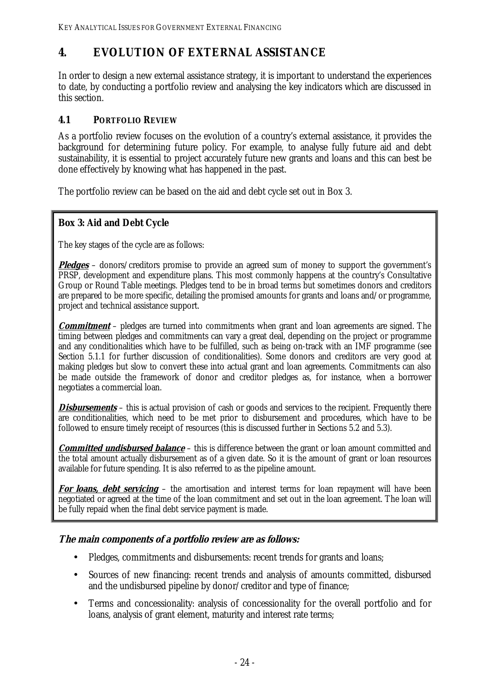# <span id="page-33-0"></span>**4. EVOLUTION OF EXTERNAL ASSISTANCE**

In order to design a new external assistance strategy, it is important to understand the experiences to date, by conducting a portfolio review and analysing the key indicators which are discussed in this section.

# **4.1 PORTFOLIO REVIEW**

As a portfolio review focuses on the evolution of a country's external assistance, it provides the background for determining future policy. For example, to analyse fully future aid and debt sustainability, it is essential to project accurately future new grants and loans and this can best be done effectively by knowing what has happened in the past.

The portfolio review can be based on the aid and debt cycle set out in Box 3.

# **Box 3: Aid and Debt Cycle**

The key stages of the cycle are as follows:

**Pledges** – donors/creditors promise to provide an agreed sum of money to support the government's PRSP, development and expenditure plans. This most commonly happens at the country's Consultative Group or Round Table meetings. Pledges tend to be in broad terms but sometimes donors and creditors are prepared to be more specific, detailing the promised amounts for grants and loans and/or programme, project and technical assistance support.

**Commitment** – pledges are turned into commitments when grant and loan agreements are signed. The timing between pledges and commitments can vary a great deal, depending on the project or programme and any conditionalities which have to be fulfilled, such as being on-track with an IMF programme (see Section 5.1.1 for further discussion of conditionalities). Some donors and creditors are very good at making pledges but slow to convert these into actual grant and loan agreements. Commitments can also be made outside the framework of donor and creditor pledges as, for instance, when a borrower negotiates a commercial loan.

**Disbursements** – this is actual provision of cash or goods and services to the recipient. Frequently there are conditionalities, which need to be met prior to disbursement and procedures, which have to be followed to ensure timely receipt of resources (this is discussed further in Sections 5.2 and 5.3).

**Committed undisbursed balance** – this is difference between the grant or loan amount committed and the total amount actually disbursement as of a given date. So it is the amount of grant or loan resources available for future spending. It is also referred to as the pipeline amount.

For loans, debt servicing – the amortisation and interest terms for loan repayment will have been negotiated or agreed at the time of the loan commitment and set out in the loan agreement. The loan will be fully repaid when the final debt service payment is made.

# **The main components of a portfolio review are as follows:**

- Pledges, commitments and disbursements: recent trends for grants and loans;
- Sources of new financing: recent trends and analysis of amounts committed, disbursed and the undisbursed pipeline by donor/creditor and type of finance;
- Terms and concessionality: analysis of concessionality for the overall portfolio and for loans, analysis of grant element, maturity and interest rate terms;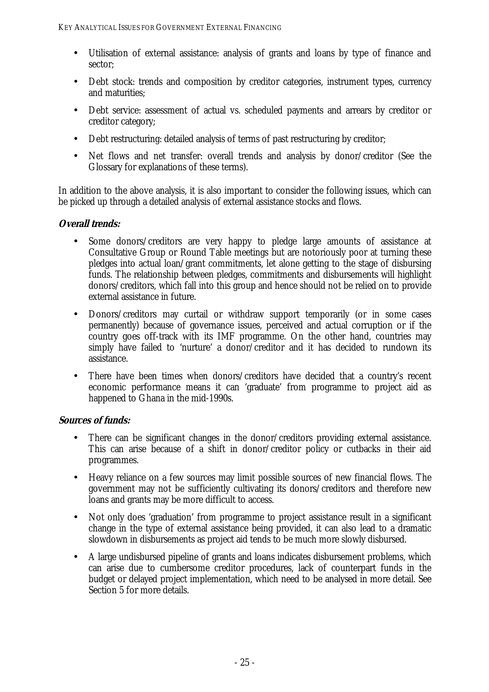- Utilisation of external assistance: analysis of grants and loans by type of finance and sector;
- Debt stock: trends and composition by creditor categories, instrument types, currency and maturities;
- Debt service: assessment of actual vs. scheduled payments and arrears by creditor or creditor category;
- Debt restructuring: detailed analysis of terms of past restructuring by creditor;
- Net flows and net transfer: overall trends and analysis by donor/creditor (See the Glossary for explanations of these terms).

In addition to the above analysis, it is also important to consider the following issues, which can be picked up through a detailed analysis of external assistance stocks and flows.

# **Overall trends:**

- Some donors/creditors are very happy to pledge large amounts of assistance at Consultative Group or Round Table meetings but are notoriously poor at turning these pledges into actual loan/grant commitments, let alone getting to the stage of disbursing funds. The relationship between pledges, commitments and disbursements will highlight donors/creditors, which fall into this group and hence should not be relied on to provide external assistance in future.
- Donors/creditors may curtail or withdraw support temporarily (or in some cases permanently) because of governance issues, perceived and actual corruption or if the country goes off-track with its IMF programme. On the other hand, countries may simply have failed to 'nurture' a donor/creditor and it has decided to rundown its assistance.
- There have been times when donors/creditors have decided that a country's recent economic performance means it can 'graduate' from programme to project aid as happened to Ghana in the mid-1990s.

# **Sources of funds:**

- There can be significant changes in the donor/creditors providing external assistance. This can arise because of a shift in donor/creditor policy or cutbacks in their aid programmes.
- Heavy reliance on a few sources may limit possible sources of new financial flows. The government may not be sufficiently cultivating its donors/creditors and therefore new loans and grants may be more difficult to access.
- Not only does 'graduation' from programme to project assistance result in a significant change in the type of external assistance being provided, it can also lead to a dramatic slowdown in disbursements as project aid tends to be much more slowly disbursed.
- A large undisbursed pipeline of grants and loans indicates disbursement problems, which can arise due to cumbersome creditor procedures, lack of counterpart funds in the budget or delayed project implementation, which need to be analysed in more detail. See Section 5 for more details.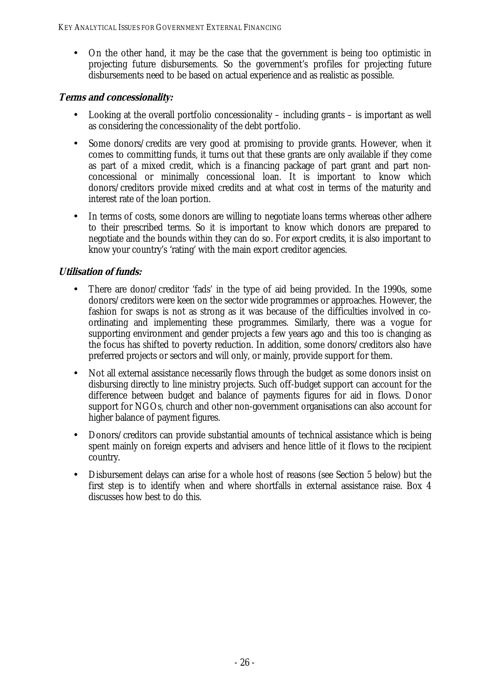• On the other hand, it may be the case that the government is being too optimistic in projecting future disbursements. So the government's profiles for projecting future disbursements need to be based on actual experience and as realistic as possible.

### **Terms and concessionality:**

- Looking at the overall portfolio concessionality including grants is important as well as considering the concessionality of the debt portfolio.
- Some donors/credits are very good at promising to provide grants. However, when it comes to committing funds, it turns out that these grants are only available if they come as part of a mixed credit, which is a financing package of part grant and part nonconcessional or minimally concessional loan. It is important to know which donors/creditors provide mixed credits and at what cost in terms of the maturity and interest rate of the loan portion.
- In terms of costs, some donors are willing to negotiate loans terms whereas other adhere to their prescribed terms. So it is important to know which donors are prepared to negotiate and the bounds within they can do so. For export credits, it is also important to know your country's 'rating' with the main export creditor agencies.

# **Utilisation of funds:**

- There are donor/creditor 'fads' in the type of aid being provided. In the 1990s, some donors/creditors were keen on the sector wide programmes or approaches. However, the fashion for swaps is not as strong as it was because of the difficulties involved in coordinating and implementing these programmes. Similarly, there was a vogue for supporting environment and gender projects a few years ago and this too is changing as the focus has shifted to poverty reduction. In addition, some donors/creditors also have preferred projects or sectors and will only, or mainly, provide support for them.
- Not all external assistance necessarily flows through the budget as some donors insist on disbursing directly to line ministry projects. Such off-budget support can account for the difference between budget and balance of payments figures for aid in flows. Donor support for NGOs, church and other non-government organisations can also account for higher balance of payment figures.
- Donors/creditors can provide substantial amounts of technical assistance which is being spent mainly on foreign experts and advisers and hence little of it flows to the recipient country.
- Disbursement delays can arise for a whole host of reasons (see Section 5 below) but the first step is to identify when and where shortfalls in external assistance raise. Box 4 discusses how best to do this.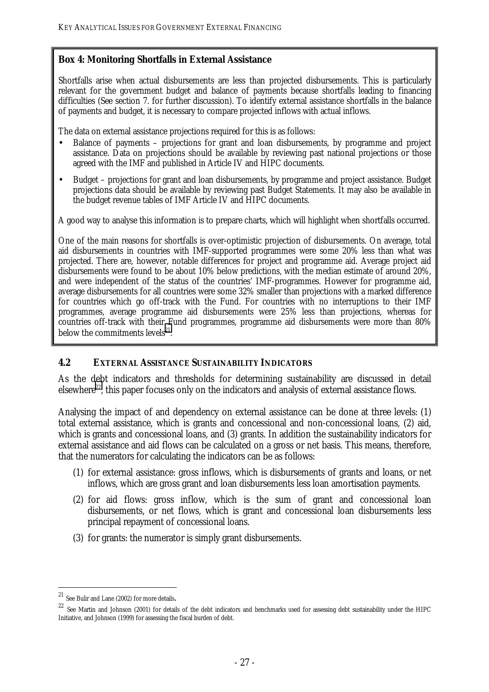#### **Box 4: Monitoring Shortfalls in External Assistance**

Shortfalls arise when actual disbursements are less than projected disbursements. This is particularly relevant for the government budget and balance of payments because shortfalls leading to financing difficulties (See section 7. for further discussion). To identify external assistance shortfalls in the balance of payments and budget, it is necessary to compare projected inflows with actual inflows.

The data on external assistance projections required for this is as follows:

- Balance of payments projections for grant and loan disbursements, by programme and project assistance. Data on projections should be available by reviewing past national projections or those agreed with the IMF and published in Article IV and HIPC documents.
- Budget projections for grant and loan disbursements, by programme and project assistance. Budget projections data should be available by reviewing past Budget Statements. It may also be available in the budget revenue tables of IMF Article IV and HIPC documents.

A good way to analyse this information is to prepare charts, which will highlight when shortfalls occurred.

One of the main reasons for shortfalls is over-optimistic projection of disbursements. On average, total aid disbursements in countries with IMF-supported programmes were some 20% less than what was projected. There are, however, notable differences for project and programme aid. Average project aid disbursements were found to be about 10% below predictions, with the median estimate of around 20%, and were independent of the status of the countries' IMF-programmes. However for programme aid, average disbursements for all countries were some 32% smaller than projections with a marked difference for countries which go off-track with the Fund. For countries with no interruptions to their IMF programmes, average programme aid disbursements were 25% less than projections, whereas for countries off-track with their Fund programmes, programme aid disbursements were more than 80% below the commitments levels<sup>21</sup>

#### **4.2 EXTERNAL ASSISTANCE SUSTAINABILITY INDICATORS**

As the debt indicators and thresholds for determining sustainability are discussed in detail elsewhere<sup>22</sup>, this paper focuses only on the indicators and analysis of external assistance flows.

Analysing the impact of and dependency on external assistance can be done at three levels: (1) total external assistance, which is grants and concessional and non-concessional loans, (2) aid, which is grants and concessional loans, and (3) grants. In addition the sustainability indicators for external assistance and aid flows can be calculated on a gross or net basis. This means, therefore, that the numerators for calculating the indicators can be as follows:

- (1) for external assistance: gross inflows, which is disbursements of grants and loans, or net inflows, which are gross grant and loan disbursements less loan amortisation payments.
- (2) for aid flows: gross inflow, which is the sum of grant and concessional loan disbursements, or net flows, which is grant and concessional loan disbursements less principal repayment of concessional loans.
- (3) for grants: the numerator is simply grant disbursements.

<sup>21</sup> 

<sup>&</sup>lt;sup>21</sup> See Bulir and Lane (2002) for more details. 22 See Martin and Johnson (2001) for details of the debt indicators and benchmarks used for assessing debt sustainability under the HIPC Initiative, and Johnson (1999) for assessing the fiscal burden of debt.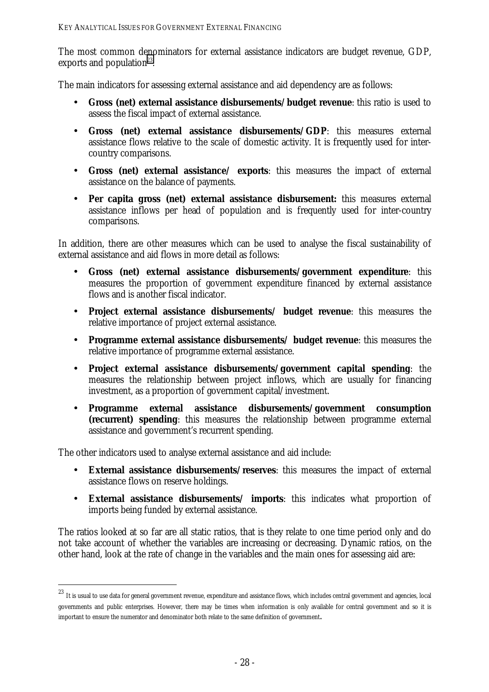The most common denominators for external assistance indicators are budget revenue, GDP, exports and population<sup>23</sup>.

The main indicators for assessing external assistance and aid dependency are as follows:

- **Gross (net) external assistance disbursements/budget revenue**: this ratio is used to assess the fiscal impact of external assistance.
- **Gross (net) external assistance disbursements/GDP**: this measures external assistance flows relative to the scale of domestic activity. It is frequently used for intercountry comparisons.
- **Gross (net) external assistance/ exports**: this measures the impact of external assistance on the balance of payments.
- **Per capita gross (net) external assistance disbursement:** this measures external assistance inflows per head of population and is frequently used for inter-country comparisons.

In addition, there are other measures which can be used to analyse the fiscal sustainability of external assistance and aid flows in more detail as follows:

- **Gross (net) external assistance disbursements/government expenditure**: this measures the proportion of government expenditure financed by external assistance flows and is another fiscal indicator.
- **Project external assistance disbursements/ budget revenue**: this measures the relative importance of project external assistance.
- **Programme external assistance disbursements/ budget revenue**: this measures the relative importance of programme external assistance.
- **Project external assistance disbursements/government capital spending**: the measures the relationship between project inflows, which are usually for financing investment, as a proportion of government capital/investment.
- **Programme external assistance disbursements/government consumption (recurrent) spending**: this measures the relationship between programme external assistance and government's recurrent spending.

The other indicators used to analyse external assistance and aid include:

 $\overline{a}$ 

- **External assistance disbursements/reserves**: this measures the impact of external assistance flows on reserve holdings.
- **External assistance disbursements/ imports**: this indicates what proportion of imports being funded by external assistance.

The ratios looked at so far are all static ratios, that is they relate to one time period only and do not take account of whether the variables are increasing or decreasing. Dynamic ratios, on the other hand, look at the rate of change in the variables and the main ones for assessing aid are:

<sup>23</sup> It is usual to use data for general government revenue, expenditure and assistance flows, which includes central government and agencies, local governments and public enterprises. However, there may be times when information is only available for central government and so it is important to ensure the numerator and denominator both relate to the same definition of government.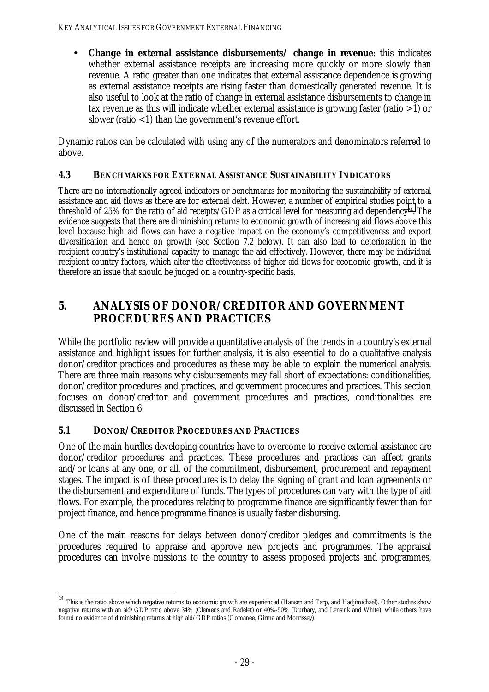• **Change in external assistance disbursements/ change in revenue**: this indicates whether external assistance receipts are increasing more quickly or more slowly than revenue. A ratio greater than one indicates that external assistance dependence is growing as external assistance receipts are rising faster than domestically generated revenue. It is also useful to look at the ratio of change in external assistance disbursements to change in tax revenue as this will indicate whether external assistance is growing faster (ratio >1) or slower (ratio  $<$ 1) than the government's revenue effort.

Dynamic ratios can be calculated with using any of the numerators and denominators referred to above.

#### **4.3 BENCHMARKS FOR EXTERNAL ASSISTANCE SUSTAINABILITY INDICATORS**

There are no internationally agreed indicators or benchmarks for monitoring the sustainability of external assistance and aid flows as there are for external debt. However, a number of empirical studies point to a threshold of 25% for the ratio of aid receipts/GDP as a critical level for measuring aid dependency<sup>24</sup>. The evidence suggests that there are diminishing returns to economic growth of increasing aid flows above this level because high aid flows can have a negative impact on the economy's competitiveness and export diversification and hence on growth (see Section 7.2 below). It can also lead to deterioration in the recipient country's institutional capacity to manage the aid effectively. However, there may be individual recipient country factors, which alter the effectiveness of higher aid flows for economic growth, and it is therefore an issue that should be judged on a country-specific basis.

# **5. ANALYSIS OF DONOR/CREDITOR AND GOVERNMENT PROCEDURES AND PRACTICES**

While the portfolio review will provide a quantitative analysis of the trends in a country's external assistance and highlight issues for further analysis, it is also essential to do a qualitative analysis donor/creditor practices and procedures as these may be able to explain the numerical analysis. There are three main reasons why disbursements may fall short of expectations: conditionalities, donor/creditor procedures and practices, and government procedures and practices. This section focuses on donor/creditor and government procedures and practices, conditionalities are discussed in Section 6.

## **5.1 DONOR/CREDITOR PROCEDURES AND PRACTICES**

 $\overline{a}$ 

One of the main hurdles developing countries have to overcome to receive external assistance are donor/creditor procedures and practices. These procedures and practices can affect grants and/or loans at any one, or all, of the commitment, disbursement, procurement and repayment stages. The impact is of these procedures is to delay the signing of grant and loan agreements or the disbursement and expenditure of funds. The types of procedures can vary with the type of aid flows. For example, the procedures relating to programme finance are significantly fewer than for project finance, and hence programme finance is usually faster disbursing.

One of the main reasons for delays between donor/creditor pledges and commitments is the procedures required to appraise and approve new projects and programmes. The appraisal procedures can involve missions to the country to assess proposed projects and programmes,

 $^{24}$  This is the ratio above which negative returns to economic growth are experienced (Hansen and Tarp, and Hadjimichael). Other studies show negative returns with an aid/GDP ratio above 34% (Clemens and Radelet) or 40%-50% (Durbary, and Lensink and White), while others have found no evidence of diminishing returns at high aid/GDP ratios (Gomanee, Girma and Morrissey).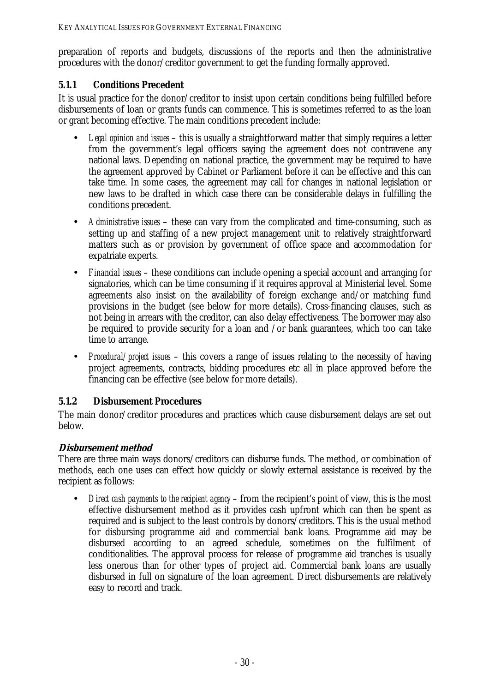preparation of reports and budgets, discussions of the reports and then the administrative procedures with the donor/creditor government to get the funding formally approved.

## **5.1.1 Conditions Precedent**

It is usual practice for the donor/creditor to insist upon certain conditions being fulfilled before disbursements of loan or grants funds can commence. This is sometimes referred to as the loan or grant becoming effective. The main conditions precedent include:

- *Legal opinion and issues* this is usually a straightforward matter that simply requires a letter from the government's legal officers saying the agreement does not contravene any national laws. Depending on national practice, the government may be required to have the agreement approved by Cabinet or Parliament before it can be effective and this can take time. In some cases, the agreement may call for changes in national legislation or new laws to be drafted in which case there can be considerable delays in fulfilling the conditions precedent.
- *Administrative issues* these can vary from the complicated and time-consuming, such as setting up and staffing of a new project management unit to relatively straightforward matters such as or provision by government of office space and accommodation for expatriate experts.
- *Financial issues* these conditions can include opening a special account and arranging for signatories, which can be time consuming if it requires approval at Ministerial level. Some agreements also insist on the availability of foreign exchange and/or matching fund provisions in the budget (see below for more details). Cross-financing clauses, such as not being in arrears with the creditor, can also delay effectiveness. The borrower may also be required to provide security for a loan and /or bank guarantees, which too can take time to arrange.
- *Procedural/project issues* this covers a range of issues relating to the necessity of having project agreements, contracts, bidding procedures etc all in place approved before the financing can be effective (see below for more details).

## **5.1.2 Disbursement Procedures**

The main donor/creditor procedures and practices which cause disbursement delays are set out below.

## **Disbursement method**

There are three main ways donors/creditors can disburse funds. The method, or combination of methods, each one uses can effect how quickly or slowly external assistance is received by the recipient as follows:

• *Direct cash payments to the recipient agency* – from the recipient's point of view, this is the most effective disbursement method as it provides cash upfront which can then be spent as required and is subject to the least controls by donors/creditors. This is the usual method for disbursing programme aid and commercial bank loans. Programme aid may be disbursed according to an agreed schedule, sometimes on the fulfilment of conditionalities. The approval process for release of programme aid tranches is usually less onerous than for other types of project aid. Commercial bank loans are usually disbursed in full on signature of the loan agreement. Direct disbursements are relatively easy to record and track.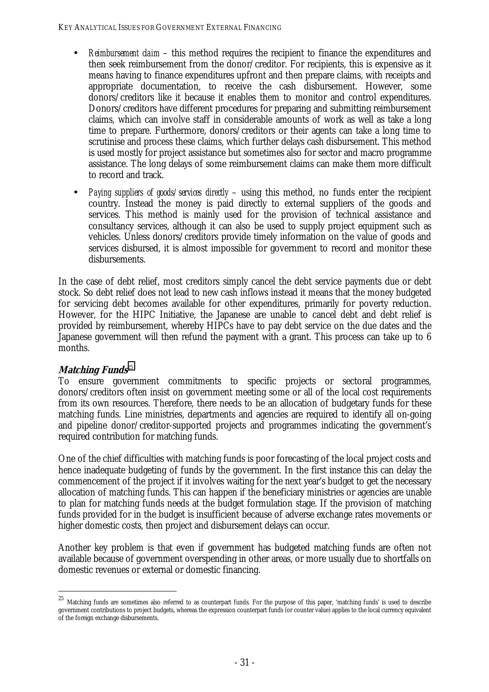- *Reimbursement daim* this method requires the recipient to finance the expenditures and then seek reimbursement from the donor/creditor. For recipients, this is expensive as it means having to finance expenditures upfront and then prepare claims, with receipts and appropriate documentation, to receive the cash disbursement. However, some donors/creditors like it because it enables them to monitor and control expenditures. Donors/creditors have different procedures for preparing and submitting reimbursement claims, which can involve staff in considerable amounts of work as well as take a long time to prepare. Furthermore, donors/creditors or their agents can take a long time to scrutinise and process these claims, which further delays cash disbursement. This method is used mostly for project assistance but sometimes also for sector and macro programme assistance. The long delays of some reimbursement claims can make them more difficult to record and track.
- *Paying suppliers of goods/services directly* using this method, no funds enter the recipient country. Instead the money is paid directly to external suppliers of the goods and services. This method is mainly used for the provision of technical assistance and consultancy services, although it can also be used to supply project equipment such as vehicles. Unless donors/creditors provide timely information on the value of goods and services disbursed, it is almost impossible for government to record and monitor these disbursements.

In the case of debt relief, most creditors simply cancel the debt service payments due or debt stock. So debt relief does not lead to new cash inflows instead it means that the money budgeted for servicing debt becomes available for other expenditures, primarily for poverty reduction. However, for the HIPC Initiative, the Japanese are unable to cancel debt and debt relief is provided by reimbursement, whereby HIPCs have to pay debt service on the due dates and the Japanese government will then refund the payment with a grant. This process can take up to 6 months.

#### **Matching Funds**<sup>25</sup>

 $\overline{a}$ 

To ensure government commitments to specific projects or sectoral programmes, donors/creditors often insist on government meeting some or all of the local cost requirements from its own resources. Therefore, there needs to be an allocation of budgetary funds for these matching funds. Line ministries, departments and agencies are required to identify all on-going and pipeline donor/creditor-supported projects and programmes indicating the government's required contribution for matching funds.

One of the chief difficulties with matching funds is poor forecasting of the local project costs and hence inadequate budgeting of funds by the government. In the first instance this can delay the commencement of the project if it involves waiting for the next year's budget to get the necessary allocation of matching funds. This can happen if the beneficiary ministries or agencies are unable to plan for matching funds needs at the budget formulation stage. If the provision of matching funds provided for in the budget is insufficient because of adverse exchange rates movements or higher domestic costs, then project and disbursement delays can occur.

Another key problem is that even if government has budgeted matching funds are often not available because of government overspending in other areas, or more usually due to shortfalls on domestic revenues or external or domestic financing.

 $^{25}$  Matching funds are sometimes also referred to as counterpart funds. For the purpose of this paper, 'matching funds' is used to describe government contributions to project budgets, whereas the expression counterpart funds (or counter value) applies to the local currency equivalent of the foreign exchange disbursements.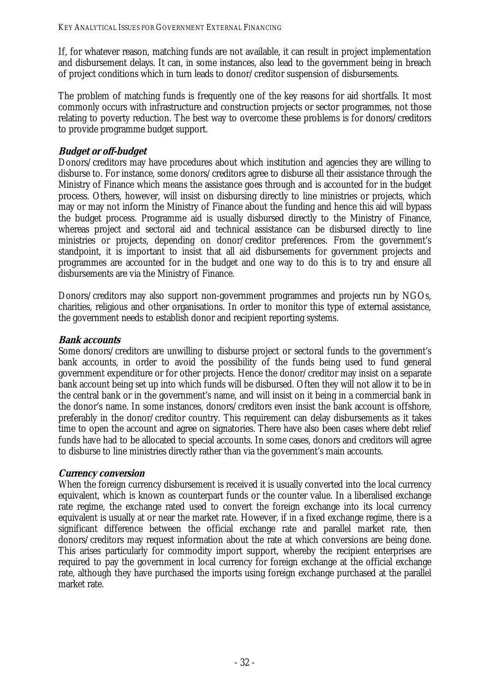If, for whatever reason, matching funds are not available, it can result in project implementation and disbursement delays. It can, in some instances, also lead to the government being in breach of project conditions which in turn leads to donor/creditor suspension of disbursements.

The problem of matching funds is frequently one of the key reasons for aid shortfalls. It most commonly occurs with infrastructure and construction projects or sector programmes, not those relating to poverty reduction. The best way to overcome these problems is for donors/creditors to provide programme budget support.

### **Budget or off-budget**

Donors/creditors may have procedures about which institution and agencies they are willing to disburse to. For instance, some donors/creditors agree to disburse all their assistance through the Ministry of Finance which means the assistance goes through and is accounted for in the budget process. Others, however, will insist on disbursing directly to line ministries or projects, which may or may not inform the Ministry of Finance about the funding and hence this aid will bypass the budget process. Programme aid is usually disbursed directly to the Ministry of Finance, whereas project and sectoral aid and technical assistance can be disbursed directly to line ministries or projects, depending on donor/creditor preferences. From the government's standpoint, it is important to insist that all aid disbursements for government projects and programmes are accounted for in the budget and one way to do this is to try and ensure all disbursements are via the Ministry of Finance.

Donors/creditors may also support non-government programmes and projects run by NGOs, charities, religious and other organisations. In order to monitor this type of external assistance, the government needs to establish donor and recipient reporting systems.

#### **Bank accounts**

Some donors/creditors are unwilling to disburse project or sectoral funds to the government's bank accounts, in order to avoid the possibility of the funds being used to fund general government expenditure or for other projects. Hence the donor/creditor may insist on a separate bank account being set up into which funds will be disbursed. Often they will not allow it to be in the central bank or in the government's name, and will insist on it being in a commercial bank in the donor's name. In some instances, donors/creditors even insist the bank account is offshore, preferably in the donor/creditor country. This requirement can delay disbursements as it takes time to open the account and agree on signatories. There have also been cases where debt relief funds have had to be allocated to special accounts. In some cases, donors and creditors will agree to disburse to line ministries directly rather than via the government's main accounts.

#### **Currency conversion**

When the foreign currency disbursement is received it is usually converted into the local currency equivalent, which is known as counterpart funds or the counter value. In a liberalised exchange rate regime, the exchange rated used to convert the foreign exchange into its local currency equivalent is usually at or near the market rate. However, if in a fixed exchange regime, there is a significant difference between the official exchange rate and parallel market rate, then donors/creditors may request information about the rate at which conversions are being done. This arises particularly for commodity import support, whereby the recipient enterprises are required to pay the government in local currency for foreign exchange at the official exchange rate, although they have purchased the imports using foreign exchange purchased at the parallel market rate.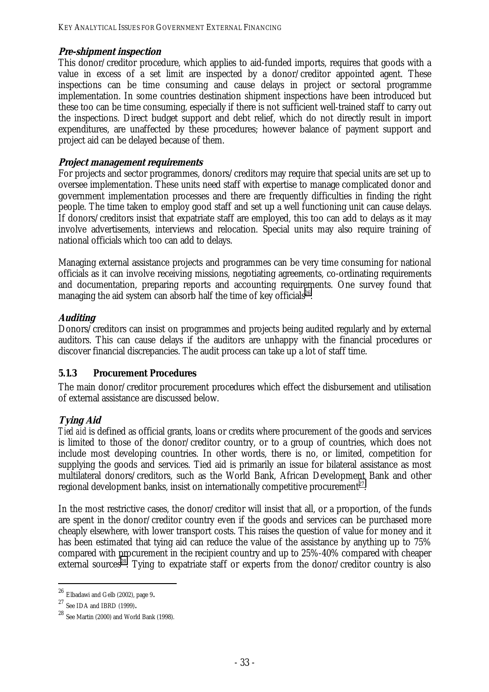#### **Pre-shipment inspection**

This donor/creditor procedure, which applies to aid-funded imports, requires that goods with a value in excess of a set limit are inspected by a donor/creditor appointed agent. These inspections can be time consuming and cause delays in project or sectoral programme implementation. In some countries destination shipment inspections have been introduced but these too can be time consuming, especially if there is not sufficient well-trained staff to carry out the inspections. Direct budget support and debt relief, which do not directly result in import expenditures, are unaffected by these procedures; however balance of payment support and project aid can be delayed because of them.

#### **Project management requirements**

For projects and sector programmes, donors/creditors may require that special units are set up to oversee implementation. These units need staff with expertise to manage complicated donor and government implementation processes and there are frequently difficulties in finding the right people. The time taken to employ good staff and set up a well functioning unit can cause delays. If donors/creditors insist that expatriate staff are employed, this too can add to delays as it may involve advertisements, interviews and relocation. Special units may also require training of national officials which too can add to delays.

Managing external assistance projects and programmes can be very time consuming for national officials as it can involve receiving missions, negotiating agreements, co-ordinating requirements and documentation, preparing reports and accounting requirements. One survey found that managing the aid system can absorb half the time of key officials<sup>26</sup>.

#### **Auditing**

Donors/creditors can insist on programmes and projects being audited regularly and by external auditors. This can cause delays if the auditors are unhappy with the financial procedures or discover financial discrepancies. The audit process can take up a lot of staff time.

#### **5.1.3 Procurement Procedures**

The main donor/creditor procurement procedures which effect the disbursement and utilisation of external assistance are discussed below.

#### **Tying Aid**

*Tied aid* is defined as official grants, loans or credits where procurement of the goods and services is limited to those of the donor/creditor country, or to a group of countries, which does not include most developing countries. In other words, there is no, or limited, competition for supplying the goods and services. Tied aid is primarily an issue for bilateral assistance as most multilateral donors/creditors, such as the World Bank, African Development Bank and other regional development banks, insist on internationally competitive procurement<sup>27</sup>.

In the most restrictive cases, the donor/creditor will insist that all, or a proportion, of the funds are spent in the donor/creditor country even if the goods and services can be purchased more cheaply elsewhere, with lower transport costs. This raises the question of value for money and it has been estimated that tying aid can reduce the value of the assistance by anything up to 75% compared with procurement in the recipient country and up to 25%-40% compared with cheaper external sources<sup>28</sup>. Tying to expatriate staff or experts from the donor/creditor country is also

<sup>&</sup>lt;sup>26</sup> Elbadawi and Gelb (2002), page 9.<br><sup>27</sup> See IDA and IBRD (1999).<br><sup>28</sup> See Martin (2000) and World Bank (1998).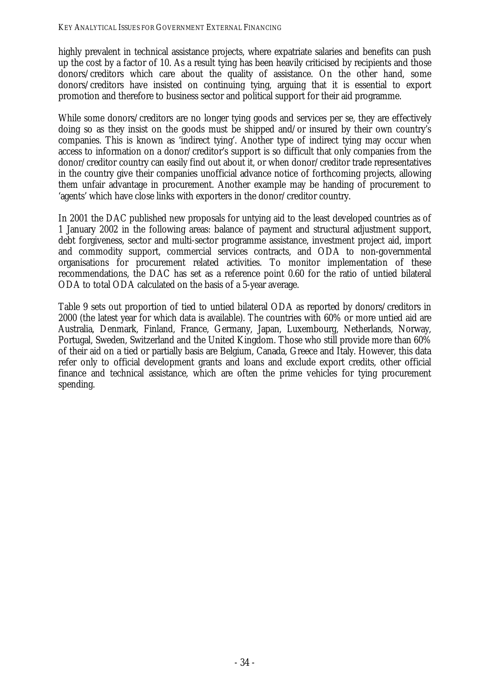highly prevalent in technical assistance projects, where expatriate salaries and benefits can push up the cost by a factor of 10. As a result tying has been heavily criticised by recipients and those donors/creditors which care about the quality of assistance. On the other hand, some donors/creditors have insisted on continuing tying, arguing that it is essential to export promotion and therefore to business sector and political support for their aid programme.

While some donors/creditors are no longer tying goods and services per se, they are effectively doing so as they insist on the goods must be shipped and/or insured by their own country's companies. This is known as 'indirect tying'. Another type of indirect tying may occur when access to information on a donor/creditor's support is so difficult that only companies from the donor/creditor country can easily find out about it, or when donor/creditor trade representatives in the country give their companies unofficial advance notice of forthcoming projects, allowing them unfair advantage in procurement. Another example may be handing of procurement to 'agents' which have close links with exporters in the donor/creditor country.

In 2001 the DAC published new proposals for untying aid to the least developed countries as of 1 January 2002 in the following areas: balance of payment and structural adjustment support, debt forgiveness, sector and multi-sector programme assistance, investment project aid, import and commodity support, commercial services contracts, and ODA to non-governmental organisations for procurement related activities. To monitor implementation of these recommendations, the DAC has set as a reference point 0.60 for the ratio of untied bilateral ODA to total ODA calculated on the basis of a 5-year average.

Table 9 sets out proportion of tied to untied bilateral ODA as reported by donors/creditors in 2000 (the latest year for which data is available). The countries with 60% or more untied aid are Australia, Denmark, Finland, France, Germany, Japan, Luxembourg, Netherlands, Norway, Portugal, Sweden, Switzerland and the United Kingdom. Those who still provide more than 60% of their aid on a tied or partially basis are Belgium, Canada, Greece and Italy. However, this data refer only to official development grants and loans and exclude export credits, other official finance and technical assistance, which are often the prime vehicles for tying procurement spending.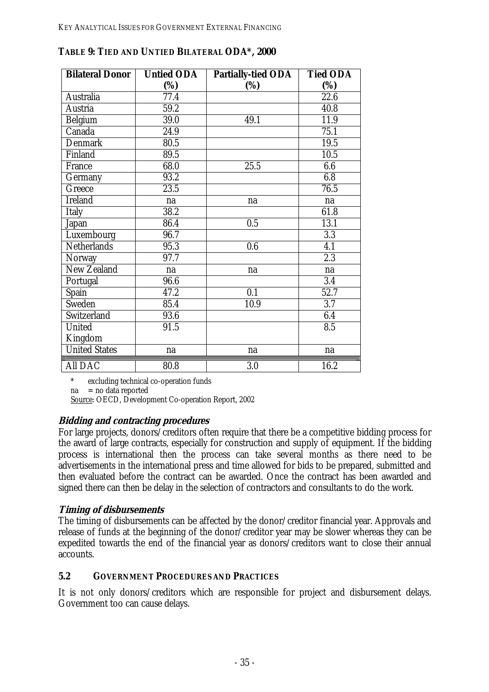| <b>Bilateral Donor</b> | <b>Untied ODA</b> | <b>Partially-tied ODA</b> | <b>Tied ODA</b>   |
|------------------------|-------------------|---------------------------|-------------------|
|                        | (%)               | (%)                       | (%)               |
| Australia              | 77.4              |                           | 22.6              |
| Austria                | 59.2              |                           | 40.8              |
| <b>Belgium</b>         | 39.0              | 49.1                      | $\overline{11.9}$ |
| Canada                 | 24.9              |                           | 75.1              |
| <b>Denmark</b>         | 80.5              |                           | 19.5              |
| Finland                | 89.5              |                           | 10.5              |
| <b>France</b>          | 68.0              | 25.5                      | 6.6               |
| Germany                | 93.2              |                           | 6.8               |
| Greece                 | 23.5              |                           | 76.5              |
| <b>Ireland</b>         | na                | na                        | na                |
| <b>Italy</b>           | 38.2              |                           | 61.8              |
| Japan                  | 86.4              | 0.5                       | 13.1              |
| Luxembourg             | 96.7              |                           | 3.3               |
| <b>Netherlands</b>     | 95.3              | 0.6                       | $\overline{4.1}$  |
| Norway                 | 97.7              |                           | $\overline{2.3}$  |
| <b>New Zealand</b>     | na                | na                        | na                |
| Portugal               | 96.6              |                           | 3.4               |
| Spain                  | 47.2              | 0.1                       | 52.7              |
| Sweden                 | 85.4              | 10.9                      | 3.7               |
| Switzerland            | 93.6              |                           | 6.4               |
| <b>United</b>          | 91.5              |                           | $\overline{8.5}$  |
| Kingdom                |                   |                           |                   |
| <b>United States</b>   | na                | na                        | na                |
| <b>All DAC</b>         | 80.8              | 3.0                       | 16.2              |

**TABLE 9: TIED AND UNTIED BILATERAL ODA\*, 2000** 

excluding technical co-operation funds

 $na = no data reported$ 

Source: OECD, Development Co-operation Report, 2002

#### **Bidding and contracting procedures**

For large projects, donors/creditors often require that there be a competitive bidding process for the award of large contracts, especially for construction and supply of equipment. If the bidding process is international then the process can take several months as there need to be advertisements in the international press and time allowed for bids to be prepared, submitted and then evaluated before the contract can be awarded. Once the contract has been awarded and signed there can then be delay in the selection of contractors and consultants to do the work.

#### **Timing of disbursements**

The timing of disbursements can be affected by the donor/creditor financial year. Approvals and release of funds at the beginning of the donor/creditor year may be slower whereas they can be expedited towards the end of the financial year as donors/creditors want to close their annual accounts.

#### **5.2 GOVERNMENT PROCEDURES AND PRACTICES**

It is not only donors/creditors which are responsible for project and disbursement delays. Government too can cause delays.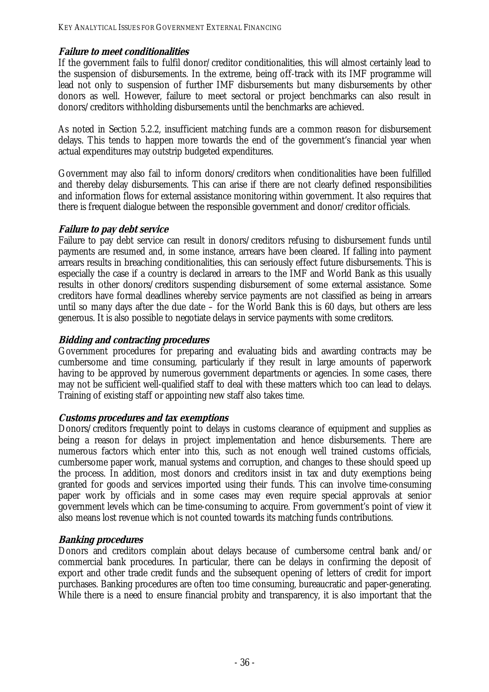#### **Failure to meet conditionalities**

If the government fails to fulfil donor/creditor conditionalities, this will almost certainly lead to the suspension of disbursements. In the extreme, being off-track with its IMF programme will lead not only to suspension of further IMF disbursements but many disbursements by other donors as well. However, failure to meet sectoral or project benchmarks can also result in donors/creditors withholding disbursements until the benchmarks are achieved.

As noted in Section 5.2.2, insufficient matching funds are a common reason for disbursement delays. This tends to happen more towards the end of the government's financial year when actual expenditures may outstrip budgeted expenditures.

Government may also fail to inform donors/creditors when conditionalities have been fulfilled and thereby delay disbursements. This can arise if there are not clearly defined responsibilities and information flows for external assistance monitoring within government. It also requires that there is frequent dialogue between the responsible government and donor/creditor officials.

#### **Failure to pay debt service**

Failure to pay debt service can result in donors/creditors refusing to disbursement funds until payments are resumed and, in some instance, arrears have been cleared. If falling into payment arrears results in breaching conditionalities, this can seriously effect future disbursements. This is especially the case if a country is declared in arrears to the IMF and World Bank as this usually results in other donors/creditors suspending disbursement of some external assistance. Some creditors have formal deadlines whereby service payments are not classified as being in arrears until so many days after the due date – for the World Bank this is 60 days, but others are less generous. It is also possible to negotiate delays in service payments with some creditors.

## **Bidding and contracting procedures**

Government procedures for preparing and evaluating bids and awarding contracts may be cumbersome and time consuming, particularly if they result in large amounts of paperwork having to be approved by numerous government departments or agencies. In some cases, there may not be sufficient well-qualified staff to deal with these matters which too can lead to delays. Training of existing staff or appointing new staff also takes time.

#### **Customs procedures and tax exemptions**

Donors/creditors frequently point to delays in customs clearance of equipment and supplies as being a reason for delays in project implementation and hence disbursements. There are numerous factors which enter into this, such as not enough well trained customs officials, cumbersome paper work, manual systems and corruption, and changes to these should speed up the process. In addition, most donors and creditors insist in tax and duty exemptions being granted for goods and services imported using their funds. This can involve time-consuming paper work by officials and in some cases may even require special approvals at senior government levels which can be time-consuming to acquire. From government's point of view it also means lost revenue which is not counted towards its matching funds contributions.

## **Banking procedures**

Donors and creditors complain about delays because of cumbersome central bank and/or commercial bank procedures. In particular, there can be delays in confirming the deposit of export and other trade credit funds and the subsequent opening of letters of credit for import purchases. Banking procedures are often too time consuming, bureaucratic and paper-generating. While there is a need to ensure financial probity and transparency, it is also important that the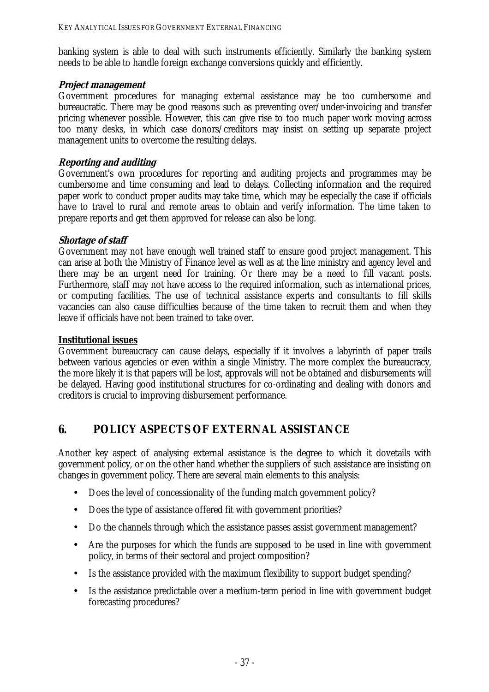banking system is able to deal with such instruments efficiently. Similarly the banking system needs to be able to handle foreign exchange conversions quickly and efficiently.

#### **Project management**

Government procedures for managing external assistance may be too cumbersome and bureaucratic. There may be good reasons such as preventing over/under-invoicing and transfer pricing whenever possible. However, this can give rise to too much paper work moving across too many desks, in which case donors/creditors may insist on setting up separate project management units to overcome the resulting delays.

#### **Reporting and auditing**

Government's own procedures for reporting and auditing projects and programmes may be cumbersome and time consuming and lead to delays. Collecting information and the required paper work to conduct proper audits may take time, which may be especially the case if officials have to travel to rural and remote areas to obtain and verify information. The time taken to prepare reports and get them approved for release can also be long.

#### **Shortage of staff**

Government may not have enough well trained staff to ensure good project management. This can arise at both the Ministry of Finance level as well as at the line ministry and agency level and there may be an urgent need for training. Or there may be a need to fill vacant posts. Furthermore, staff may not have access to the required information, such as international prices, or computing facilities. The use of technical assistance experts and consultants to fill skills vacancies can also cause difficulties because of the time taken to recruit them and when they leave if officials have not been trained to take over.

#### **Institutional issues**

Government bureaucracy can cause delays, especially if it involves a labyrinth of paper trails between various agencies or even within a single Ministry. The more complex the bureaucracy, the more likely it is that papers will be lost, approvals will not be obtained and disbursements will be delayed. Having good institutional structures for co-ordinating and dealing with donors and creditors is crucial to improving disbursement performance.

# **6. POLICY ASPECTS OF EXTERNAL ASSISTANCE**

Another key aspect of analysing external assistance is the degree to which it dovetails with government policy, or on the other hand whether the suppliers of such assistance are insisting on changes in government policy. There are several main elements to this analysis:

- Does the level of concessionality of the funding match government policy?
- Does the type of assistance offered fit with government priorities?
- Do the channels through which the assistance passes assist government management?
- Are the purposes for which the funds are supposed to be used in line with government policy, in terms of their sectoral and project composition?
- Is the assistance provided with the maximum flexibility to support budget spending?
- Is the assistance predictable over a medium-term period in line with government budget forecasting procedures?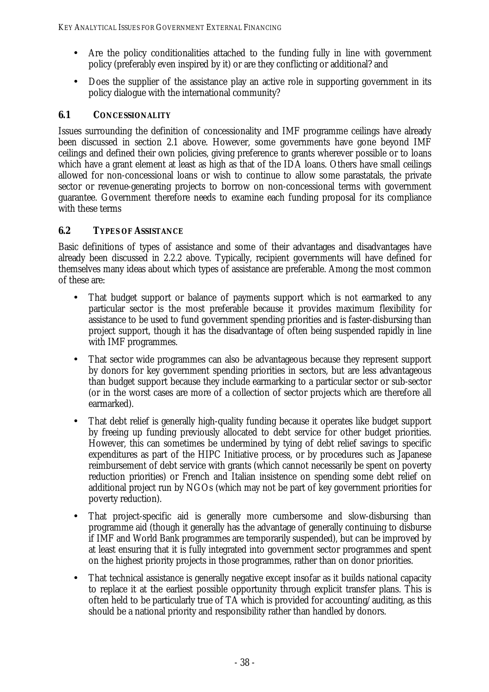- Are the policy conditionalities attached to the funding fully in line with government policy (preferably even inspired by it) or are they conflicting or additional? and
- Does the supplier of the assistance play an active role in supporting government in its policy dialogue with the international community?

## **6.1 CONCESSIONALITY**

Issues surrounding the definition of concessionality and IMF programme ceilings have already been discussed in section 2.1 above. However, some governments have gone beyond IMF ceilings and defined their own policies, giving preference to grants wherever possible or to loans which have a grant element at least as high as that of the IDA loans. Others have small ceilings allowed for non-concessional loans or wish to continue to allow some parastatals, the private sector or revenue-generating projects to borrow on non-concessional terms with government guarantee. Government therefore needs to examine each funding proposal for its compliance with these terms

## **6.2 TYPES OF ASSISTANCE**

Basic definitions of types of assistance and some of their advantages and disadvantages have already been discussed in 2.2.2 above. Typically, recipient governments will have defined for themselves many ideas about which types of assistance are preferable. Among the most common of these are:

- That budget support or balance of payments support which is not earmarked to any particular sector is the most preferable because it provides maximum flexibility for assistance to be used to fund government spending priorities and is faster-disbursing than project support, though it has the disadvantage of often being suspended rapidly in line with IMF programmes.
- That sector wide programmes can also be advantageous because they represent support by donors for key government spending priorities in sectors, but are less advantageous than budget support because they include earmarking to a particular sector or sub-sector (or in the worst cases are more of a collection of sector projects which are therefore all earmarked).
- That debt relief is generally high-quality funding because it operates like budget support by freeing up funding previously allocated to debt service for other budget priorities. However, this can sometimes be undermined by tying of debt relief savings to specific expenditures as part of the HIPC Initiative process, or by procedures such as Japanese reimbursement of debt service with grants (which cannot necessarily be spent on poverty reduction priorities) or French and Italian insistence on spending some debt relief on additional project run by NGOs (which may not be part of key government priorities for poverty reduction).
- That project-specific aid is generally more cumbersome and slow-disbursing than programme aid (though it generally has the advantage of generally continuing to disburse if IMF and World Bank programmes are temporarily suspended), but can be improved by at least ensuring that it is fully integrated into government sector programmes and spent on the highest priority projects in those programmes, rather than on donor priorities.
- That technical assistance is generally negative except insofar as it builds national capacity to replace it at the earliest possible opportunity through explicit transfer plans. This is often held to be particularly true of TA which is provided for accounting/auditing, as this should be a national priority and responsibility rather than handled by donors.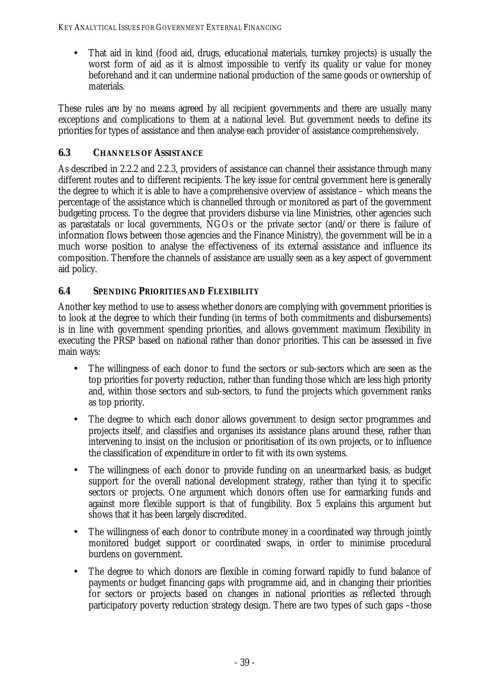• That aid in kind (food aid, drugs, educational materials, turnkey projects) is usually the worst form of aid as it is almost impossible to verify its quality or value for money beforehand and it can undermine national production of the same goods or ownership of materials.

These rules are by no means agreed by all recipient governments and there are usually many exceptions and complications to them at a national level. But government needs to define its priorities for types of assistance and then analyse each provider of assistance comprehensively.

## **6.3 CHANNELS OF ASSISTANCE**

As described in 2.2.2 and 2.2.3, providers of assistance can channel their assistance through many different routes and to different recipients. The key issue for central government here is generally the degree to which it is able to have a comprehensive overview of assistance – which means the percentage of the assistance which is channelled through or monitored as part of the government budgeting process. To the degree that providers disburse via line Ministries, other agencies such as parastatals or local governments, NGOs or the private sector (and/or there is failure of information flows between those agencies and the Finance Ministry), the government will be in a much worse position to analyse the effectiveness of its external assistance and influence its composition. Therefore the channels of assistance are usually seen as a key aspect of government aid policy.

## **6.4 SPENDING PRIORITIES AND FLEXIBILITY**

Another key method to use to assess whether donors are complying with government priorities is to look at the degree to which their funding (in terms of both commitments and disbursements) is in line with government spending priorities, and allows government maximum flexibility in executing the PRSP based on national rather than donor priorities. This can be assessed in five main ways:

- The willingness of each donor to fund the sectors or sub-sectors which are seen as the top priorities for poverty reduction, rather than funding those which are less high priority and, within those sectors and sub-sectors, to fund the projects which government ranks as top priority.
- The degree to which each donor allows government to design sector programmes and projects itself, and classifies and organises its assistance plans around these, rather than intervening to insist on the inclusion or prioritisation of its own projects, or to influence the classification of expenditure in order to fit with its own systems.
- The willingness of each donor to provide funding on an unearmarked basis, as budget support for the overall national development strategy, rather than tying it to specific sectors or projects. One argument which donors often use for earmarking funds and against more flexible support is that of fungibility. Box 5 explains this argument but shows that it has been largely discredited.
- The willingness of each donor to contribute money in a coordinated way through jointly monitored budget support or coordinated swaps, in order to minimise procedural burdens on government.
- The degree to which donors are flexible in coming forward rapidly to fund balance of payments or budget financing gaps with programme aid, and in changing their priorities for sectors or projects based on changes in national priorities as reflected through participatory poverty reduction strategy design. There are two types of such gaps –those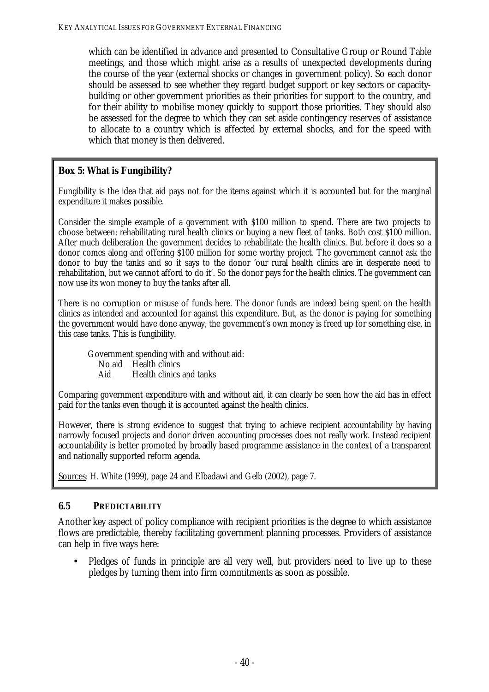which can be identified in advance and presented to Consultative Group or Round Table meetings, and those which might arise as a results of unexpected developments during the course of the year (external shocks or changes in government policy). So each donor should be assessed to see whether they regard budget support or key sectors or capacitybuilding or other government priorities as their priorities for support to the country, and for their ability to mobilise money quickly to support those priorities. They should also be assessed for the degree to which they can set aside contingency reserves of assistance to allocate to a country which is affected by external shocks, and for the speed with which that money is then delivered.

#### **Box 5: What is Fungibility?**

Fungibility is the idea that aid pays not for the items against which it is accounted but for the marginal expenditure it makes possible.

Consider the simple example of a government with \$100 million to spend. There are two projects to choose between: rehabilitating rural health clinics or buying a new fleet of tanks. Both cost \$100 million. After much deliberation the government decides to rehabilitate the health clinics. But before it does so a donor comes along and offering \$100 million for some worthy project. The government cannot ask the donor to buy the tanks and so it says to the donor 'our rural health clinics are in desperate need to rehabilitation, but we cannot afford to do it'. So the donor pays for the health clinics. The government can now use its won money to buy the tanks after all.

There is no corruption or misuse of funds here. The donor funds are indeed being spent on the health clinics as intended and accounted for against this expenditure. But, as the donor is paying for something the government would have done anyway, the government's own money is freed up for something else, in this case tanks. This is fungibility.

Government spending with and without aid: No aid Health clinics Aid Health clinics and tanks

Comparing government expenditure with and without aid, it can clearly be seen how the aid has in effect paid for the tanks even though it is accounted against the health clinics.

However, there is strong evidence to suggest that trying to achieve recipient accountability by having narrowly focused projects and donor driven accounting processes does not really work. Instead recipient accountability is better promoted by broadly based programme assistance in the context of a transparent and nationally supported reform agenda.

Sources: H. White (1999), page 24 and Elbadawi and Gelb (2002), page 7.

#### **6.5 PREDICTABILITY**

Another key aspect of policy compliance with recipient priorities is the degree to which assistance flows are predictable, thereby facilitating government planning processes. Providers of assistance can help in five ways here:

• Pledges of funds in principle are all very well, but providers need to live up to these pledges by turning them into firm commitments as soon as possible.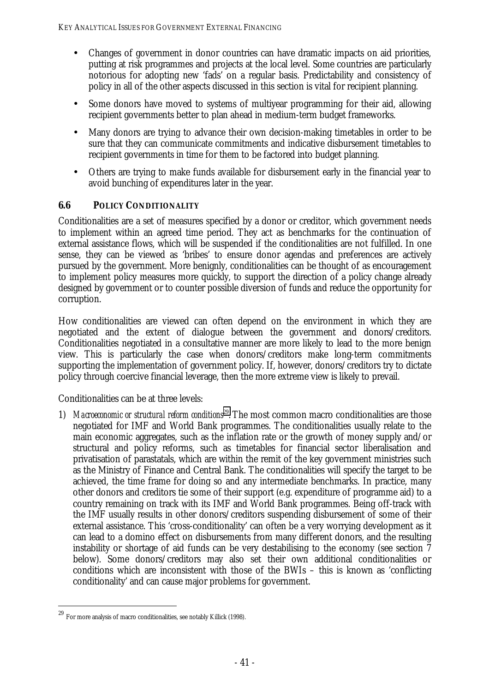- Changes of government in donor countries can have dramatic impacts on aid priorities, putting at risk programmes and projects at the local level. Some countries are particularly notorious for adopting new 'fads' on a regular basis. Predictability and consistency of policy in all of the other aspects discussed in this section is vital for recipient planning.
- Some donors have moved to systems of multiyear programming for their aid, allowing recipient governments better to plan ahead in medium-term budget frameworks.
- Many donors are trying to advance their own decision-making timetables in order to be sure that they can communicate commitments and indicative disbursement timetables to recipient governments in time for them to be factored into budget planning.
- Others are trying to make funds available for disbursement early in the financial year to avoid bunching of expenditures later in the year.

## **6.6 POLICY CONDITIONALITY**

Conditionalities are a set of measures specified by a donor or creditor, which government needs to implement within an agreed time period. They act as benchmarks for the continuation of external assistance flows, which will be suspended if the conditionalities are not fulfilled. In one sense, they can be viewed as 'bribes' to ensure donor agendas and preferences are actively pursued by the government. More benignly, conditionalities can be thought of as encouragement to implement policy measures more quickly, to support the direction of a policy change already designed by government or to counter possible diversion of funds and reduce the opportunity for corruption.

How conditionalities are viewed can often depend on the environment in which they are negotiated and the extent of dialogue between the government and donors/creditors. Conditionalities negotiated in a consultative manner are more likely to lead to the more benign view. This is particularly the case when donors/creditors make long-term commitments supporting the implementation of government policy. If, however, donors/creditors try to dictate policy through coercive financial leverage, then the more extreme view is likely to prevail.

Conditionalities can be at three levels:

1) *Macroeconomic or structural reform conditions*29. The most common macro conditionalities are those negotiated for IMF and World Bank programmes. The conditionalities usually relate to the main economic aggregates, such as the inflation rate or the growth of money supply and/or structural and policy reforms, such as timetables for financial sector liberalisation and privatisation of parastatals, which are within the remit of the key government ministries such as the Ministry of Finance and Central Bank. The conditionalities will specify the target to be achieved, the time frame for doing so and any intermediate benchmarks. In practice, many other donors and creditors tie some of their support (e.g. expenditure of programme aid) to a country remaining on track with its IMF and World Bank programmes. Being off-track with the IMF usually results in other donors/creditors suspending disbursement of some of their external assistance. This 'cross-conditionality' can often be a very worrying development as it can lead to a domino effect on disbursements from many different donors, and the resulting instability or shortage of aid funds can be very destabilising to the economy (see section 7 below). Some donors/creditors may also set their own additional conditionalities or conditions which are inconsistent with those of the BWIs – this is known as 'conflicting conditionality' and can cause major problems for government.

<sup>29</sup> For more analysis of macro conditionalities, see notably Killick (1998).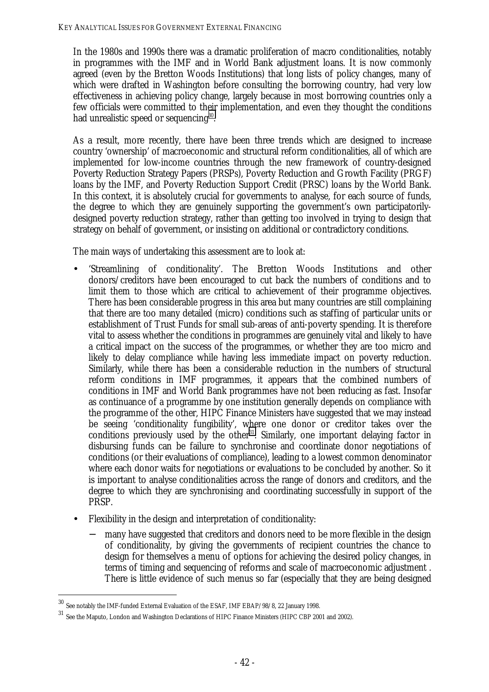In the 1980s and 1990s there was a dramatic proliferation of macro conditionalities, notably in programmes with the IMF and in World Bank adjustment loans. It is now commonly agreed (even by the Bretton Woods Institutions) that long lists of policy changes, many of which were drafted in Washington before consulting the borrowing country, had very low effectiveness in achieving policy change, largely because in most borrowing countries only a few officials were committed to their implementation, and even they thought the conditions had unrealistic speed or sequencing<sup>30</sup>.

As a result, more recently, there have been three trends which are designed to increase country 'ownership' of macroeconomic and structural reform conditionalities, all of which are implemented for low-income countries through the new framework of country-designed Poverty Reduction Strategy Papers (PRSPs), Poverty Reduction and Growth Facility (PRGF) loans by the IMF, and Poverty Reduction Support Credit (PRSC) loans by the World Bank. In this context, it is absolutely crucial for governments to analyse, for each source of funds, the degree to which they are genuinely supporting the government's own participatorilydesigned poverty reduction strategy, rather than getting too involved in trying to design that strategy on behalf of government, or insisting on additional or contradictory conditions.

The main ways of undertaking this assessment are to look at:

- 'Streamlining of conditionality'. The Bretton Woods Institutions and other donors/creditors have been encouraged to cut back the numbers of conditions and to limit them to those which are critical to achievement of their programme objectives. There has been considerable progress in this area but many countries are still complaining that there are too many detailed (micro) conditions such as staffing of particular units or establishment of Trust Funds for small sub-areas of anti-poverty spending. It is therefore vital to assess whether the conditions in programmes are genuinely vital and likely to have a critical impact on the success of the programmes, or whether they are too micro and likely to delay compliance while having less immediate impact on poverty reduction. Similarly, while there has been a considerable reduction in the numbers of structural reform conditions in IMF programmes, it appears that the combined numbers of conditions in IMF and World Bank programmes have not been reducing as fast. Insofar as continuance of a programme by one institution generally depends on compliance with the programme of the other, HIPC Finance Ministers have suggested that we may instead be seeing 'conditionality fungibility', where one donor or creditor takes over the conditions previously used by the other<sup>31</sup>. Similarly, one important delaying factor in disbursing funds can be failure to synchronise and coordinate donor negotiations of conditions (or their evaluations of compliance), leading to a lowest common denominator where each donor waits for negotiations or evaluations to be concluded by another. So it is important to analyse conditionalities across the range of donors and creditors, and the degree to which they are synchronising and coordinating successfully in support of the PRSP.
- Flexibility in the design and interpretation of conditionality:
	- many have suggested that creditors and donors need to be more flexible in the design of conditionality, by giving the governments of recipient countries the chance to design for themselves a menu of options for achieving the desired policy changes, in terms of timing and sequencing of reforms and scale of macroeconomic adjustment . There is little evidence of such menus so far (especially that they are being designed

<sup>30</sup> See notably the IMF-funded External Evaluation of the ESAF, IMF EBAP/98/8, 22 January 1998.

<sup>31</sup> See the Maputo, London and Washington Declarations of HIPC Finance Ministers (HIPC CBP 2001 and 2002).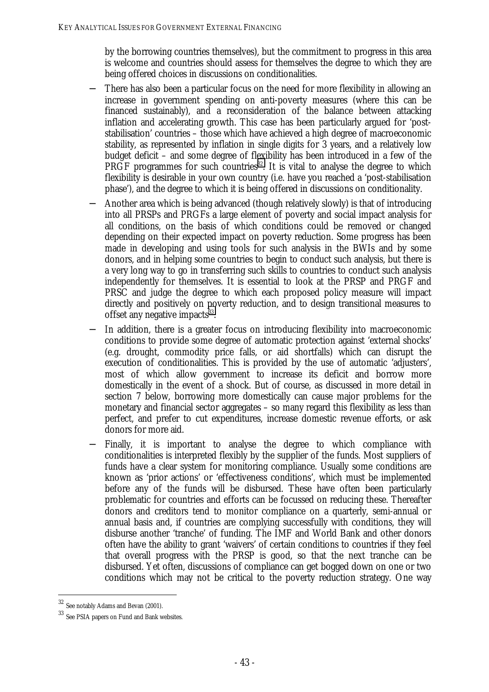by the borrowing countries themselves), but the commitment to progress in this area is welcome and countries should assess for themselves the degree to which they are being offered choices in discussions on conditionalities.

- There has also been a particular focus on the need for more flexibility in allowing an increase in government spending on anti-poverty measures (where this can be financed sustainably), and a reconsideration of the balance between attacking inflation and accelerating growth. This case has been particularly argued for 'poststabilisation' countries – those which have achieved a high degree of macroeconomic stability, as represented by inflation in single digits for 3 years, and a relatively low budget deficit – and some degree of flexibility has been introduced in a few of the PRGF programmes for such countries<sup>32</sup>. It is vital to analyse the degree to which flexibility is desirable in your own country (i.e. have you reached a 'post-stabilisation phase'), and the degree to which it is being offered in discussions on conditionality.
- − Another area which is being advanced (though relatively slowly) is that of introducing into all PRSPs and PRGFs a large element of poverty and social impact analysis for all conditions, on the basis of which conditions could be removed or changed depending on their expected impact on poverty reduction. Some progress has been made in developing and using tools for such analysis in the BWIs and by some donors, and in helping some countries to begin to conduct such analysis, but there is a very long way to go in transferring such skills to countries to conduct such analysis independently for themselves. It is essential to look at the PRSP and PRGF and PRSC and judge the degree to which each proposed policy measure will impact directly and positively on poverty reduction, and to design transitional measures to offset any negative impacts $33$ .
- In addition, there is a greater focus on introducing flexibility into macroeconomic conditions to provide some degree of automatic protection against 'external shocks' (e.g. drought, commodity price falls, or aid shortfalls) which can disrupt the execution of conditionalities. This is provided by the use of automatic 'adjusters', most of which allow government to increase its deficit and borrow more domestically in the event of a shock. But of course, as discussed in more detail in section 7 below, borrowing more domestically can cause major problems for the monetary and financial sector aggregates – so many regard this flexibility as less than perfect, and prefer to cut expenditures, increase domestic revenue efforts, or ask donors for more aid.
- Finally, it is important to analyse the degree to which compliance with conditionalities is interpreted flexibly by the supplier of the funds. Most suppliers of funds have a clear system for monitoring compliance. Usually some conditions are known as 'prior actions' or 'effectiveness conditions', which must be implemented before any of the funds will be disbursed. These have often been particularly problematic for countries and efforts can be focussed on reducing these. Thereafter donors and creditors tend to monitor compliance on a quarterly, semi-annual or annual basis and, if countries are complying successfully with conditions, they will disburse another 'tranche' of funding. The IMF and World Bank and other donors often have the ability to grant 'waivers' of certain conditions to countries if they feel that overall progress with the PRSP is good, so that the next tranche can be disbursed. Yet often, discussions of compliance can get bogged down on one or two conditions which may not be critical to the poverty reduction strategy. One way

<sup>32</sup> See notably Adams and Bevan (2001).

<sup>33</sup> See PSIA papers on Fund and Bank websites.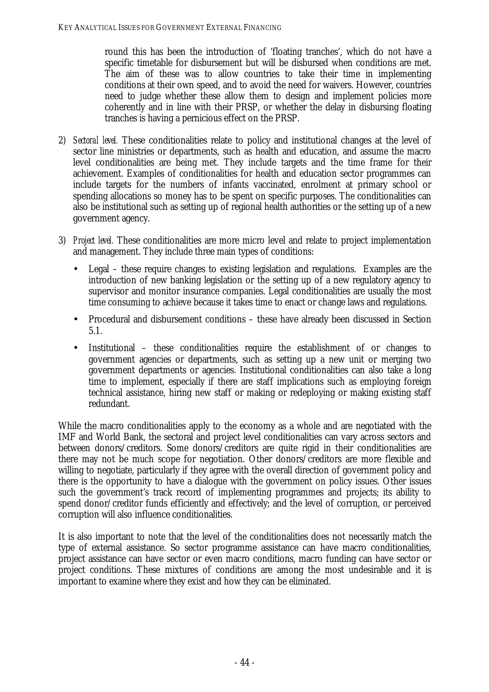round this has been the introduction of 'floating tranches', which do not have a specific timetable for disbursement but will be disbursed when conditions are met. The aim of these was to allow countries to take their time in implementing conditions at their own speed, and to avoid the need for waivers. However, countries need to judge whether these allow them to design and implement policies more coherently and in line with their PRSP, or whether the delay in disbursing floating tranches is having a pernicious effect on the PRSP.

- 2) *Sectoral level.* These conditionalities relate to policy and institutional changes at the level of sector line ministries or departments, such as health and education, and assume the macro level conditionalities are being met. They include targets and the time frame for their achievement. Examples of conditionalities for health and education sector programmes can include targets for the numbers of infants vaccinated, enrolment at primary school or spending allocations so money has to be spent on specific purposes. The conditionalities can also be institutional such as setting up of regional health authorities or the setting up of a new government agency.
- 3) *Project level.* These conditionalities are more micro level and relate to project implementation and management. They include three main types of conditions:
	- Legal these require changes to existing legislation and regulations. Examples are the introduction of new banking legislation or the setting up of a new regulatory agency to supervisor and monitor insurance companies. Legal conditionalities are usually the most time consuming to achieve because it takes time to enact or change laws and regulations.
	- Procedural and disbursement conditions these have already been discussed in Section 5.1.
	- Institutional these conditionalities require the establishment of or changes to government agencies or departments, such as setting up a new unit or merging two government departments or agencies. Institutional conditionalities can also take a long time to implement, especially if there are staff implications such as employing foreign technical assistance, hiring new staff or making or redeploying or making existing staff redundant.

While the macro conditionalities apply to the economy as a whole and are negotiated with the IMF and World Bank, the sectoral and project level conditionalities can vary across sectors and between donors/creditors. Some donors/creditors are quite rigid in their conditionalities are there may not be much scope for negotiation. Other donors/creditors are more flexible and willing to negotiate, particularly if they agree with the overall direction of government policy and there is the opportunity to have a dialogue with the government on policy issues. Other issues such the government's track record of implementing programmes and projects; its ability to spend donor/creditor funds efficiently and effectively; and the level of corruption, or perceived corruption will also influence conditionalities.

It is also important to note that the level of the conditionalities does not necessarily match the type of external assistance. So sector programme assistance can have macro conditionalities, project assistance can have sector or even macro conditions, macro funding can have sector or project conditions. These mixtures of conditions are among the most undesirable and it is important to examine where they exist and how they can be eliminated.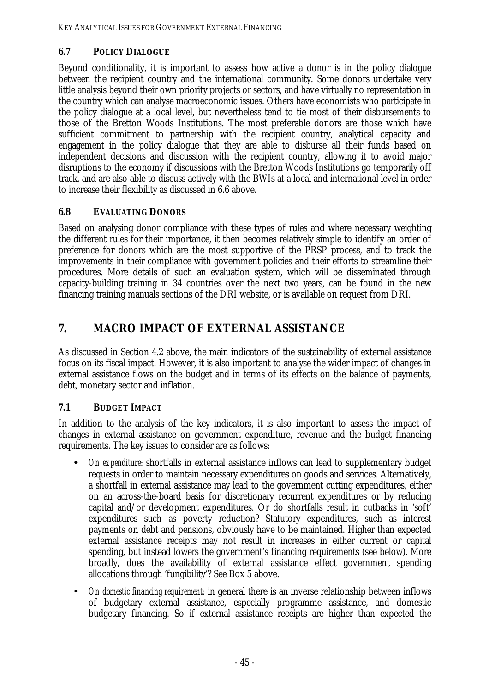## **6.7 POLICY DIALOGUE**

Beyond conditionality, it is important to assess how active a donor is in the policy dialogue between the recipient country and the international community. Some donors undertake very little analysis beyond their own priority projects or sectors, and have virtually no representation in the country which can analyse macroeconomic issues. Others have economists who participate in the policy dialogue at a local level, but nevertheless tend to tie most of their disbursements to those of the Bretton Woods Institutions. The most preferable donors are those which have sufficient commitment to partnership with the recipient country, analytical capacity and engagement in the policy dialogue that they are able to disburse all their funds based on independent decisions and discussion with the recipient country, allowing it to avoid major disruptions to the economy if discussions with the Bretton Woods Institutions go temporarily off track, and are also able to discuss actively with the BWIs at a local and international level in order to increase their flexibility as discussed in 6.6 above.

## **6.8 EVALUATING DONORS**

Based on analysing donor compliance with these types of rules and where necessary weighting the different rules for their importance, it then becomes relatively simple to identify an order of preference for donors which are the most supportive of the PRSP process, and to track the improvements in their compliance with government policies and their efforts to streamline their procedures. More details of such an evaluation system, which will be disseminated through capacity-building training in 34 countries over the next two years, can be found in the new financing training manuals sections of the DRI website, or is available on request from DRI.

# **7. MACRO IMPACT OF EXTERNAL ASSISTANCE**

As discussed in Section 4.2 above, the main indicators of the sustainability of external assistance focus on its fiscal impact. However, it is also important to analyse the wider impact of changes in external assistance flows on the budget and in terms of its effects on the balance of payments, debt, monetary sector and inflation.

## **7.1 BUDGET IMPACT**

In addition to the analysis of the key indicators, it is also important to assess the impact of changes in external assistance on government expenditure, revenue and the budget financing requirements. The key issues to consider are as follows:

- *On expenditure*: shortfalls in external assistance inflows can lead to supplementary budget requests in order to maintain necessary expenditures on goods and services. Alternatively, a shortfall in external assistance may lead to the government cutting expenditures, either on an across-the-board basis for discretionary recurrent expenditures or by reducing capital and/or development expenditures. Or do shortfalls result in cutbacks in 'soft' expenditures such as poverty reduction? Statutory expenditures, such as interest payments on debt and pensions, obviously have to be maintained. Higher than expected external assistance receipts may not result in increases in either current or capital spending, but instead lowers the government's financing requirements (see below). More broadly, does the availability of external assistance effect government spending allocations through 'fungibility'? See Box 5 above.
- *On domestic financing requirement*: in general there is an inverse relationship between inflows of budgetary external assistance, especially programme assistance, and domestic budgetary financing. So if external assistance receipts are higher than expected the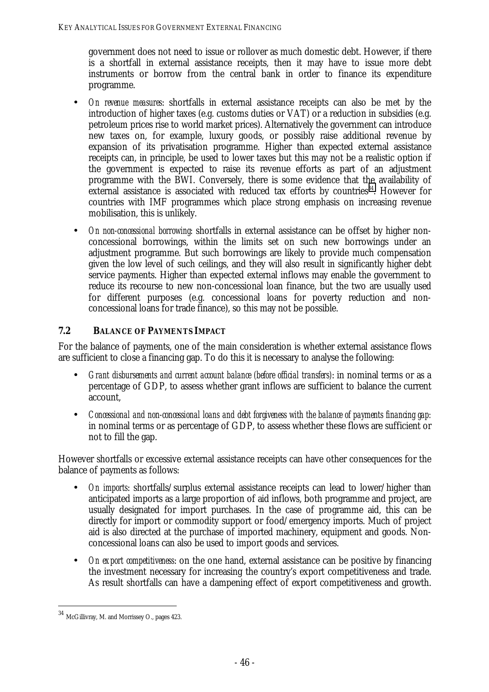government does not need to issue or rollover as much domestic debt. However, if there is a shortfall in external assistance receipts, then it may have to issue more debt instruments or borrow from the central bank in order to finance its expenditure programme.

- *On revenue measures*: shortfalls in external assistance receipts can also be met by the introduction of higher taxes (e.g. customs duties or VAT) or a reduction in subsidies (e.g. petroleum prices rise to world market prices). Alternatively the government can introduce new taxes on, for example, luxury goods, or possibly raise additional revenue by expansion of its privatisation programme. Higher than expected external assistance receipts can, in principle, be used to lower taxes but this may not be a realistic option if the government is expected to raise its revenue efforts as part of an adjustment programme with the BWI. Conversely, there is some evidence that the availability of external assistance is associated with reduced tax efforts by countries<sup>34</sup>. However for countries with IMF programmes which place strong emphasis on increasing revenue mobilisation, this is unlikely.
- *On non-concessional borrowing* shortfalls in external assistance can be offset by higher nonconcessional borrowings, within the limits set on such new borrowings under an adjustment programme. But such borrowings are likely to provide much compensation given the low level of such ceilings, and they will also result in significantly higher debt service payments. Higher than expected external inflows may enable the government to reduce its recourse to new non-concessional loan finance, but the two are usually used for different purposes (e.g. concessional loans for poverty reduction and nonconcessional loans for trade finance), so this may not be possible.

## **7.2 BALANCE OF PAYMENTS IMPACT**

For the balance of payments, one of the main consideration is whether external assistance flows are sufficient to close a financing gap. To do this it is necessary to analyse the following:

- *Grant disbursements and current account balance (before official transfers)*: in nominal terms or as a percentage of GDP, to assess whether grant inflows are sufficient to balance the current account,
- *Concessional and non-concessional loans and debt forgiveness with the balance of payments financing gap:* in nominal terms or as percentage of GDP, to assess whether these flows are sufficient or not to fill the gap.

However shortfalls or excessive external assistance receipts can have other consequences for the balance of payments as follows:

- *On imports*: shortfalls/surplus external assistance receipts can lead to lower/higher than anticipated imports as a large proportion of aid inflows, both programme and project, are usually designated for import purchases. In the case of programme aid, this can be directly for import or commodity support or food/emergency imports. Much of project aid is also directed at the purchase of imported machinery, equipment and goods. Nonconcessional loans can also be used to import goods and services.
- *On export competitiveness*: on the one hand, external assistance can be positive by financing the investment necessary for increasing the country's export competitiveness and trade. As result shortfalls can have a dampening effect of export competitiveness and growth.

 $34$  McGillivray, M. and Morrissey O., pages 423.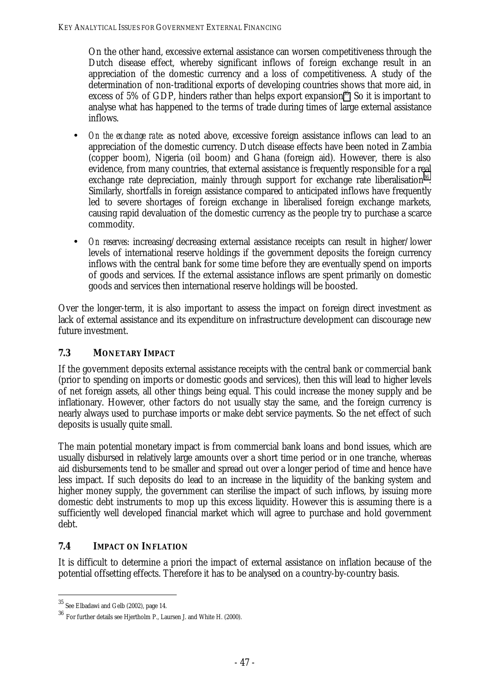On the other hand, excessive external assistance can worsen competitiveness through the Dutch disease effect, whereby significant inflows of foreign exchange result in an appreciation of the domestic currency and a loss of competitiveness. A study of the determination of non-traditional exports of developing countries shows that more aid, in excess of 5% of GDP, hinders rather than helps export expansion<sup>35</sup>. So it is important to analyse what has happened to the terms of trade during times of large external assistance inflows.

- *On the exchange rate*: as noted above, excessive foreign assistance inflows can lead to an appreciation of the domestic currency. Dutch disease effects have been noted in Zambia (copper boom), Nigeria (oil boom) and Ghana (foreign aid). However, there is also evidence, from many countries, that external assistance is frequently responsible for a real exchange rate depreciation, mainly through support for exchange rate liberalisation<sup>36</sup>. Similarly, shortfalls in foreign assistance compared to anticipated inflows have frequently led to severe shortages of foreign exchange in liberalised foreign exchange markets, causing rapid devaluation of the domestic currency as the people try to purchase a scarce commodity.
- *On reserves*: increasing/decreasing external assistance receipts can result in higher/lower levels of international reserve holdings if the government deposits the foreign currency inflows with the central bank for some time before they are eventually spend on imports of goods and services. If the external assistance inflows are spent primarily on domestic goods and services then international reserve holdings will be boosted.

Over the longer-term, it is also important to assess the impact on foreign direct investment as lack of external assistance and its expenditure on infrastructure development can discourage new future investment.

## **7.3 MONETARY IMPACT**

If the government deposits external assistance receipts with the central bank or commercial bank (prior to spending on imports or domestic goods and services), then this will lead to higher levels of net foreign assets, all other things being equal. This could increase the money supply and be inflationary. However, other factors do not usually stay the same, and the foreign currency is nearly always used to purchase imports or make debt service payments. So the net effect of such deposits is usually quite small.

The main potential monetary impact is from commercial bank loans and bond issues, which are usually disbursed in relatively large amounts over a short time period or in one tranche, whereas aid disbursements tend to be smaller and spread out over a longer period of time and hence have less impact. If such deposits do lead to an increase in the liquidity of the banking system and higher money supply, the government can sterilise the impact of such inflows, by issuing more domestic debt instruments to mop up this excess liquidity. However this is assuming there is a sufficiently well developed financial market which will agree to purchase and hold government debt.

## **7.4 IMPACT ON INFLATION**

It is difficult to determine a priori the impact of external assistance on inflation because of the potential offsetting effects. Therefore it has to be analysed on a country-by-country basis.

<sup>35</sup> See Elbadawi and Gelb (2002), page 14.

 $^{36}$  For further details see Hjertholm P., Laursen J. and White H. (2000).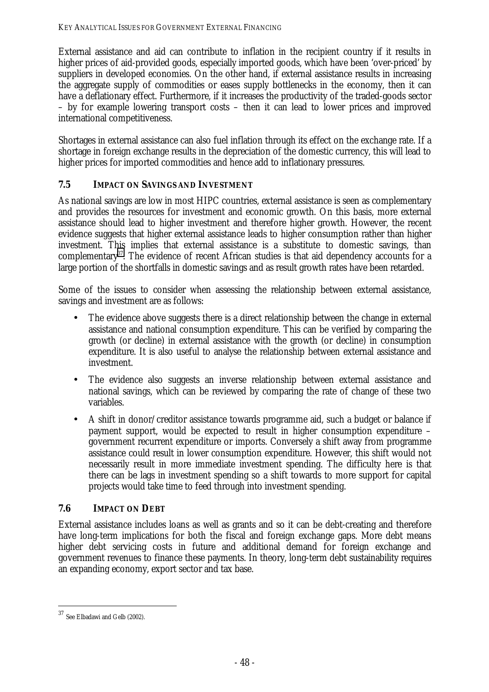External assistance and aid can contribute to inflation in the recipient country if it results in higher prices of aid-provided goods, especially imported goods, which have been 'over-priced' by suppliers in developed economies. On the other hand, if external assistance results in increasing the aggregate supply of commodities or eases supply bottlenecks in the economy, then it can have a deflationary effect. Furthermore, if it increases the productivity of the traded-goods sector – by for example lowering transport costs – then it can lead to lower prices and improved international competitiveness.

Shortages in external assistance can also fuel inflation through its effect on the exchange rate. If a shortage in foreign exchange results in the depreciation of the domestic currency, this will lead to higher prices for imported commodities and hence add to inflationary pressures.

## **7.5 IMPACT ON SAVINGS AND INVESTMENT**

As national savings are low in most HIPC countries, external assistance is seen as complementary and provides the resources for investment and economic growth. On this basis, more external assistance should lead to higher investment and therefore higher growth. However, the recent evidence suggests that higher external assistance leads to higher consumption rather than higher investment. This implies that external assistance is a substitute to domestic savings, than complementary<sup>37</sup>. The evidence of recent African studies is that aid dependency accounts for a large portion of the shortfalls in domestic savings and as result growth rates have been retarded.

Some of the issues to consider when assessing the relationship between external assistance, savings and investment are as follows:

- The evidence above suggests there is a direct relationship between the change in external assistance and national consumption expenditure. This can be verified by comparing the growth (or decline) in external assistance with the growth (or decline) in consumption expenditure. It is also useful to analyse the relationship between external assistance and investment.
- The evidence also suggests an inverse relationship between external assistance and national savings, which can be reviewed by comparing the rate of change of these two variables.
- A shift in donor/creditor assistance towards programme aid, such a budget or balance if payment support, would be expected to result in higher consumption expenditure – government recurrent expenditure or imports. Conversely a shift away from programme assistance could result in lower consumption expenditure. However, this shift would not necessarily result in more immediate investment spending. The difficulty here is that there can be lags in investment spending so a shift towards to more support for capital projects would take time to feed through into investment spending.

#### **7.6 IMPACT ON DEBT**

External assistance includes loans as well as grants and so it can be debt-creating and therefore have long-term implications for both the fiscal and foreign exchange gaps. More debt means higher debt servicing costs in future and additional demand for foreign exchange and government revenues to finance these payments. In theory, long-term debt sustainability requires an expanding economy, export sector and tax base.

 $37$  See Elbadawi and Gelb (2002).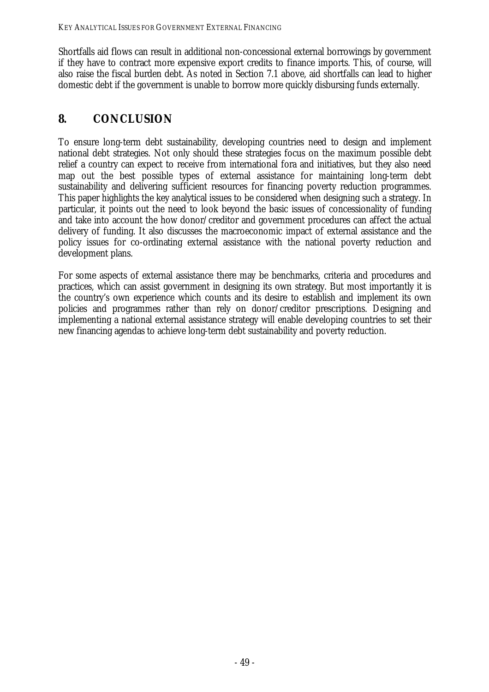Shortfalls aid flows can result in additional non-concessional external borrowings by government if they have to contract more expensive export credits to finance imports. This, of course, will also raise the fiscal burden debt. As noted in Section 7.1 above, aid shortfalls can lead to higher domestic debt if the government is unable to borrow more quickly disbursing funds externally.

# **8. CONCLUSION**

To ensure long-term debt sustainability, developing countries need to design and implement national debt strategies. Not only should these strategies focus on the maximum possible debt relief a country can expect to receive from international fora and initiatives, but they also need map out the best possible types of external assistance for maintaining long-term debt sustainability and delivering sufficient resources for financing poverty reduction programmes. This paper highlights the key analytical issues to be considered when designing such a strategy. In particular, it points out the need to look beyond the basic issues of concessionality of funding and take into account the how donor/creditor and government procedures can affect the actual delivery of funding. It also discusses the macroeconomic impact of external assistance and the policy issues for co-ordinating external assistance with the national poverty reduction and development plans.

For some aspects of external assistance there may be benchmarks, criteria and procedures and practices, which can assist government in designing its own strategy. But most importantly it is the country's own experience which counts and its desire to establish and implement its own policies and programmes rather than rely on donor/creditor prescriptions. Designing and implementing a national external assistance strategy will enable developing countries to set their new financing agendas to achieve long-term debt sustainability and poverty reduction.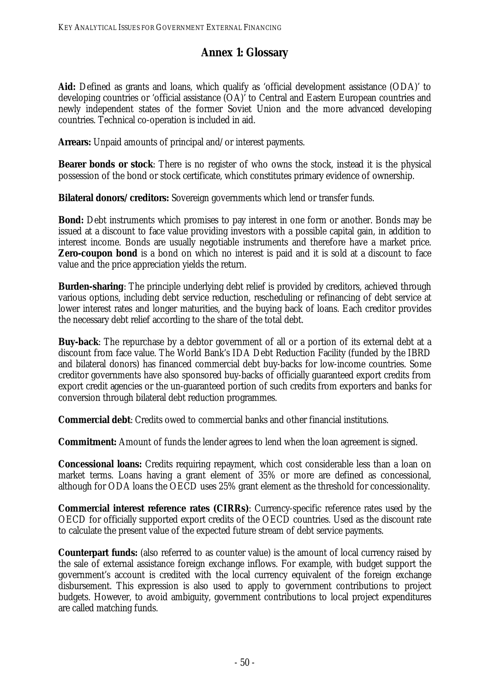# **Annex 1: Glossary**

Aid: Defined as grants and loans, which qualify as 'official development assistance (ODA)' to developing countries or 'official assistance (OA)' to Central and Eastern European countries and newly independent states of the former Soviet Union and the more advanced developing countries. Technical co-operation is included in aid.

**Arrears:** Unpaid amounts of principal and/or interest payments.

**Bearer bonds or stock**: There is no register of who owns the stock, instead it is the physical possession of the bond or stock certificate, which constitutes primary evidence of ownership.

**Bilateral donors/creditors:** Sovereign governments which lend or transfer funds.

**Bond:** Debt instruments which promises to pay interest in one form or another. Bonds may be issued at a discount to face value providing investors with a possible capital gain, in addition to interest income. Bonds are usually negotiable instruments and therefore have a market price. **Zero-coupon bond** is a bond on which no interest is paid and it is sold at a discount to face value and the price appreciation yields the return.

**Burden-sharing**: The principle underlying debt relief is provided by creditors, achieved through various options, including debt service reduction, rescheduling or refinancing of debt service at lower interest rates and longer maturities, and the buying back of loans. Each creditor provides the necessary debt relief according to the share of the total debt.

**Buy-back**: The repurchase by a debtor government of all or a portion of its external debt at a discount from face value. The World Bank's IDA Debt Reduction Facility (funded by the IBRD and bilateral donors) has financed commercial debt buy-backs for low-income countries. Some creditor governments have also sponsored buy-backs of officially guaranteed export credits from export credit agencies or the un-guaranteed portion of such credits from exporters and banks for conversion through bilateral debt reduction programmes.

**Commercial debt**: Credits owed to commercial banks and other financial institutions.

**Commitment:** Amount of funds the lender agrees to lend when the loan agreement is signed.

**Concessional loans:** Credits requiring repayment, which cost considerable less than a loan on market terms. Loans having a grant element of 35% or more are defined as concessional, although for ODA loans the OECD uses 25% grant element as the threshold for concessionality.

**Commercial interest reference rates (CIRRs)**: Currency-specific reference rates used by the OECD for officially supported export credits of the OECD countries. Used as the discount rate to calculate the present value of the expected future stream of debt service payments.

**Counterpart funds:** (also referred to as counter value) is the amount of local currency raised by the sale of external assistance foreign exchange inflows. For example, with budget support the government's account is credited with the local currency equivalent of the foreign exchange disbursement. This expression is also used to apply to government contributions to project budgets. However, to avoid ambiguity, government contributions to local project expenditures are called matching funds.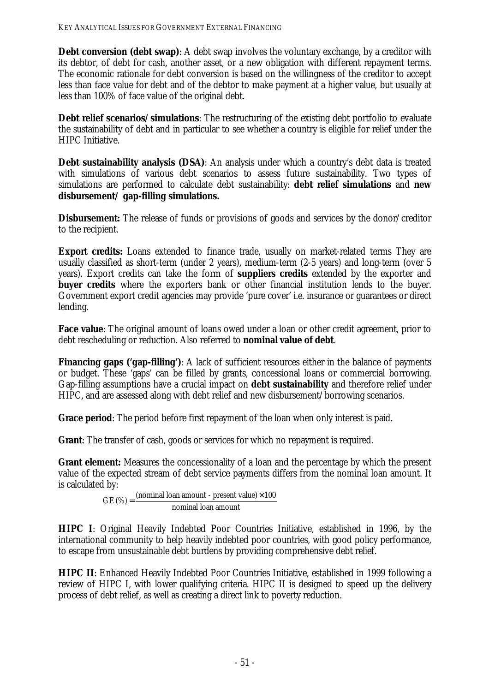**Debt conversion (debt swap)**: A debt swap involves the voluntary exchange, by a creditor with its debtor, of debt for cash, another asset, or a new obligation with different repayment terms. The economic rationale for debt conversion is based on the willingness of the creditor to accept less than face value for debt and of the debtor to make payment at a higher value, but usually at less than 100% of face value of the original debt.

**Debt relief scenarios/simulations**: The restructuring of the existing debt portfolio to evaluate the sustainability of debt and in particular to see whether a country is eligible for relief under the HIPC Initiative.

**Debt sustainability analysis (DSA)**: An analysis under which a country's debt data is treated with simulations of various debt scenarios to assess future sustainability. Two types of simulations are performed to calculate debt sustainability: **debt relief simulations** and **new disbursement/ gap-filling simulations.** 

**Disbursement:** The release of funds or provisions of goods and services by the donor/creditor to the recipient.

**Export credits:** Loans extended to finance trade, usually on market-related terms They are usually classified as short-term (under 2 years), medium-term (2-5 years) and long-term (over 5 years). Export credits can take the form of **suppliers credits** extended by the exporter and **buyer credits** where the exporters bank or other financial institution lends to the buyer. Government export credit agencies may provide 'pure cover' i.e. insurance or guarantees or direct lending.

**Face value**: The original amount of loans owed under a loan or other credit agreement, prior to debt rescheduling or reduction. Also referred to **nominal value of debt**.

**Financing gaps ('gap-filling'):** A lack of sufficient resources either in the balance of payments or budget. These 'gaps' can be filled by grants, concessional loans or commercial borrowing. Gap-filling assumptions have a crucial impact on **debt sustainability** and therefore relief under HIPC, and are assessed along with debt relief and new disbursement/borrowing scenarios.

**Grace period**: The period before first repayment of the loan when only interest is paid.

**Grant**: The transfer of cash, goods or services for which no repayment is required.

**Grant element:** Measures the concessionality of a loan and the percentage by which the present value of the expected stream of debt service payments differs from the nominal loan amount. It is calculated by:

nominal loan amount  $GE (\%) = \frac{(nominal loan amount - present value) \times 100}{$ 

**HIPC I**: Original Heavily Indebted Poor Countries Initiative, established in 1996, by the international community to help heavily indebted poor countries, with good policy performance, to escape from unsustainable debt burdens by providing comprehensive debt relief.

**HIPC II**: Enhanced Heavily Indebted Poor Countries Initiative, established in 1999 following a review of HIPC I, with lower qualifying criteria. HIPC II is designed to speed up the delivery process of debt relief, as well as creating a direct link to poverty reduction.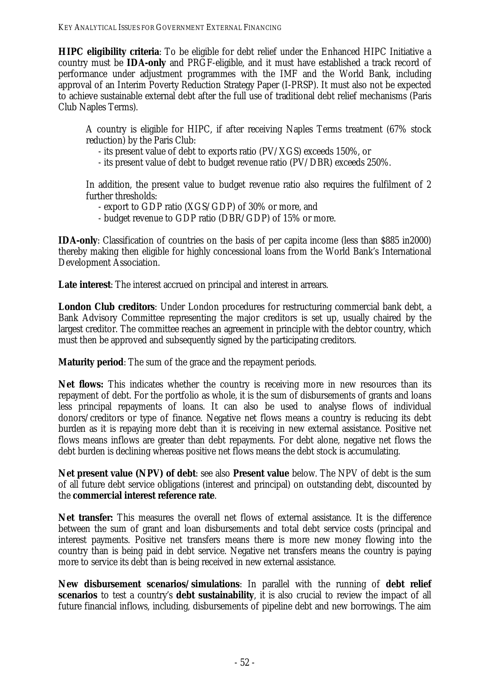**HIPC eligibility criteria**: To be eligible for debt relief under the Enhanced HIPC Initiative a country must be **IDA-only** and PRGF-eligible, and it must have established a track record of performance under adjustment programmes with the IMF and the World Bank, including approval of an Interim Poverty Reduction Strategy Paper (I-PRSP). It must also not be expected to achieve sustainable external debt after the full use of traditional debt relief mechanisms (Paris Club Naples Terms).

A country is eligible for HIPC, if after receiving Naples Terms treatment (67% stock reduction) by the Paris Club:

- its present value of debt to exports ratio (PV/XGS) exceeds 150%, or

- its present value of debt to budget revenue ratio (PV/DBR) exceeds 250%.

In addition, the present value to budget revenue ratio also requires the fulfilment of 2 further thresholds:

- export to GDP ratio (XGS/GDP) of 30% or more, and
- budget revenue to GDP ratio (DBR/GDP) of 15% or more.

**IDA-only**: Classification of countries on the basis of per capita income (less than \$885 in2000) thereby making then eligible for highly concessional loans from the World Bank's International Development Association.

**Late interest**: The interest accrued on principal and interest in arrears.

**London Club creditors**: Under London procedures for restructuring commercial bank debt, a Bank Advisory Committee representing the major creditors is set up, usually chaired by the largest creditor. The committee reaches an agreement in principle with the debtor country, which must then be approved and subsequently signed by the participating creditors.

**Maturity period**: The sum of the grace and the repayment periods.

**Net flows:** This indicates whether the country is receiving more in new resources than its repayment of debt. For the portfolio as whole, it is the sum of disbursements of grants and loans less principal repayments of loans. It can also be used to analyse flows of individual donors/creditors or type of finance. Negative net flows means a country is reducing its debt burden as it is repaying more debt than it is receiving in new external assistance. Positive net flows means inflows are greater than debt repayments. For debt alone, negative net flows the debt burden is declining whereas positive net flows means the debt stock is accumulating.

**Net present value (NPV) of debt**: see also **Present value** below. The NPV of debt is the sum of all future debt service obligations (interest and principal) on outstanding debt, discounted by the **commercial interest reference rate**.

**Net transfer:** This measures the overall net flows of external assistance. It is the difference between the sum of grant and loan disbursements and total debt service costs (principal and interest payments. Positive net transfers means there is more new money flowing into the country than is being paid in debt service. Negative net transfers means the country is paying more to service its debt than is being received in new external assistance.

**New disbursement scenarios/simulations**: In parallel with the running of **debt relief scenarios** to test a country's **debt sustainability**, it is also crucial to review the impact of all future financial inflows, including, disbursements of pipeline debt and new borrowings. The aim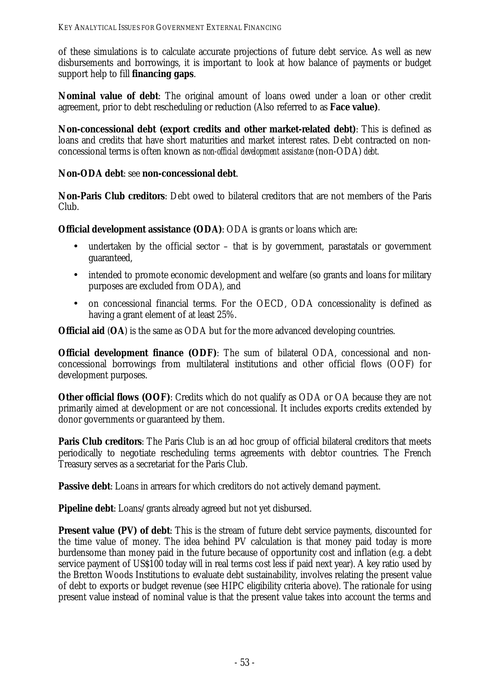of these simulations is to calculate accurate projections of future debt service. As well as new disbursements and borrowings, it is important to look at how balance of payments or budget support help to fill **financing gaps**.

**Nominal value of debt**: The original amount of loans owed under a loan or other credit agreement, prior to debt rescheduling or reduction (Also referred to as **Face value)**.

**Non-concessional debt (export credits and other market-related debt)**: This is defined as loans and credits that have short maturities and market interest rates. Debt contracted on nonconcessional terms is often known as *non-official development assistance* (non-ODA) *debt.* 

#### **Non-ODA debt**: see **non-concessional debt**.

**Non-Paris Club creditors**: Debt owed to bilateral creditors that are not members of the Paris Club.

**Official development assistance (ODA)**: ODA is grants or loans which are:

- undertaken by the official sector that is by government, parastatals or government guaranteed,
- intended to promote economic development and welfare (so grants and loans for military purposes are excluded from ODA), and
- on concessional financial terms. For the OECD, ODA concessionality is defined as having a grant element of at least 25%.

**Official aid** (**OA**) is the same as ODA but for the more advanced developing countries.

**Official development finance (ODF):** The sum of bilateral ODA, concessional and nonconcessional borrowings from multilateral institutions and other official flows (OOF) for development purposes.

**Other official flows (OOF)**: Credits which do not qualify as ODA or OA because they are not primarily aimed at development or are not concessional. It includes exports credits extended by donor governments or guaranteed by them.

**Paris Club creditors:** The Paris Club is an ad hoc group of official bilateral creditors that meets periodically to negotiate rescheduling terms agreements with debtor countries. The French Treasury serves as a secretariat for the Paris Club.

**Passive debt**: Loans in arrears for which creditors do not actively demand payment.

**Pipeline debt**: Loans/grants already agreed but not yet disbursed.

**Present value (PV) of debt**: This is the stream of future debt service payments, discounted for the time value of money. The idea behind PV calculation is that money paid today is more burdensome than money paid in the future because of opportunity cost and inflation (e.g. a debt service payment of US\$100 today will in real terms cost less if paid next year). A key ratio used by the Bretton Woods Institutions to evaluate debt sustainability, involves relating the present value of debt to exports or budget revenue (see HIPC eligibility criteria above). The rationale for using present value instead of nominal value is that the present value takes into account the terms and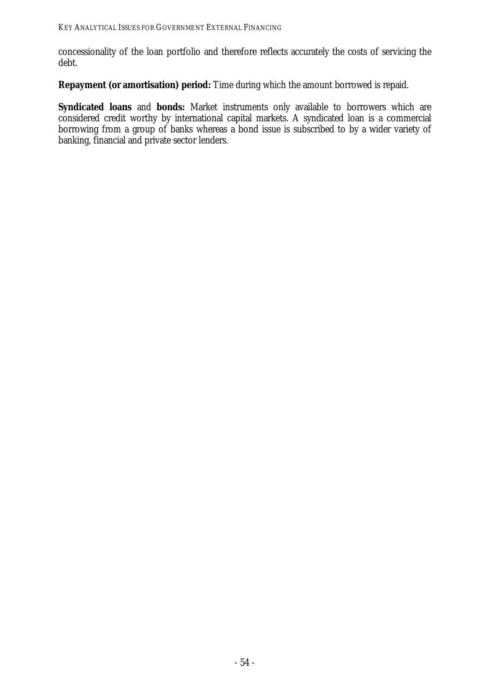concessionality of the loan portfolio and therefore reflects accurately the costs of servicing the debt.

**Repayment (or amortisation) period:** Time during which the amount borrowed is repaid.

Syndicated loans and bonds: Market instruments only available to borrowers which are considered credit worthy by international capital markets. A syndicated loan is a commercial borrowing from a group of banks whereas a bond issue is subscribed to by a wider variety of banking, financial and private sector lenders.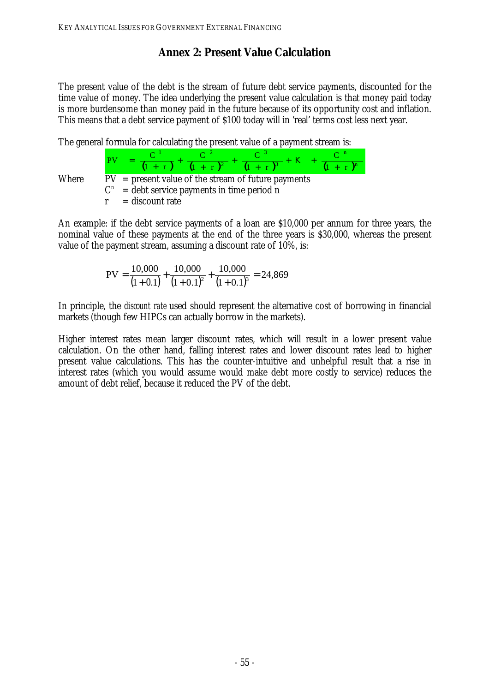# **Annex 2: Present Value Calculation**

The present value of the debt is the stream of future debt service payments, discounted for the time value of money. The idea underlying the present value calculation is that money paid today is more burdensome than money paid in the future because of its opportunity cost and inflation. This means that a debt service payment of \$100 today will in 'real' terms cost less next year.

The general formula for calculating the present value of a payment stream is:



An example: if the debt service payments of a loan are \$10,000 per annum for three years, the nominal value of these payments at the end of the three years is \$30,000, whereas the present value of the payment stream, assuming a discount rate of 10%, is:

$$
PV = \frac{10,000}{(1+0.1)} + \frac{10,000}{(1+0.1)^2} + \frac{10,000}{(1+0.1)^3} = 24,869
$$

In principle, the *discount rate* used should represent the alternative cost of borrowing in financial markets (though few HIPCs can actually borrow in the markets).

Higher interest rates mean larger discount rates, which will result in a lower present value calculation. On the other hand, falling interest rates and lower discount rates lead to higher present value calculations. This has the counter-intuitive and unhelpful result that a rise in interest rates (which you would assume would make debt more costly to service) reduces the amount of debt relief, because it reduced the PV of the debt.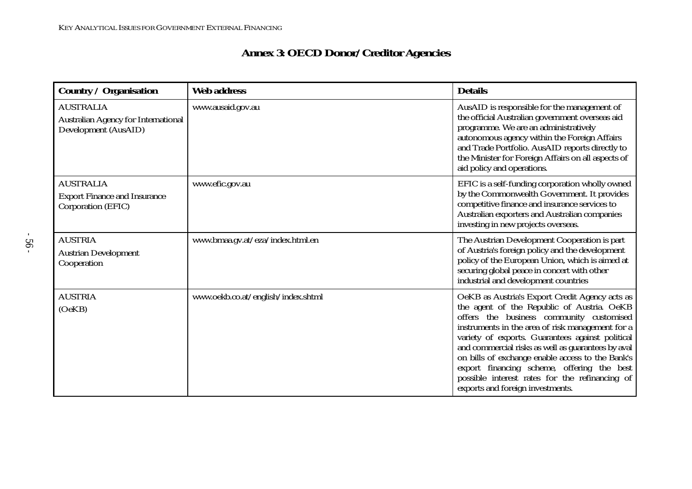# **Annex 3: OECD Donor/Creditor Agencies**

| <b>Country / Organisation</b>                                                          | <b>Web address</b>                 | <b>Details</b>                                                                                                                                                                                                                                                                                                                                                                                                                                                                                 |
|----------------------------------------------------------------------------------------|------------------------------------|------------------------------------------------------------------------------------------------------------------------------------------------------------------------------------------------------------------------------------------------------------------------------------------------------------------------------------------------------------------------------------------------------------------------------------------------------------------------------------------------|
| <b>AUSTRALIA</b><br><b>Australian Agency for International</b><br>Development (AusAID) | www.ausaid.gov.au                  | AusAID is responsible for the management of<br>the official Australian government overseas aid<br>programme. We are an administratively<br>autonomous agency within the Foreign Affairs<br>and Trade Portfolio. AusAID reports directly to<br>the Minister for Foreign Affairs on all aspects of<br>aid policy and operations.                                                                                                                                                                 |
| <b>AUSTRALIA</b><br><b>Export Finance and Insurance</b><br>Corporation (EFIC)          | www.efic.gov.au                    | EFIC is a self-funding corporation wholly owned<br>by the Commonwealth Government. It provides<br>competitive finance and insurance services to<br>Australian exporters and Australian companies<br>investing in new projects overseas.                                                                                                                                                                                                                                                        |
| <b>AUSTRIA</b><br><b>Austrian Development</b><br>Cooperation                           | www.bmaa.gv.at/eza/index.html.en   | The Austrian Development Cooperation is part<br>of Austria's foreign policy and the development<br>policy of the European Union, which is aimed at<br>securing global peace in concert with other<br>industrial and development countries                                                                                                                                                                                                                                                      |
| <b>AUSTRIA</b><br>(OeKB)                                                               | www.oekb.co.at/english/index.shtml | OeKB as Austria's Export Credit Agency acts as<br>the agent of the Republic of Austria. OeKB<br>offers the business community customised<br>instruments in the area of risk management for a<br>variety of exports. Guarantees against political<br>and commercial risks as well as guarantees by aval<br>on bills of exchange enable access to the Bank's<br>export financing scheme, offering the best<br>possible interest rates for the refinancing of<br>exports and foreign investments. |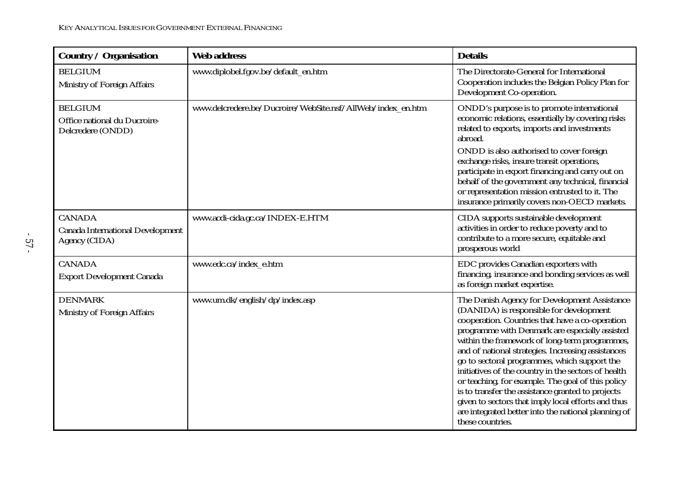| <b>Country / Organisation</b>                                             | <b>Web address</b>                                         | <b>Details</b>                                                                                                                                                                                                                                                                                                                                                                                                                                                                                                                                                                                                                                        |
|---------------------------------------------------------------------------|------------------------------------------------------------|-------------------------------------------------------------------------------------------------------------------------------------------------------------------------------------------------------------------------------------------------------------------------------------------------------------------------------------------------------------------------------------------------------------------------------------------------------------------------------------------------------------------------------------------------------------------------------------------------------------------------------------------------------|
| <b>BELGIUM</b><br>Ministry of Foreign Affairs                             | www.diplobel.fgov.be/default_en.htm                        | The Directorate-General for International<br>Cooperation includes the Belgian Policy Plan for<br>Development Co-operation.                                                                                                                                                                                                                                                                                                                                                                                                                                                                                                                            |
| <b>BELGIUM</b><br>Office national du Ducroire-<br>Delcredere (ONDD)       | www.delcredere.be/Ducroire/WebSite.nsf/AllWeb/index en.htm | ONDD's purpose is to promote international<br>economic relations, essentially by covering risks<br>related to exports, imports and investments<br>abroad.<br>ONDD is also authorised to cover foreign                                                                                                                                                                                                                                                                                                                                                                                                                                                 |
|                                                                           |                                                            | exchange risks, insure transit operations,<br>participate in export financing and carry out on<br>behalf of the government any technical, financial<br>or representation mission entrusted to it. The<br>insurance primarily covers non-OECD markets.                                                                                                                                                                                                                                                                                                                                                                                                 |
| <b>CANADA</b><br><b>Canada International Development</b><br>Agency (CIDA) | www.acdi-cida.gc.ca/INDEX-E.HTM                            | CIDA supports sustainable development<br>activities in order to reduce poverty and to<br>contribute to a more secure, equitable and<br>prosperous world                                                                                                                                                                                                                                                                                                                                                                                                                                                                                               |
| <b>CANADA</b><br><b>Export Development Canada</b>                         | www.edc.ca/index_e.htm                                     | EDC provides Canadian exporters with<br>financing, insurance and bonding services as well<br>as foreign market expertise.                                                                                                                                                                                                                                                                                                                                                                                                                                                                                                                             |
| <b>DENMARK</b><br>Ministry of Foreign Affairs                             | www.um.dk/english/dp/index.asp                             | The Danish Agency for Development Assistance<br>(DANIDA) is responsible for development<br>cooperation. Countries that have a co-operation<br>programme with Denmark are especially assisted<br>within the framework of long-term programmes,<br>and of national strategies. Increasing assistances<br>go to sectoral programmes, which support the<br>initiatives of the country in the sectors of health<br>or teaching, for example. The goal of this policy<br>is to transfer the assistance granted to projects<br>given to sectors that imply local efforts and thus<br>are integrated better into the national planning of<br>these countries. |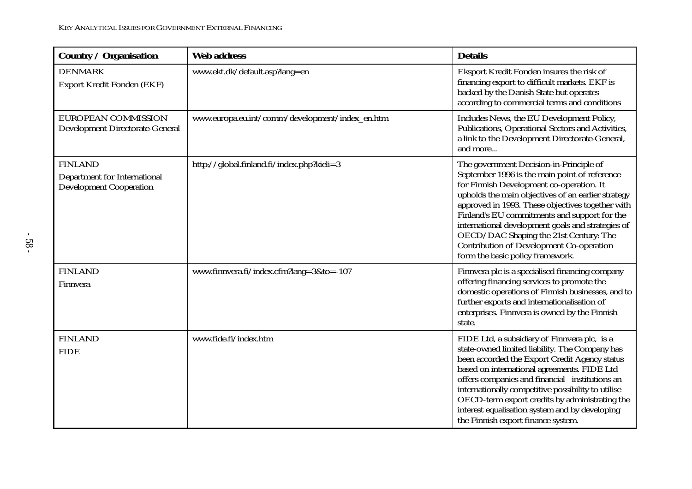| <b>Country / Organisation</b>                                                           | <b>Web address</b>                              | <b>Details</b>                                                                                                                                                                                                                                                                                                                                                                                                                                                                |
|-----------------------------------------------------------------------------------------|-------------------------------------------------|-------------------------------------------------------------------------------------------------------------------------------------------------------------------------------------------------------------------------------------------------------------------------------------------------------------------------------------------------------------------------------------------------------------------------------------------------------------------------------|
| <b>DENMARK</b><br><b>Export Kredit Fonden (EKF)</b>                                     | www.ekf.dk/default.asp?lang=en                  | Eksport Kredit Fonden insures the risk of<br>financing export to difficult markets. EKF is<br>backed by the Danish State but operates<br>according to commercial terms and conditions                                                                                                                                                                                                                                                                                         |
| EUROPEAN COMMISSION<br><b>Development Directorate-General</b>                           | www.europa.eu.int/comm/development/index_en.htm | Includes News, the EU Development Policy,<br>Publications, Operational Sectors and Activities,<br>a link to the Development Directorate-General,<br>and more                                                                                                                                                                                                                                                                                                                  |
| <b>FINLAND</b><br><b>Department for International</b><br><b>Development Cooperation</b> | http://global.finland.fi/index.php?kieli=3      | The government Decision-in-Principle of<br>September 1996 is the main point of reference<br>for Finnish Development co-operation. It<br>upholds the main objectives of an earlier strategy<br>approved in 1993. These objectives together with<br>Finland's EU commitments and support for the<br>international development goals and strategies of<br>OECD/DAC Shaping the 21st Century: The<br>Contribution of Development Co-operation<br>form the basic policy framework. |
| <b>FINLAND</b><br>Finnvera                                                              | www.finnvera.fi/index.cfm?lang=3&to=-107        | Finnvera plc is a specialised financing company<br>offering financing services to promote the<br>domestic operations of Finnish businesses, and to<br>further exports and internationalisation of<br>enterprises. Finnvera is owned by the Finnish<br>state.                                                                                                                                                                                                                  |
| <b>FINLAND</b><br><b>FIDE</b>                                                           | www.fide.fi/index.htm                           | FIDE Ltd, a subsidiary of Finnvera plc, is a<br>state-owned limited liability. The Company has<br>been accorded the Export Credit Agency status<br>based on international agreements. FIDE Ltd<br>offers companies and financial institutions an<br>internationally competitive possibility to utilise<br>OECD-term export credits by administrating the<br>interest equalisation system and by developing<br>the Finnish export finance system.                              |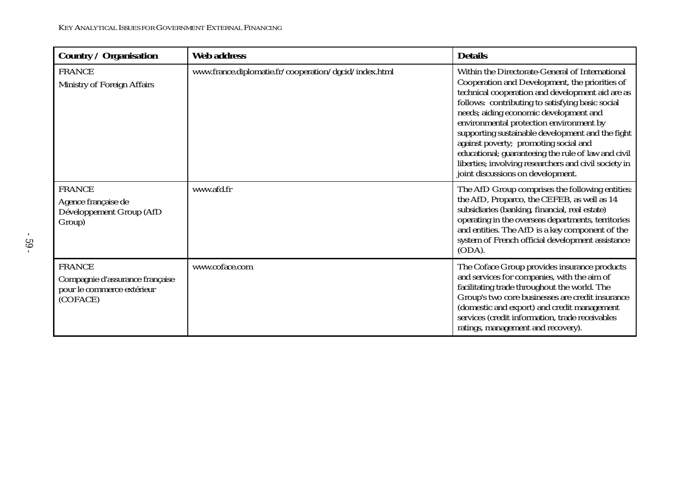| <b>Country / Organisation</b>                                                              | <b>Web address</b>                                    | <b>Details</b>                                                                                                                                                                                                                                                                                                                                                                                                                                                                                                                                   |
|--------------------------------------------------------------------------------------------|-------------------------------------------------------|--------------------------------------------------------------------------------------------------------------------------------------------------------------------------------------------------------------------------------------------------------------------------------------------------------------------------------------------------------------------------------------------------------------------------------------------------------------------------------------------------------------------------------------------------|
| <b>FRANCE</b><br>Ministry of Foreign Affairs                                               | www.france.diplomatie.fr/cooperation/dgcid/index.html | Within the Directorate-General of International<br>Cooperation and Development, the priorities of<br>technical cooperation and development aid are as<br>follows: contributing to satisfying basic social<br>needs; aiding economic development and<br>environmental protection environment by<br>supporting sustainable development and the fight<br>against poverty; promoting social and<br>educational; guaranteeing the rule of law and civil<br>liberties; involving researchers and civil society in<br>joint discussions on development. |
| <b>FRANCE</b><br>Agence française de<br>Développement Group (AfD<br>Group)                 | www.afd.fr                                            | The AfD Group comprises the following entities:<br>the AfD, Proparco, the CEFEB, as well as 14<br>subsidiaries (banking, financial, real estate)<br>operating in the overseas departments, territories<br>and entities. The AfD is a key component of the<br>system of French official development assistance<br>(ODA).                                                                                                                                                                                                                          |
| <b>FRANCE</b><br>Compagnie d'assurance française<br>pour le commerce extérieur<br>(COFACE) | www.coface.com                                        | The Coface Group provides insurance products<br>and services for companies, with the aim of<br>facilitating trade throughout the world. The<br>Group's two core businesses are credit insurance<br>(domestic and export) and credit management<br>services (credit information, trade receivables<br>ratings, management and recovery).                                                                                                                                                                                                          |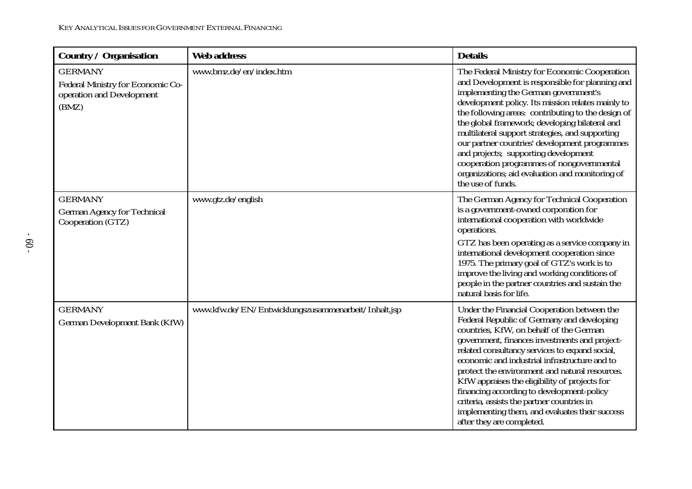| <b>Country / Organisation</b>                                                             | <b>Web address</b>                                  | <b>Details</b>                                                                                                                                                                                                                                                                                                                                                                                                                                                                                                                                                         |
|-------------------------------------------------------------------------------------------|-----------------------------------------------------|------------------------------------------------------------------------------------------------------------------------------------------------------------------------------------------------------------------------------------------------------------------------------------------------------------------------------------------------------------------------------------------------------------------------------------------------------------------------------------------------------------------------------------------------------------------------|
| <b>GERMANY</b><br>Federal Ministry for Economic Co-<br>operation and Development<br>(BMZ) | www.bmz.de/en/index.htm                             | The Federal Ministry for Economic Cooperation<br>and Development is responsible for planning and<br>implementing the German government's<br>development policy. Its mission relates mainly to<br>the following areas: contributing to the design of<br>the global framework; developing bilateral and<br>multilateral support strategies, and supporting<br>our partner countries' development programmes<br>and projects; supporting development<br>cooperation programmes of nongovernmental<br>organizations; aid evaluation and monitoring of<br>the use of funds. |
| <b>GERMANY</b><br><b>German Agency for Technical</b><br>Cooperation (GTZ)                 | www.gtz.de/english                                  | The German Agency for Technical Cooperation<br>is a government-owned corporation for<br>international cooperation with worldwide<br>operations.<br>GTZ has been operating as a service company in<br>international development cooperation since<br>1975. The primary goal of GTZ's work is to<br>improve the living and working conditions of<br>people in the partner countries and sustain the<br>natural basis for life.                                                                                                                                           |
| <b>GERMANY</b><br><b>German Development Bank (KfW)</b>                                    | www.kfw.de/EN/Entwicklungszusammenarbeit/Inhalt.jsp | Under the Financial Cooperation between the<br>Federal Republic of Germany and developing<br>countries, KfW, on behalf of the German<br>government, finances investments and project-<br>related consultancy services to expand social,<br>economic and industrial infrastructure and to<br>protect the environment and natural resources.<br>KfW appraises the eligibility of projects for<br>financing according to development-policy<br>criteria, assists the partner countries in<br>implementing them, and evaluates their success<br>after they are completed.  |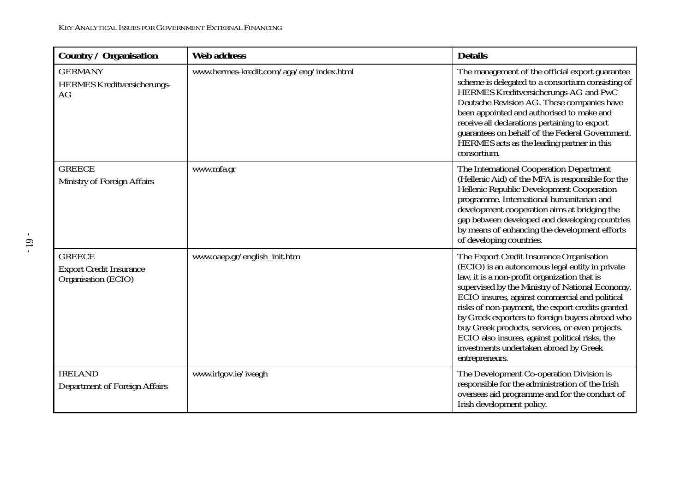| <b>Country / Organisation</b>                                          | <b>Web address</b>                       | <b>Details</b>                                                                                                                                                                                                                                                                                                                                                                                                                                                                                                            |
|------------------------------------------------------------------------|------------------------------------------|---------------------------------------------------------------------------------------------------------------------------------------------------------------------------------------------------------------------------------------------------------------------------------------------------------------------------------------------------------------------------------------------------------------------------------------------------------------------------------------------------------------------------|
| <b>GERMANY</b><br><b>HERMES Kreditversicherungs-</b><br>AG             | www.hermes-kredit.com/aga/eng/index.html | The management of the official export guarantee<br>scheme is delegated to a consortium consisting of<br>HERMES Kreditversicherungs-AG and PwC<br>Deutsche Revision AG. These companies have<br>been appointed and authorised to make and<br>receive all declarations pertaining to export<br>guarantees on behalf of the Federal Government.<br>HERMES acts as the leading partner in this<br>consortium.                                                                                                                 |
| <b>GREECE</b><br>Ministry of Foreign Affairs                           | www.mfa.gr                               | The International Cooperation Department<br>(Hellenic Aid) of the MFA is responsible for the<br>Hellenic Republic Development Cooperation<br>programme. International humanitarian and<br>development cooperation aims at bridging the<br>gap between developed and developing countries<br>by means of enhancing the development efforts<br>of developing countries.                                                                                                                                                     |
| <b>GREECE</b><br><b>Export Credit Insurance</b><br>Organisation (ECIO) | www.oaep.gr/english_init.htm             | The Export Credit Insurance Organisation<br>(ECIO) is an autonomous legal entity in private<br>law, it is a non-profit organization that is<br>supervised by the Ministry of National Economy.<br>ECIO insures, against commercial and political<br>risks of non-payment, the export credits granted<br>by Greek exporters to foreign buyers abroad who<br>buy Greek products, services, or even projects.<br>ECIO also insures, against political risks, the<br>investments undertaken abroad by Greek<br>entrepreneurs. |
| <b>IRELAND</b><br><b>Department of Foreign Affairs</b>                 | www.irlgov.ie/iveagh                     | The Development Co-operation Division is<br>responsible for the administration of the Irish<br>overseas aid programme and for the conduct of<br>Irish development policy.                                                                                                                                                                                                                                                                                                                                                 |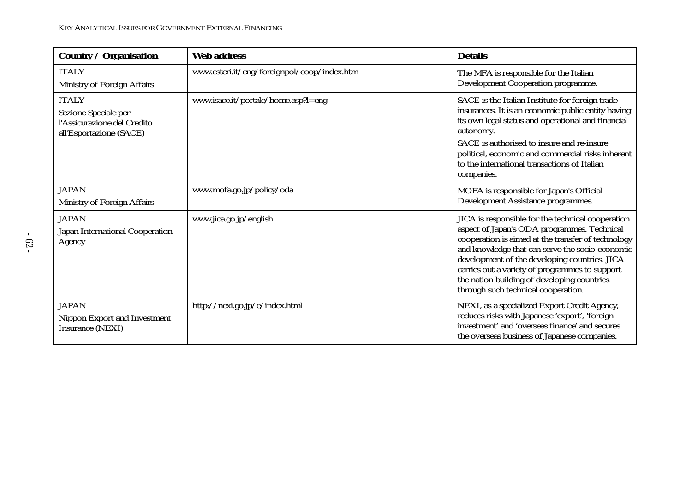| <b>Country / Organisation</b>                                                                  | <b>Web address</b>                          | <b>Details</b>                                                                                                                                                                                                                                                                                                                                                                                     |
|------------------------------------------------------------------------------------------------|---------------------------------------------|----------------------------------------------------------------------------------------------------------------------------------------------------------------------------------------------------------------------------------------------------------------------------------------------------------------------------------------------------------------------------------------------------|
| <b>ITALY</b><br>Ministry of Foreign Affairs                                                    | www.esteri.it/eng/foreignpol/coop/index.htm | The MFA is responsible for the Italian<br>Development Cooperation programme.                                                                                                                                                                                                                                                                                                                       |
| <b>ITALY</b><br>Sezione Speciale per<br>l'Assicurazione del Credito<br>all'Esportazione (SACE) | www.isace.it/portale/home.asp?l=eng         | SACE is the Italian Institute for foreign trade<br>insurances. It is an economic public entity having<br>its own legal status and operational and financial<br>autonomy.<br>SACE is authorised to insure and re-insure<br>political, economic and commercial risks inherent<br>to the international transactions of Italian<br>companies.                                                          |
| <b>JAPAN</b><br><b>Ministry of Foreign Affairs</b>                                             | www.mofa.go.jp/policy/oda                   | MOFA is responsible for Japan's Official<br>Development Assistance programmes.                                                                                                                                                                                                                                                                                                                     |
| <b>JAPAN</b><br>Japan International Cooperation<br>Agency                                      | www.jica.go.jp/english                      | JICA is responsible for the technical cooperation<br>aspect of Japan's ODA programmes. Technical<br>cooperation is aimed at the transfer of technology<br>and knowledge that can serve the socio-economic<br>development of the developing countries. JICA<br>carries out a variety of programmes to support<br>the nation building of developing countries<br>through such technical cooperation. |
| <b>JAPAN</b><br>Nippon Export and Investment<br><b>Insurance (NEXI)</b>                        | http://nexi.go.jp/e/index.html              | NEXI, as a specialized Export Credit Agency,<br>reduces risks with Japanese 'export', 'foreign'<br>investment' and 'overseas finance' and secures<br>the overseas business of Japanese companies.                                                                                                                                                                                                  |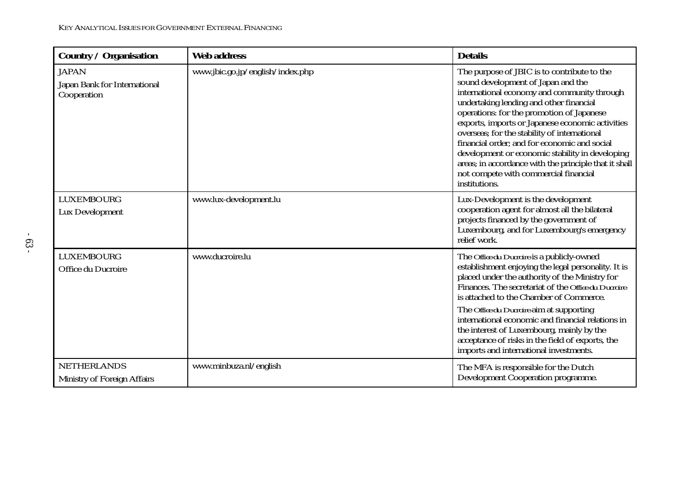| <b>Country / Organisation</b>                               | <b>Web address</b>               | <b>Details</b>                                                                                                                                                                                                                                                                                                                                                                                                                                                                                                                                     |
|-------------------------------------------------------------|----------------------------------|----------------------------------------------------------------------------------------------------------------------------------------------------------------------------------------------------------------------------------------------------------------------------------------------------------------------------------------------------------------------------------------------------------------------------------------------------------------------------------------------------------------------------------------------------|
| <b>JAPAN</b><br>Japan Bank for International<br>Cooperation | www.jbic.go.jp/english/index.php | The purpose of JBIC is to contribute to the<br>sound development of Japan and the<br>international economy and community through<br>undertaking lending and other financial<br>operations: for the promotion of Japanese<br>exports, imports or Japanese economic activities<br>overseas; for the stability of international<br>financial order; and for economic and social<br>development or economic stability in developing<br>areas; in accordance with the principle that it shall<br>not compete with commercial financial<br>institutions. |
| <b>LUXEMBOURG</b><br><b>Lux Development</b>                 | www.lux-development.lu           | Lux-Development is the development<br>cooperation agent for almost all the bilateral<br>projects financed by the government of<br>Luxembourg, and for Luxembourg's emergency<br>relief work.                                                                                                                                                                                                                                                                                                                                                       |
| <b>LUXEMBOURG</b><br>Office du Ducroire                     | www.ducroire.lu                  | The <i>Office du Ducroire</i> is a publicly-owned<br>establishment enjoying the legal personality. It is<br>placed under the authority of the Ministry for<br>Finances. The secretariat of the Office du Ducroire<br>is attached to the Chamber of Commerce.<br>The <i>Office du Ducroire</i> aim at supporting<br>international economic and financial relations in<br>the interest of Luxembourg, mainly by the<br>acceptance of risks in the field of exports, the<br>imports and international investments.                                    |
| <b>NETHERLANDS</b><br>Ministry of Foreign Affairs           | www.minbuza.nl/english           | The MFA is responsible for the Dutch<br><b>Development Cooperation programme.</b>                                                                                                                                                                                                                                                                                                                                                                                                                                                                  |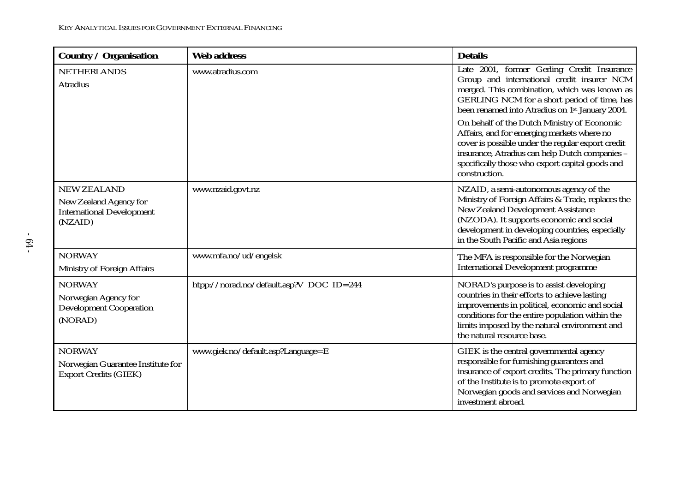| <b>Country / Organisation</b>                                                               | <b>Web address</b>                       | <b>Details</b>                                                                                                                                                                                                                                                               |
|---------------------------------------------------------------------------------------------|------------------------------------------|------------------------------------------------------------------------------------------------------------------------------------------------------------------------------------------------------------------------------------------------------------------------------|
| <b>NETHERLANDS</b><br><b>Atradius</b>                                                       | www.atradius.com                         | Late 2001, former Gerling Credit Insurance<br>Group and international credit insurer NCM<br>merged. This combination, which was known as<br>GERLING NCM for a short period of time, has<br>been renamed into Atradius on 1 <sup>st</sup> January 2004.                       |
|                                                                                             |                                          | On behalf of the Dutch Ministry of Economic<br>Affairs, and for emerging markets where no<br>cover is possible under the regular export credit<br>insurance, Atradius can help Dutch companies -<br>specifically those who export capital goods and<br>construction.         |
| <b>NEW ZEALAND</b><br>New Zealand Agency for<br><b>International Development</b><br>(NZAID) | www.nzaid.govt.nz                        | NZAID, a semi-autonomous agency of the<br>Ministry of Foreign Affairs & Trade, replaces the<br>New Zealand Development Assistance<br>(NZODA). It supports economic and social<br>development in developing countries, especially<br>in the South Pacific and Asia regions    |
| <b>NORWAY</b><br>Ministry of Foreign Affairs                                                | www.mfa.no/ud/engelsk                    | The MFA is responsible for the Norwegian<br><b>International Development programme</b>                                                                                                                                                                                       |
| <b>NORWAY</b><br>Norwegian Agency for<br><b>Development Cooperation</b><br>(NORAD)          | htpp://norad.no/default.asp?V_DOC_ID=244 | NORAD's purpose is to assist developing<br>countries in their efforts to achieve lasting<br>improvements in political, economic and social<br>conditions for the entire population within the<br>limits imposed by the natural environment and<br>the natural resource base. |
| <b>NORWAY</b><br>Norwegian Guarantee Institute for<br><b>Export Credits (GIEK)</b>          | www.giek.no/default.asp?Language=E       | GIEK is the central governmental agency<br>responsible for furnishing guarantees and<br>insurance of export credits. The primary function<br>of the Institute is to promote export of<br>Norwegian goods and services and Norwegian<br>investment abroad.                    |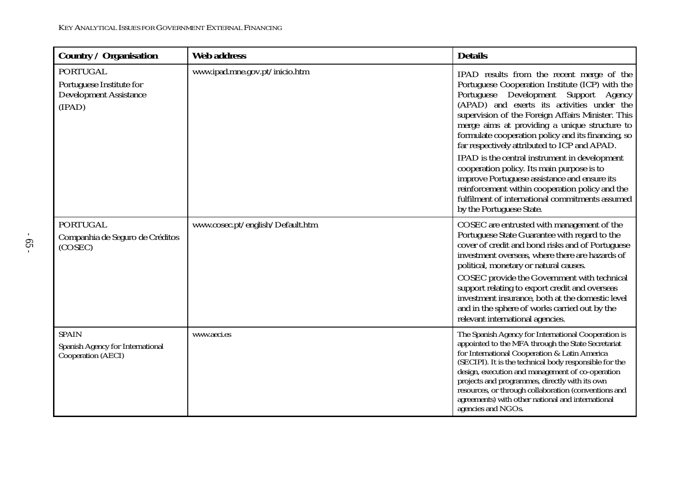| <b>Country / Organisation</b>                                                          | <b>Web address</b>               | <b>Details</b>                                                                                                                                                                                                                                                                                                                                                                                                                                                |
|----------------------------------------------------------------------------------------|----------------------------------|---------------------------------------------------------------------------------------------------------------------------------------------------------------------------------------------------------------------------------------------------------------------------------------------------------------------------------------------------------------------------------------------------------------------------------------------------------------|
| <b>PORTUGAL</b><br>Portuguese Institute for<br><b>Development Assistance</b><br>(IPAD) | www.ipad.mne.gov.pt/inicio.htm   | IPAD results from the recent merge of the<br>Portuguese Cooperation Institute (ICP) with the<br>Portuguese Development Support Agency<br>(APAD) and exerts its activities under the<br>supervision of the Foreign Affairs Minister. This<br>merge aims at providing a unique structure to<br>formulate cooperation policy and its financing, so<br>far respectively attributed to ICP and APAD.<br>IPAD is the central instrument in development              |
|                                                                                        |                                  | cooperation policy. Its main purpose is to<br>improve Portuguese assistance and ensure its<br>reinforcement within cooperation policy and the<br>fulfilment of international commitments assumed<br>by the Portuguese State.                                                                                                                                                                                                                                  |
| <b>PORTUGAL</b><br>Companhia de Seguro de Créditos<br>(COSEC)                          | www.cosec.pt/english/Default.htm | COSEC are entrusted with management of the<br>Portuguese State Guarantee with regard to the<br>cover of credit and bond risks and of Portuguese<br>investment overseas, where there are hazards of<br>political, monetary or natural causes.                                                                                                                                                                                                                  |
|                                                                                        |                                  | COSEC provide the Government with technical<br>support relating to export credit and overseas<br>investment insurance, both at the domestic level<br>and in the sphere of works carried out by the<br>relevant international agencies.                                                                                                                                                                                                                        |
| <b>SPAIN</b><br>Spanish Agency for International<br><b>Cooperation (AECI)</b>          | www.aeci.es                      | The Spanish Agency for International Cooperation is<br>appointed to the MFA through the State Secretariat<br>for International Cooperation & Latin America<br>(SECIPI). It is the technical body responsible for the<br>design, execution and management of co-operation<br>projects and programmes, directly with its own<br>resources, or through collaboration (conventions and<br>agreements) with other national and international<br>agencies and NGOs. |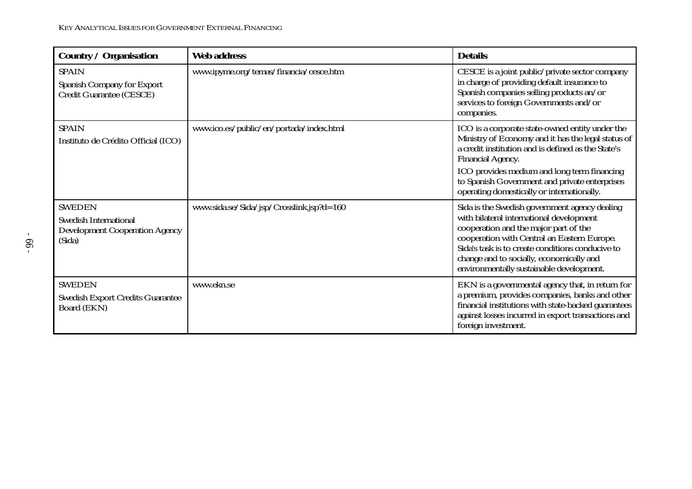| <b>Country / Organisation</b>                                                                    | <b>Web address</b>                       | <b>Details</b>                                                                                                                                                                                                                                                                                                                        |
|--------------------------------------------------------------------------------------------------|------------------------------------------|---------------------------------------------------------------------------------------------------------------------------------------------------------------------------------------------------------------------------------------------------------------------------------------------------------------------------------------|
| <b>SPAIN</b><br><b>Spanish Company for Export</b><br>Credit Guarantee (CESCE)                    | www.ipyme.org/temas/financia/cesce.htm   | CESCE is a joint public/private sector company<br>in charge of providing default insurance to<br>Spanish companies selling products an/or<br>services to foreign Governments and/or<br>companies.                                                                                                                                     |
| <b>SPAIN</b><br>Instituto de Crédito Official (ICO)                                              | www.ico.es/public/en/portada/index.html  | ICO is a corporate state-owned entity under the<br>Ministry of Economy and it has the legal status of<br>a credit institution and is defined as the State's<br><b>Financial Agency.</b><br>ICO provides medium and long term financing<br>to Spanish Government and private enterprises<br>operating domestically or internationally. |
| <b>SWEDEN</b><br><b>Swedish International</b><br><b>Development Cooperation Agency</b><br>(Sida) | www.sida.se/Sida/jsp/Crosslink.jsp?d=160 | Sida is the Swedish government agency dealing<br>with bilateral international development<br>cooperation and the major part of the<br>cooperation with Central an Eastern Europe.<br>Sida's task is to create conditions conducive to<br>change and to socially, economically and<br>environmentally sustainable development.         |
| <b>SWEDEN</b><br><b>Swedish Export Credits Guarantee</b><br>Board (EKN)                          | www.ekn.se                               | EKN is a governmental agency that, in return for<br>a premium, provides companies, banks and other<br>financial institutions with state-backed guarantees<br>against losses incurred in export transactions and<br>foreign investment.                                                                                                |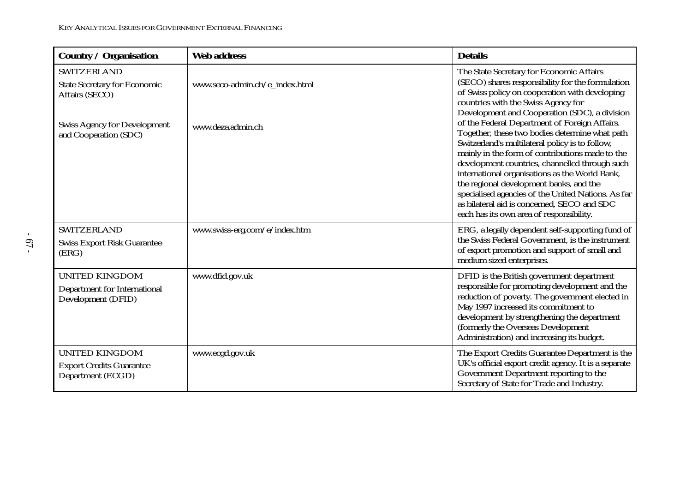| <b>Country / Organisation</b>                                                                                      | <b>Web address</b>             | <b>Details</b>                                                                                                                                                                                                                                                                                                                                                                                                                                       |
|--------------------------------------------------------------------------------------------------------------------|--------------------------------|------------------------------------------------------------------------------------------------------------------------------------------------------------------------------------------------------------------------------------------------------------------------------------------------------------------------------------------------------------------------------------------------------------------------------------------------------|
| <b>SWITZERLAND</b><br><b>State Secretary for Economic</b><br>Affairs (SECO)<br><b>Swiss Agency for Development</b> | www.seco-admin.ch/e_index.html | The State Secretary for Economic Affairs<br>(SECO) shares responsibility for the formulation<br>of Swiss policy on cooperation with developing<br>countries with the Swiss Agency for<br>Development and Cooperation (SDC), a division<br>of the Federal Department of Foreign Affairs.                                                                                                                                                              |
| and Cooperation (SDC)                                                                                              | www.deza.admin.ch              | Together, these two bodies determine what path<br>Switzerland's multilateral policy is to follow,<br>mainly in the form of contributions made to the<br>development countries, channelled through such<br>international organisations as the World Bank,<br>the regional development banks, and the<br>specialised agencies of the United Nations. As far<br>as bilateral aid is concerned, SECO and SDC<br>each has its own area of responsibility. |
| <b>SWITZERLAND</b><br><b>Swiss Export Risk Guarantee</b><br>(ERG)                                                  | www.swiss-erg.com/e/index.htm  | ERG, a legally dependent self-supporting fund of<br>the Swiss Federal Government, is the instrument<br>of export promotion and support of small and<br>medium sized enterprises.                                                                                                                                                                                                                                                                     |
| <b>UNITED KINGDOM</b><br><b>Department for International</b><br>Development (DFID)                                 | www.dfid.gov.uk                | DFID is the British government department<br>responsible for promoting development and the<br>reduction of poverty. The government elected in<br>May 1997 increased its commitment to<br>development by strengthening the department<br>(formerly the Overseas Development<br>Administration) and increasing its budget.                                                                                                                             |
| <b>UNITED KINGDOM</b><br><b>Export Credits Guarantee</b><br>Department (ECGD)                                      | www.ecgd.gov.uk                | The Export Credits Guarantee Department is the<br>UK's official export credit agency. It is a separate<br>Government Department reporting to the<br>Secretary of State for Trade and Industry.                                                                                                                                                                                                                                                       |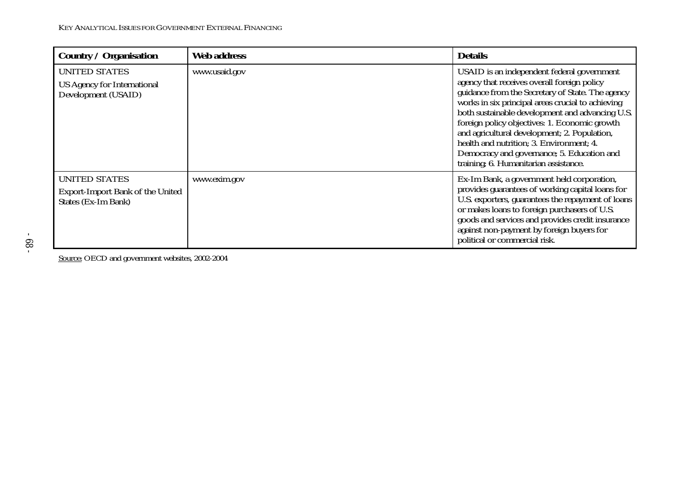| <b>Country / Organisation</b>                                                          | <b>Web address</b> | <b>Details</b>                                                                                                                                                                                                                                                                                                                                                                                                                                                                            |
|----------------------------------------------------------------------------------------|--------------------|-------------------------------------------------------------------------------------------------------------------------------------------------------------------------------------------------------------------------------------------------------------------------------------------------------------------------------------------------------------------------------------------------------------------------------------------------------------------------------------------|
| <b>UNITED STATES</b><br><b>US Agency for International</b><br>Development (USAID)      | www.usaid.gov      | USAID is an independent federal government<br>agency that receives overall foreign policy<br>guidance from the Secretary of State. The agency<br>works in six principal areas crucial to achieving<br>both sustainable development and advancing U.S.<br>foreign policy objectives: 1. Economic growth<br>and agricultural development; 2. Population,<br>health and nutrition; 3. Environment; 4.<br>Democracy and governance; 5. Education and<br>training; 6. Humanitarian assistance. |
| <b>UNITED STATES</b><br><b>Export-Import Bank of the United</b><br>States (Ex-Im Bank) | www.exim.gov       | Ex-Im Bank, a government held corporation,<br>provides guarantees of working capital loans for<br>U.S. exporters, guarantees the repayment of loans<br>or makes loans to foreign purchasers of U.S.<br>goods and services and provides credit insurance<br>against non-payment by foreign buyers for<br>political or commercial risk.                                                                                                                                                     |

Source: OECD and government websites, 2002-2004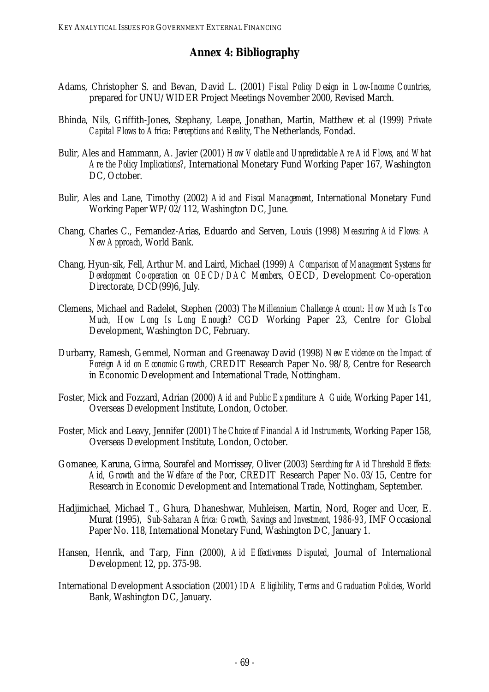# **Annex 4: Bibliography**

- Adams, Christopher S. and Bevan, David L. (2001) *Fiscal Policy Design in Low-Income Countries*, prepared for UNU/WIDER Project Meetings November 2000, Revised March.
- Bhinda, Nils, Griffith-Jones, Stephany, Leape, Jonathan, Martin, Matthew et al (1999) *Private Capital Flows to Africa: Perceptions and Reality*, The Netherlands, Fondad.
- Bulir, Ales and Hammann, A. Javier (2001) *How Volatile and Unpredictable Are Aid Flows, and What Are the Policy Implications?*, International Monetary Fund Working Paper 167, Washington DC, October.
- Bulir, Ales and Lane, Timothy (2002) *Aid and Fiscal Management*, International Monetary Fund Working Paper WP/02/112, Washington DC, June.
- Chang, Charles C., Fernandez-Arias, Eduardo and Serven, Louis (1998) *Measuring Aid Flows: A New Approach*, World Bank.
- Chang, Hyun-sik, Fell, Arthur M. and Laird, Michael (1999) *A Comparison of Management Systems for Development Co-operation on OECD/DAC Members*, OECD, Development Co-operation Directorate, DCD(99)6, July.
- Clemens, Michael and Radelet, Stephen (2003) *The Millennium Challenge Account: How Much Is Too Much, How Long Is Long Enough?* CGD Working Paper 23, Centre for Global Development, Washington DC, February.
- Durbarry, Ramesh, Gemmel, Norman and Greenaway David (1998) *New Evidence on the Impact of Foreign Aid on Economic Growth*, CREDIT Research Paper No. 98/8, Centre for Research in Economic Development and International Trade, Nottingham.
- Foster, Mick and Fozzard, Adrian (2000) *Aid and Public Expenditure: A Guide*, Working Paper 141, Overseas Development Institute, London, October.
- Foster, Mick and Leavy, Jennifer (2001) *The Choice of Financial Aid Instruments*, Working Paper 158, Overseas Development Institute, London, October.
- Gomanee, Karuna, Girma, Sourafel and Morrissey, Oliver (2003) *Searching for Aid Threshold Effects: Aid, Growth and the Welfare of the Poor*, CREDIT Research Paper No. 03/15, Centre for Research in Economic Development and International Trade, Nottingham, September.
- Hadjimichael, Michael T., Ghura, Dhaneshwar, Muhleisen, Martin, Nord, Roger and Ucer, E. Murat (1995), *Sub-Saharan Africa: Growth, Savings and Investment, 1986-93*, IMF Occasional Paper No. 118, International Monetary Fund, Washington DC, January 1.
- Hansen, Henrik, and Tarp, Finn (2000), *Aid Effectiveness Disputed*, Journal of International Development 12, pp. 375-98.
- International Development Association (2001) *IDA Eligibility, Terms and Graduation Policies*, World Bank, Washington DC, January.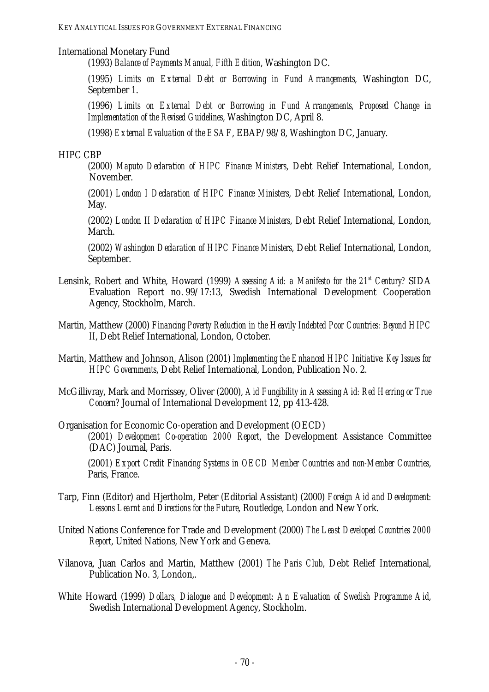### International Monetary Fund

(1993) *Balance of Payments Manual, Fifth Edition*, Washington DC.

(1995) *Limits on External Debt or Borrowing in Fund Arrangements*, Washington DC, September 1.

(1996) *Limits on External Debt or Borrowing in Fund Arrangements, Proposed Change in Implementation of the Revised Guidelines*, Washington DC, April 8.

(1998) *External Evaluation of the ESAF*, EBAP/98/8, Washington DC, January.

#### HIPC CBP

(2000) *Maputo Declaration of HIPC Finance Ministers*, Debt Relief International, London, November.

(2001) *London I Declaration of HIPC Finance Ministers*, Debt Relief International, London, May.

(2002) *London II Declaration of HIPC Finance Ministers*, Debt Relief International, London, March.

(2002) *Washington Declaration of HIPC Finance Ministers*, Debt Relief International, London, September.

- Lensink, Robert and White, Howard (1999) *Assessing Aid: a Manifesto for the 21<sup>st</sup> Century?* SIDA Evaluation Report no. 99/17:13, Swedish International Development Cooperation Agency, Stockholm, March.
- Martin, Matthew (2000) *Financing Poverty Reduction in the Heavily Indebted Poor Countries: Beyond HIPC II*, Debt Relief International, London, October.

Martin, Matthew and Johnson, Alison (2001) *Implementing the Enhanced HIPC Initiative: Key Issues for HIPC Governments*, Debt Relief International, London, Publication No. 2.

- McGillivray, Mark and Morrissey, Oliver (2000), *Aid Fungibility in Assessing Aid: Red Herring or True Concern?* Journal of International Development 12, pp 413-428.
- Organisation for Economic Co-operation and Development (OECD) (2001) *Development Co-operation 2000 Report*, the Development Assistance Committee (DAC) Journal, Paris.

(2001) *Export Credit Financing Systems in OECD Member Countries and non-Member Countries*, Paris, France.

- Tarp, Finn (Editor) and Hjertholm, Peter (Editorial Assistant) (2000) *Foreign Aid and Development: Lessons Learnt and Directions for the Future*, Routledge, London and New York.
- United Nations Conference for Trade and Development (2000) *The Least Developed Countries 2000 Report*, United Nations, New York and Geneva.
- Vilanova, Juan Carlos and Martin, Matthew (2001) *The Paris Club*, Debt Relief International, Publication No. 3, London,.
- White Howard (1999) *Dollars, Dialogue and Development: An Evaluation of Swedish Programme Aid*, Swedish International Development Agency, Stockholm.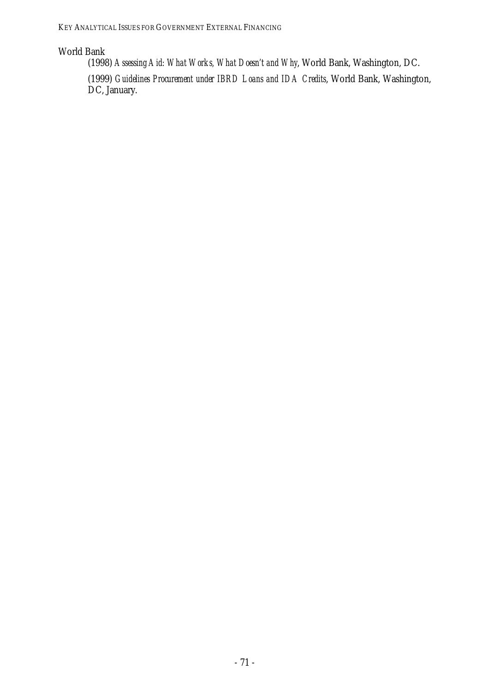## World Bank

(1998) *Assessing Aid: What Works, What Doesn't and Why*, World Bank, Washington, DC.

(1999) *Guidelines Procurement under IBRD Loans and IDA Credits*, World Bank, Washington, DC, January.